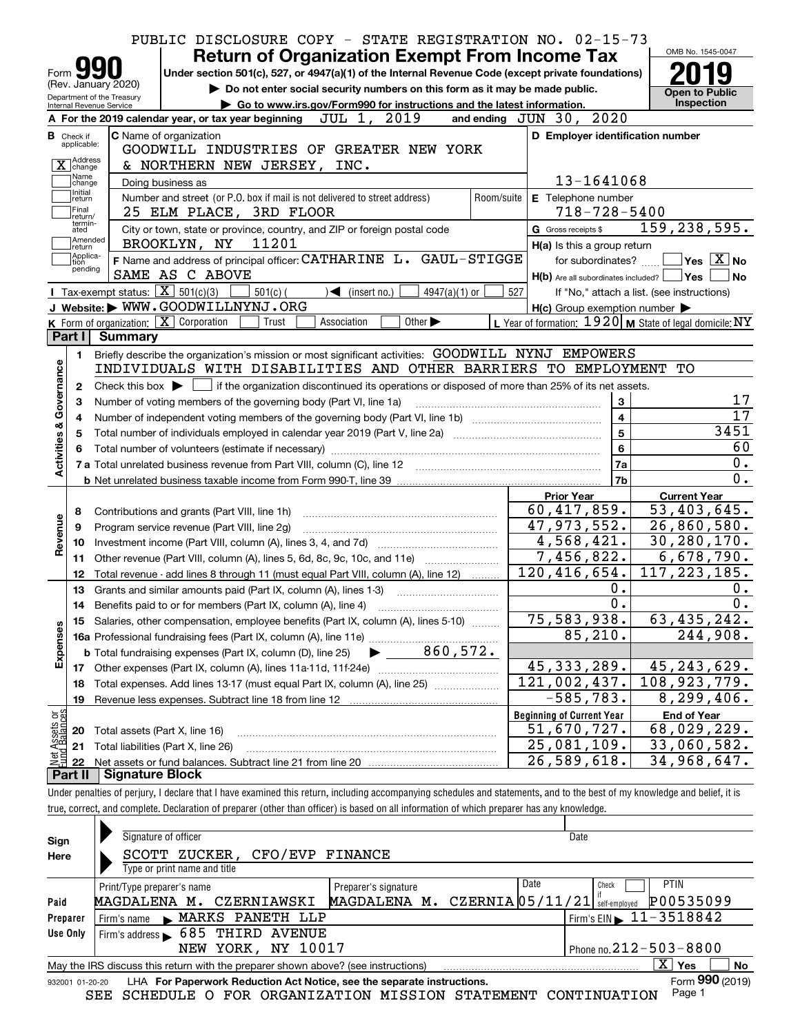|                           |                                                   |                        | PUBLIC DISCLOSURE COPY - STATE REGISTRATION NO. 02-15-73                                                                                                                   |                                                           |                                                                                    |
|---------------------------|---------------------------------------------------|------------------------|----------------------------------------------------------------------------------------------------------------------------------------------------------------------------|-----------------------------------------------------------|------------------------------------------------------------------------------------|
|                           |                                                   |                        | <b>Return of Organization Exempt From Income Tax</b>                                                                                                                       |                                                           | OMB No. 1545-0047                                                                  |
| Form                      |                                                   |                        | Under section 501(c), 527, or 4947(a)(1) of the Internal Revenue Code (except private foundations)                                                                         |                                                           |                                                                                    |
|                           | (Rev. January 2020)<br>Department of the Treasury |                        | Do not enter social security numbers on this form as it may be made public.                                                                                                |                                                           | <b>Open to Public</b>                                                              |
|                           | Internal Revenue Service                          |                        | Go to www.irs.gov/Form990 for instructions and the latest information.                                                                                                     |                                                           | Inspection                                                                         |
|                           |                                                   |                        | A For the 2019 calendar year, or tax year beginning JUL 1, 2019                                                                                                            | 2020<br>and ending $JUN$ 30,                              |                                                                                    |
|                           | <b>B</b> Check if<br>applicable:                  |                        | <b>C</b> Name of organization                                                                                                                                              | D Employer identification number                          |                                                                                    |
|                           | 1Address                                          |                        | GOODWILL INDUSTRIES OF GREATER NEW YORK                                                                                                                                    |                                                           |                                                                                    |
|                           | $\overline{X}$ change<br>Name                     |                        | & NORTHERN NEW JERSEY,<br>INC.                                                                                                                                             |                                                           |                                                                                    |
|                           | change<br>Initial                                 |                        | Doing business as                                                                                                                                                          | 13-1641068                                                |                                                                                    |
|                           | return<br>Final                                   |                        | Number and street (or P.O. box if mail is not delivered to street address)<br>Room/suite<br>25 ELM PLACE, 3RD FLOOR                                                        | E Telephone number<br>$718 - 728 - 5400$                  |                                                                                    |
|                           | return/<br>termin-<br>ated                        |                        | City or town, state or province, country, and ZIP or foreign postal code                                                                                                   | G Gross receipts \$                                       | 159, 238, 595.                                                                     |
|                           | Amended                                           |                        | BROOKLYN, NY 11201                                                                                                                                                         | H(a) Is this a group return                               |                                                                                    |
|                           | return<br>Applica-<br>tion                        |                        | F Name and address of principal officer: CATHARINE L. GAUL-STIGGE                                                                                                          | for subordinates?                                         | $ {\mathsf Y}{\mathsf e}{\mathsf s} \: \lfloor \underline{{\mathsf X}} \rfloor$ No |
|                           | pending                                           |                        | SAME AS C ABOVE                                                                                                                                                            | $H(b)$ Are all subordinates included?                     | ∣Yes<br>No                                                                         |
|                           |                                                   |                        | Tax-exempt status: $\boxed{\mathbf{X}}$ 501(c)(3)<br>$\sqrt{\phantom{a}}$ (insert no.)<br>4947(a)( $1)$ or<br>$501(c)$ (                                                   | 527                                                       | If "No," attach a list. (see instructions)                                         |
|                           |                                                   |                        | J Website: WWW.GOODWILLNYNJ.ORG                                                                                                                                            | $H(c)$ Group exemption number $\blacktriangleright$       |                                                                                    |
|                           |                                                   |                        | K Form of organization: X Corporation<br>Trust<br>Association<br>Other $\blacktriangleright$                                                                               | L Year of formation: $1920$ M State of legal domicile: NY |                                                                                    |
|                           | Part I                                            | <b>Summary</b>         |                                                                                                                                                                            |                                                           |                                                                                    |
|                           | 1.                                                |                        | Briefly describe the organization's mission or most significant activities: GOODWILL NYNJ EMPOWERS                                                                         |                                                           |                                                                                    |
|                           |                                                   |                        | INDIVIDUALS WITH DISABILITIES AND OTHER BARRIERS TO EMPLOYMENT                                                                                                             |                                                           | TО                                                                                 |
| Governance                | $\mathbf{2}$                                      |                        | Check this box $\blacktriangleright$ $\Box$ if the organization discontinued its operations or disposed of more than 25% of its net assets.                                |                                                           |                                                                                    |
|                           | З                                                 |                        | Number of voting members of the governing body (Part VI, line 1a)                                                                                                          | 3                                                         | 17                                                                                 |
|                           | 4                                                 |                        | Number of independent voting members of the governing body (Part VI, line 1b) manufactured intervents of the s                                                             | $\overline{4}$                                            | $\overline{17}$                                                                    |
|                           | 5                                                 |                        |                                                                                                                                                                            | 5                                                         | 3451                                                                               |
|                           | 6                                                 |                        |                                                                                                                                                                            | 6                                                         | 60                                                                                 |
| <b>Activities &amp;</b>   |                                                   |                        |                                                                                                                                                                            | 7a                                                        | 0.                                                                                 |
|                           |                                                   |                        |                                                                                                                                                                            | 7b                                                        | 0.                                                                                 |
|                           |                                                   |                        |                                                                                                                                                                            | <b>Prior Year</b>                                         | <b>Current Year</b>                                                                |
|                           | 8                                                 |                        | Contributions and grants (Part VIII, line 1h)                                                                                                                              | 60,417,859.                                               | 53,403,645.                                                                        |
| Revenue                   | 9                                                 |                        | Program service revenue (Part VIII, line 2g)                                                                                                                               | 47,973,552.                                               | 26,860,580.                                                                        |
|                           | 10                                                |                        |                                                                                                                                                                            | 4,568,421.                                                | 30,280,170.                                                                        |
|                           | 11                                                |                        | Other revenue (Part VIII, column (A), lines 5, 6d, 8c, 9c, 10c, and 11e)                                                                                                   | 7,456,822.                                                | 6,678,790.                                                                         |
|                           | 12                                                |                        | Total revenue - add lines 8 through 11 (must equal Part VIII, column (A), line 12)                                                                                         | $\overline{120}$ , 416, 654.                              | 117, 223, 185.                                                                     |
|                           | 13                                                |                        | Grants and similar amounts paid (Part IX, column (A), lines 1-3)                                                                                                           | 0.                                                        | 0.                                                                                 |
|                           | 14                                                |                        | Benefits paid to or for members (Part IX, column (A), line 4)                                                                                                              | 0.                                                        | 0.                                                                                 |
|                           | 15                                                |                        | Salaries, other compensation, employee benefits (Part IX, column (A), lines 5-10)                                                                                          | 75,583,938.                                               | 63,435,242.                                                                        |
|                           |                                                   |                        |                                                                                                                                                                            | 85, 210.                                                  | 244,908.                                                                           |
| Expenses                  |                                                   |                        |                                                                                                                                                                            | 45, 333, 289.                                             |                                                                                    |
|                           | 17                                                |                        |                                                                                                                                                                            | 121,002,437.                                              | 45,243,629.<br>108,923,779.                                                        |
|                           | 18                                                |                        | Total expenses. Add lines 13-17 (must equal Part IX, column (A), line 25)                                                                                                  | $-585,783.$                                               | 8, 299, 406.                                                                       |
|                           | 19                                                |                        |                                                                                                                                                                            | <b>Beginning of Current Year</b>                          |                                                                                    |
| t Assets or<br>d Balances | 20                                                |                        | Total assets (Part X, line 16)                                                                                                                                             | 51,670,727.                                               | <b>End of Year</b><br>68,029,229.                                                  |
|                           | 21                                                |                        | Total liabilities (Part X, line 26)                                                                                                                                        | 25,081,109.                                               | 33,060,582.                                                                        |
|                           | 22                                                |                        |                                                                                                                                                                            | 26,589,618.                                               | 34,968,647.                                                                        |
|                           | Part II                                           | <b>Signature Block</b> |                                                                                                                                                                            |                                                           |                                                                                    |
|                           |                                                   |                        | Under penalties of perjury, I declare that I have examined this return, including accompanying schedules and statements, and to the best of my knowledge and belief, it is |                                                           |                                                                                    |
|                           |                                                   |                        | true, correct, and complete. Declaration of preparer (other than officer) is based on all information of which preparer has any knowledge.                                 |                                                           |                                                                                    |
|                           |                                                   |                        |                                                                                                                                                                            |                                                           |                                                                                    |
| Sign                      |                                                   |                        | Signature of officer                                                                                                                                                       | Date                                                      |                                                                                    |
| Here                      |                                                   |                        | SCOTT ZUCKER, CFO/EVP FINANCE                                                                                                                                              |                                                           |                                                                                    |

| Here     | SCOTT ZUCKER, CFO/EVP FINANCE                                                                                |                                                                |                                            |  |  |  |  |  |
|----------|--------------------------------------------------------------------------------------------------------------|----------------------------------------------------------------|--------------------------------------------|--|--|--|--|--|
|          | Type or print name and title                                                                                 |                                                                |                                            |  |  |  |  |  |
|          | Print/Type preparer's name                                                                                   | Date<br>Preparer's signature                                   | <b>PTIN</b><br>Check                       |  |  |  |  |  |
| Paid     | CZERNIAWSKI<br>MAGDALENA M.                                                                                  | MAGDALENA M. CZERNIA 05/11/21 self-employed                    | P00535099                                  |  |  |  |  |  |
| Preparer | MARKS PANETH LLP<br>Firm's name                                                                              |                                                                | $I$ Firm's EIN $\triangleright$ 11-3518842 |  |  |  |  |  |
| Use Only | Firm's address > 685 THIRD AVENUE                                                                            |                                                                |                                            |  |  |  |  |  |
|          | NEW YORK, NY 10017                                                                                           |                                                                | Phone no. $212 - 503 - 8800$               |  |  |  |  |  |
|          | May the IRS discuss this return with the preparer shown above? (see instructions)                            |                                                                | X.<br>No<br>Yes                            |  |  |  |  |  |
|          | Form 990 (2019)<br>LHA For Paperwork Reduction Act Notice, see the separate instructions.<br>932001 01-20-20 |                                                                |                                            |  |  |  |  |  |
|          |                                                                                                              | SEE SCHEDULE O FOR ORGANIZATION MISSION STATEMENT CONTINUATION | Page 1                                     |  |  |  |  |  |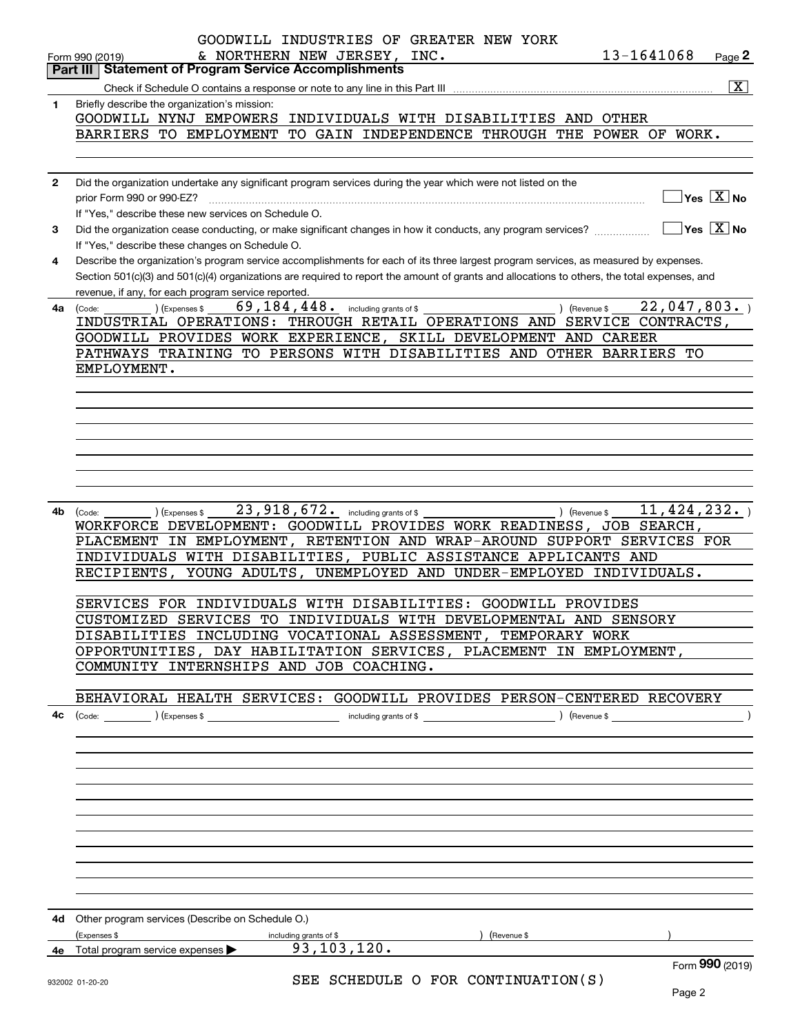|              | GOODWILL INDUSTRIES OF GREATER NEW YORK<br>13-1641068<br>& NORTHERN NEW JERSEY, INC.<br>Page 2<br>Form 990 (2019)                                      |
|--------------|--------------------------------------------------------------------------------------------------------------------------------------------------------|
|              | <b>Statement of Program Service Accomplishments</b><br>Part III                                                                                        |
|              | $\boxed{\text{X}}$                                                                                                                                     |
| 1            | Briefly describe the organization's mission:                                                                                                           |
|              | GOODWILL NYNJ EMPOWERS<br>INDIVIDUALS WITH DISABILITIES AND OTHER                                                                                      |
|              | TO GAIN INDEPENDENCE THROUGH THE POWER OF WORK.<br>BARRIERS TO EMPLOYMENT                                                                              |
|              |                                                                                                                                                        |
|              |                                                                                                                                                        |
| $\mathbf{2}$ | Did the organization undertake any significant program services during the year which were not listed on the                                           |
|              | $\sqrt{}$ Yes $\sqrt{}$ $\overline{\rm X}$ No<br>prior Form 990 or 990-EZ?                                                                             |
|              | If "Yes," describe these new services on Schedule O.                                                                                                   |
| 3            | $\sqrt{}$ Yes $\sqrt{}$ X $\sqrt{}$ No<br>Did the organization cease conducting, or make significant changes in how it conducts, any program services? |
|              | If "Yes," describe these changes on Schedule O.                                                                                                        |
| 4            | Describe the organization's program service accomplishments for each of its three largest program services, as measured by expenses.                   |
|              | Section 501(c)(3) and 501(c)(4) organizations are required to report the amount of grants and allocations to others, the total expenses, and           |
|              | revenue, if any, for each program service reported.                                                                                                    |
|              | 69, 184, 448. including grants of \$<br>22,047,803.<br>) (Expenses \$<br>) (Revenue \$                                                                 |
| 4a           | (Code:<br>INDUSTRIAL OPERATIONS: THROUGH RETAIL OPERATIONS AND SERVICE CONTRACTS,                                                                      |
|              | GOODWILL PROVIDES WORK EXPERIENCE, SKILL DEVELOPMENT AND CAREER                                                                                        |
|              | PATHWAYS TRAINING TO PERSONS WITH DISABILITIES AND OTHER BARRIERS<br>TО                                                                                |
|              |                                                                                                                                                        |
|              | EMPLOYMENT.                                                                                                                                            |
|              |                                                                                                                                                        |
|              |                                                                                                                                                        |
|              |                                                                                                                                                        |
|              |                                                                                                                                                        |
|              |                                                                                                                                                        |
|              |                                                                                                                                                        |
|              |                                                                                                                                                        |
|              |                                                                                                                                                        |
| 4b           | 23, 918, 672. including grants of \$<br>11, 424, 232.<br>) (Revenue \$<br>(Code:<br>(Expenses \$                                                       |
|              | WORKFORCE DEVELOPMENT: GOODWILL PROVIDES WORK READINESS, JOB SEARCH,                                                                                   |
|              | PLACEMENT IN EMPLOYMENT, RETENTION AND WRAP-AROUND SUPPORT SERVICES FOR                                                                                |
|              | INDIVIDUALS WITH DISABILITIES, PUBLIC ASSISTANCE APPLICANTS AND                                                                                        |
|              | RECIPIENTS, YOUNG ADULTS, UNEMPLOYED AND UNDER-EMPLOYED INDIVIDUALS.                                                                                   |
|              |                                                                                                                                                        |
|              | SERVICES FOR INDIVIDUALS WITH DISABILITIES: GOODWILL PROVIDES                                                                                          |
|              | CUSTOMIZED SERVICES TO INDIVIDUALS WITH DEVELOPMENTAL AND SENSORY                                                                                      |
|              | DISABILITIES INCLUDING VOCATIONAL ASSESSMENT, TEMPORARY WORK                                                                                           |
|              | OPPORTUNITIES, DAY HABILITATION SERVICES, PLACEMENT IN EMPLOYMENT,                                                                                     |
|              | COMMUNITY INTERNSHIPS AND JOB COACHING.                                                                                                                |
|              |                                                                                                                                                        |
|              | BEHAVIORAL HEALTH SERVICES: GOODWILL PROVIDES PERSON-CENTERED RECOVERY                                                                                 |
| 4с           |                                                                                                                                                        |
|              |                                                                                                                                                        |
|              |                                                                                                                                                        |
|              |                                                                                                                                                        |
|              |                                                                                                                                                        |
|              |                                                                                                                                                        |
|              |                                                                                                                                                        |
|              |                                                                                                                                                        |
|              |                                                                                                                                                        |
|              |                                                                                                                                                        |
|              |                                                                                                                                                        |
|              |                                                                                                                                                        |
|              |                                                                                                                                                        |
|              |                                                                                                                                                        |
|              | 4d Other program services (Describe on Schedule O.)                                                                                                    |
|              | (Expenses \$<br>) (Revenue \$<br>including grants of \$                                                                                                |
|              | 93, 103, 120.<br>4e Total program service expenses >                                                                                                   |
|              | Form 990 (2019)                                                                                                                                        |
|              | SEE SCHEDULE O FOR CONTINUATION(S)<br>932002 01-20-20                                                                                                  |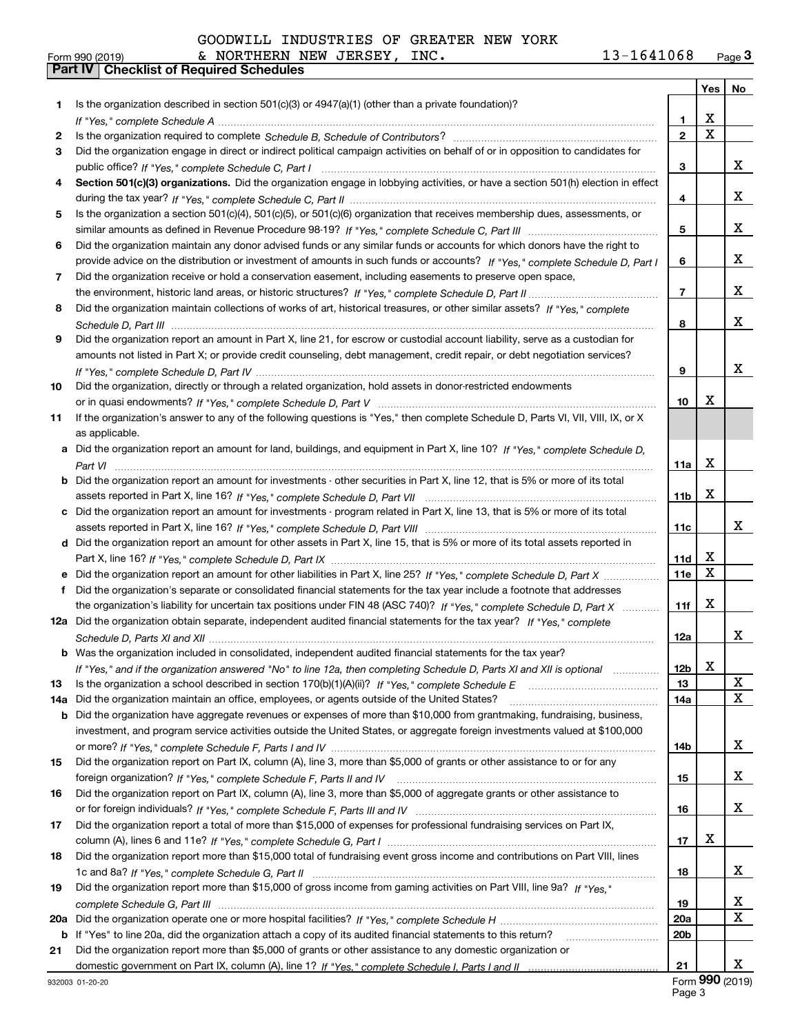| GOODWILL INDUSTRIES OF GREATER NEW YORK |
|-----------------------------------------|
|                                         |

|     |                                                                                                                                  |                 | Yes         | No             |
|-----|----------------------------------------------------------------------------------------------------------------------------------|-----------------|-------------|----------------|
| 1   | Is the organization described in section $501(c)(3)$ or $4947(a)(1)$ (other than a private foundation)?                          |                 |             |                |
|     |                                                                                                                                  | 1               | x           |                |
| 2   |                                                                                                                                  | $\overline{2}$  | $\mathbf X$ |                |
| 3   | Did the organization engage in direct or indirect political campaign activities on behalf of or in opposition to candidates for  |                 |             |                |
|     |                                                                                                                                  | 3               |             | x              |
| 4   | Section 501(c)(3) organizations. Did the organization engage in lobbying activities, or have a section 501(h) election in effect |                 |             |                |
|     |                                                                                                                                  | 4               |             | x              |
| 5   | Is the organization a section 501(c)(4), 501(c)(5), or 501(c)(6) organization that receives membership dues, assessments, or     |                 |             |                |
|     |                                                                                                                                  | 5               |             | x              |
| 6   | Did the organization maintain any donor advised funds or any similar funds or accounts for which donors have the right to        |                 |             |                |
|     | provide advice on the distribution or investment of amounts in such funds or accounts? If "Yes," complete Schedule D, Part I     | 6               |             | x              |
| 7   | Did the organization receive or hold a conservation easement, including easements to preserve open space,                        |                 |             |                |
|     |                                                                                                                                  | $\overline{7}$  |             | x              |
| 8   | Did the organization maintain collections of works of art, historical treasures, or other similar assets? If "Yes," complete     |                 |             |                |
|     |                                                                                                                                  | 8               |             | x              |
| 9   | Did the organization report an amount in Part X, line 21, for escrow or custodial account liability, serve as a custodian for    |                 |             |                |
|     | amounts not listed in Part X; or provide credit counseling, debt management, credit repair, or debt negotiation services?        |                 |             |                |
|     |                                                                                                                                  | 9               |             | x              |
| 10  | Did the organization, directly or through a related organization, hold assets in donor-restricted endowments                     |                 |             |                |
|     |                                                                                                                                  | 10              | х           |                |
| 11  | If the organization's answer to any of the following questions is "Yes," then complete Schedule D, Parts VI, VII, VIII, IX, or X |                 |             |                |
|     | as applicable.                                                                                                                   |                 |             |                |
|     | a Did the organization report an amount for land, buildings, and equipment in Part X, line 10? If "Yes," complete Schedule D.    |                 | х           |                |
|     |                                                                                                                                  | 11a             |             |                |
| b   | Did the organization report an amount for investments - other securities in Part X, line 12, that is 5% or more of its total     | 11 <sub>b</sub> | X           |                |
|     | c Did the organization report an amount for investments - program related in Part X, line 13, that is 5% or more of its total    |                 |             |                |
|     |                                                                                                                                  | 11c             |             | х              |
|     | d Did the organization report an amount for other assets in Part X, line 15, that is 5% or more of its total assets reported in  |                 |             |                |
|     |                                                                                                                                  | 11d             | X           |                |
|     |                                                                                                                                  | 11e             | X           |                |
| f   | Did the organization's separate or consolidated financial statements for the tax year include a footnote that addresses          |                 |             |                |
|     | the organization's liability for uncertain tax positions under FIN 48 (ASC 740)? If "Yes," complete Schedule D, Part X           | 11f             | X           |                |
|     | 12a Did the organization obtain separate, independent audited financial statements for the tax year? If "Yes," complete          |                 |             |                |
|     |                                                                                                                                  | 12a             |             | x              |
|     | <b>b</b> Was the organization included in consolidated, independent audited financial statements for the tax year?               |                 |             |                |
|     | If "Yes," and if the organization answered "No" to line 12a, then completing Schedule D, Parts XI and XII is optional            | 12 <sub>b</sub> | X           |                |
| 13  | Is the organization a school described in section 170(b)(1)(A)(ii)? If "Yes," complete Schedule E                                | 13              |             | х              |
| 14a | Did the organization maintain an office, employees, or agents outside of the United States?                                      | 14a             |             | X              |
| b   | Did the organization have aggregate revenues or expenses of more than \$10,000 from grantmaking, fundraising, business,          |                 |             |                |
|     | investment, and program service activities outside the United States, or aggregate foreign investments valued at \$100,000       |                 |             |                |
|     |                                                                                                                                  | 14b             |             | x              |
| 15  | Did the organization report on Part IX, column (A), line 3, more than \$5,000 of grants or other assistance to or for any        |                 |             |                |
|     |                                                                                                                                  | 15              |             | x              |
| 16  | Did the organization report on Part IX, column (A), line 3, more than \$5,000 of aggregate grants or other assistance to         |                 |             |                |
|     |                                                                                                                                  | 16              |             | x              |
| 17  | Did the organization report a total of more than \$15,000 of expenses for professional fundraising services on Part IX,          |                 |             |                |
|     |                                                                                                                                  | 17              | х           |                |
| 18  | Did the organization report more than \$15,000 total of fundraising event gross income and contributions on Part VIII, lines     |                 |             | X,             |
|     | Did the organization report more than \$15,000 of gross income from gaming activities on Part VIII, line 9a? If "Yes."           | 18              |             |                |
| 19  |                                                                                                                                  | 19              |             | x              |
| 20a |                                                                                                                                  | 20a             |             | X              |
| b   | If "Yes" to line 20a, did the organization attach a copy of its audited financial statements to this return?                     | 20 <sub>b</sub> |             |                |
| 21  | Did the organization report more than \$5,000 of grants or other assistance to any domestic organization or                      |                 |             |                |
|     |                                                                                                                                  | 21              |             | x              |
|     |                                                                                                                                  |                 |             | $000$ $(0010)$ |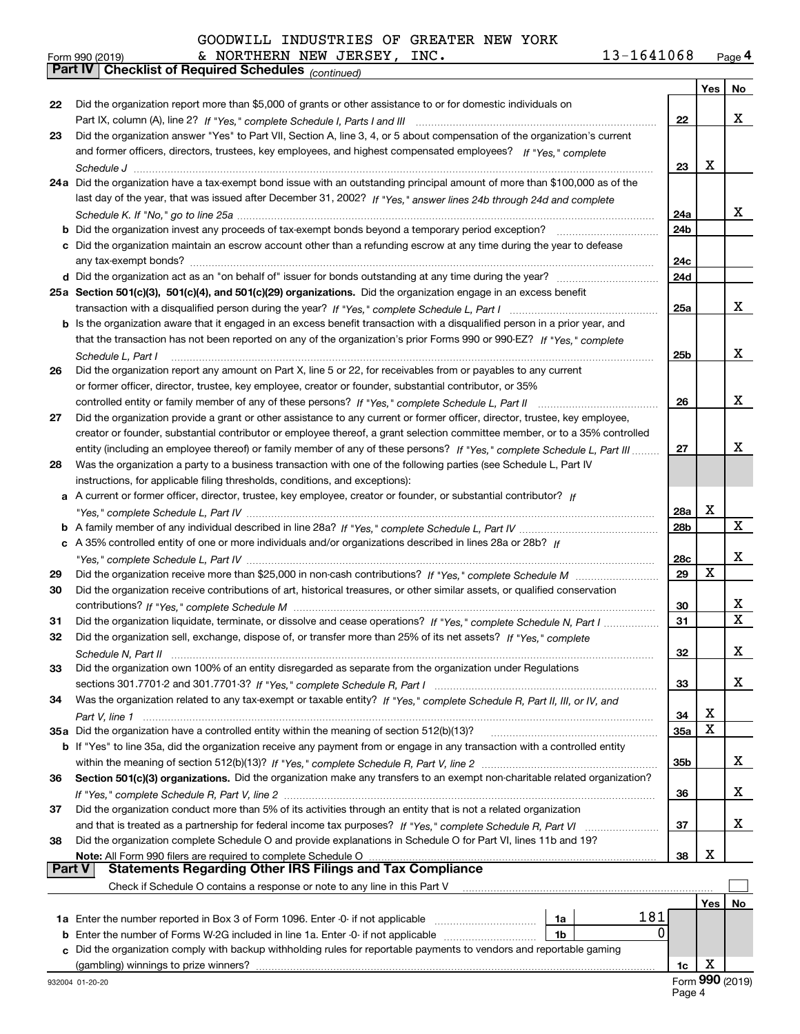|               | & NORTHERN NEW JERSEY, INC.<br>13-1641068<br>Form 990 (2019)                                                                 |                 |     | Page 4           |
|---------------|------------------------------------------------------------------------------------------------------------------------------|-----------------|-----|------------------|
|               | Part IV   Checklist of Required Schedules (continued)                                                                        |                 |     |                  |
|               |                                                                                                                              |                 | Yes | No               |
| 22            | Did the organization report more than \$5,000 of grants or other assistance to or for domestic individuals on                |                 |     |                  |
|               |                                                                                                                              | 22              |     | х                |
| 23            | Did the organization answer "Yes" to Part VII, Section A, line 3, 4, or 5 about compensation of the organization's current   |                 |     |                  |
|               | and former officers, directors, trustees, key employees, and highest compensated employees? If "Yes," complete               |                 |     |                  |
|               |                                                                                                                              | 23              | х   |                  |
|               | 24a Did the organization have a tax-exempt bond issue with an outstanding principal amount of more than \$100,000 as of the  |                 |     |                  |
|               | last day of the year, that was issued after December 31, 2002? If "Yes," answer lines 24b through 24d and complete           |                 |     |                  |
|               |                                                                                                                              | 24a             |     | x                |
|               | c Did the organization maintain an escrow account other than a refunding escrow at any time during the year to defease       | 24 <sub>b</sub> |     |                  |
|               |                                                                                                                              | 24c             |     |                  |
|               |                                                                                                                              | 24d             |     |                  |
|               | 25a Section 501(c)(3), 501(c)(4), and 501(c)(29) organizations. Did the organization engage in an excess benefit             |                 |     |                  |
|               |                                                                                                                              | 25a             |     | х                |
|               | b Is the organization aware that it engaged in an excess benefit transaction with a disqualified person in a prior year, and |                 |     |                  |
|               | that the transaction has not been reported on any of the organization's prior Forms 990 or 990-EZ? If "Yes," complete        |                 |     |                  |
|               | Schedule L. Part I                                                                                                           | 25b             |     | х                |
| 26            | Did the organization report any amount on Part X, line 5 or 22, for receivables from or payables to any current              |                 |     |                  |
|               | or former officer, director, trustee, key employee, creator or founder, substantial contributor, or 35%                      |                 |     |                  |
|               | controlled entity or family member of any of these persons? If "Yes," complete Schedule L, Part II                           | 26              |     | x                |
| 27            | Did the organization provide a grant or other assistance to any current or former officer, director, trustee, key employee,  |                 |     |                  |
|               | creator or founder, substantial contributor or employee thereof, a grant selection committee member, or to a 35% controlled  |                 |     |                  |
|               | entity (including an employee thereof) or family member of any of these persons? If "Yes," complete Schedule L, Part III     |                 |     | х                |
| 28            | Was the organization a party to a business transaction with one of the following parties (see Schedule L, Part IV            |                 |     |                  |
|               | instructions, for applicable filing thresholds, conditions, and exceptions):                                                 |                 |     |                  |
|               | a A current or former officer, director, trustee, key employee, creator or founder, or substantial contributor? If           |                 |     |                  |
|               |                                                                                                                              | 28a             | х   |                  |
|               |                                                                                                                              | 28b             |     | X                |
|               | c A 35% controlled entity of one or more individuals and/or organizations described in lines 28a or 28b? If                  |                 |     |                  |
|               |                                                                                                                              | 28c             |     | х                |
| 29            |                                                                                                                              | 29              | X   |                  |
| 30            | Did the organization receive contributions of art, historical treasures, or other similar assets, or qualified conservation  |                 |     |                  |
|               |                                                                                                                              | 30              |     | х<br>$\mathbf X$ |
| 31            | Did the organization liquidate, terminate, or dissolve and cease operations? If "Yes," complete Schedule N, Part I           | 31              |     |                  |
|               | Did the organization sell, exchange, dispose of, or transfer more than 25% of its net assets? If "Yes," complete             |                 |     |                  |
|               | Did the organization own 100% of an entity disregarded as separate from the organization under Regulations                   | 32              |     | X                |
| 33            |                                                                                                                              |                 |     | x                |
| 34            | Was the organization related to any tax-exempt or taxable entity? If "Yes," complete Schedule R, Part II, III, or IV, and    | 33              |     |                  |
|               |                                                                                                                              | 34              | х   |                  |
|               | 35a Did the organization have a controlled entity within the meaning of section 512(b)(13)?                                  | 35a             | X   |                  |
|               | b If "Yes" to line 35a, did the organization receive any payment from or engage in any transaction with a controlled entity  |                 |     |                  |
|               |                                                                                                                              | 35b             |     | х                |
| 36            | Section 501(c)(3) organizations. Did the organization make any transfers to an exempt non-charitable related organization?   |                 |     |                  |
|               |                                                                                                                              | 36              |     | x                |
| 37            | Did the organization conduct more than 5% of its activities through an entity that is not a related organization             |                 |     |                  |
|               |                                                                                                                              | 37              |     | x                |
| 38            | Did the organization complete Schedule O and provide explanations in Schedule O for Part VI, lines 11b and 19?               |                 |     |                  |
|               | Note: All Form 990 filers are required to complete Schedule O                                                                | 38              | х   |                  |
| <b>Part V</b> | <b>Statements Regarding Other IRS Filings and Tax Compliance</b>                                                             |                 |     |                  |
|               | Check if Schedule O contains a response or note to any line in this Part V                                                   |                 |     |                  |
|               |                                                                                                                              |                 | Yes | No               |
|               | 181<br>1a Enter the number reported in Box 3 of Form 1096. Enter -0- if not applicable<br>1a                                 |                 |     |                  |
|               | 1b                                                                                                                           | 0               |     |                  |
|               | c Did the organization comply with backup withholding rules for reportable payments to vendors and reportable gaming         |                 |     |                  |
|               |                                                                                                                              | 1c              | х   |                  |

932004 01-20-20

|  | Form 990 (2019)            |  |
|--|----------------------------|--|
|  | $D$ <sub>and</sub> $N$ $D$ |  |

|  | <b>UIII</b> JJJ |    |  | . |
|--|-----------------|----|--|---|
|  |                 | г. |  |   |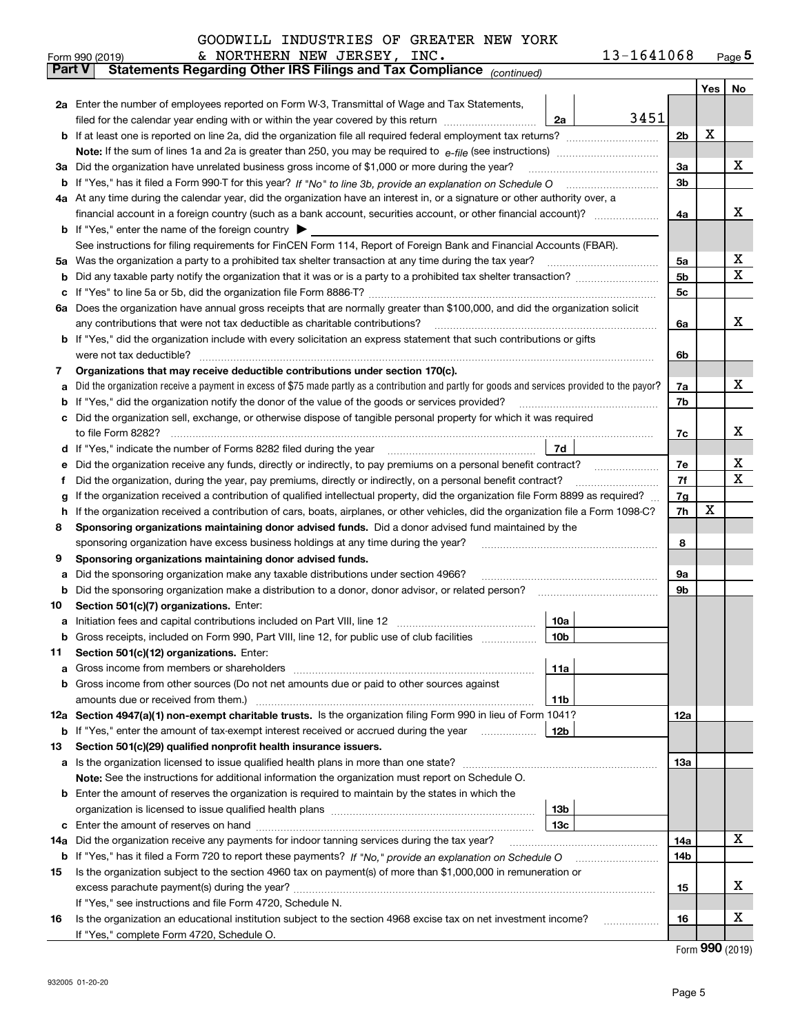| GOODWILL INDUSTRIES OF GREATER NEW YORK |  |  |  |  |
|-----------------------------------------|--|--|--|--|
|-----------------------------------------|--|--|--|--|

|               |                                                                                                                                  | & NORTHERN NEW JERSEY, INC.<br>Form 990 (2019)                                                                                                  |                 | 13-1641068 |                |     | $_{\text{Page}}$ 5 |
|---------------|----------------------------------------------------------------------------------------------------------------------------------|-------------------------------------------------------------------------------------------------------------------------------------------------|-----------------|------------|----------------|-----|--------------------|
| <b>Part V</b> |                                                                                                                                  | Statements Regarding Other IRS Filings and Tax Compliance (continued)                                                                           |                 |            |                |     |                    |
|               |                                                                                                                                  |                                                                                                                                                 |                 |            |                | Yes | No                 |
|               |                                                                                                                                  | 2a Enter the number of employees reported on Form W-3, Transmittal of Wage and Tax Statements,                                                  |                 |            |                |     |                    |
|               |                                                                                                                                  | filed for the calendar year ending with or within the year covered by this return <i>manumumumum</i>                                            | 2a              | 3451       |                |     |                    |
|               |                                                                                                                                  |                                                                                                                                                 |                 |            | 2 <sub>b</sub> | X   |                    |
|               |                                                                                                                                  |                                                                                                                                                 |                 |            |                |     |                    |
|               |                                                                                                                                  | 3a Did the organization have unrelated business gross income of \$1,000 or more during the year?                                                |                 |            | 3a             |     | x                  |
|               |                                                                                                                                  |                                                                                                                                                 |                 |            | 3b             |     |                    |
|               |                                                                                                                                  | 4a At any time during the calendar year, did the organization have an interest in, or a signature or other authority over, a                    |                 |            |                |     |                    |
|               |                                                                                                                                  |                                                                                                                                                 |                 |            | 4a             |     | x                  |
|               |                                                                                                                                  | <b>b</b> If "Yes," enter the name of the foreign country $\blacktriangleright$                                                                  |                 |            |                |     |                    |
|               |                                                                                                                                  | See instructions for filing requirements for FinCEN Form 114, Report of Foreign Bank and Financial Accounts (FBAR).                             |                 |            |                |     |                    |
| 5a            |                                                                                                                                  | Was the organization a party to a prohibited tax shelter transaction at any time during the tax year?                                           |                 |            | 5a             |     | x                  |
| b             |                                                                                                                                  |                                                                                                                                                 |                 |            | 5 <sub>b</sub> |     | x                  |
| c             |                                                                                                                                  |                                                                                                                                                 |                 |            | 5c             |     |                    |
|               |                                                                                                                                  | 6a Does the organization have annual gross receipts that are normally greater than \$100,000, and did the organization solicit                  |                 |            |                |     |                    |
|               |                                                                                                                                  | any contributions that were not tax deductible as charitable contributions?                                                                     |                 |            | 6a             |     | x                  |
|               |                                                                                                                                  | b If "Yes," did the organization include with every solicitation an express statement that such contributions or gifts                          |                 |            |                |     |                    |
|               |                                                                                                                                  | were not tax deductible?                                                                                                                        |                 |            | 6b             |     |                    |
| 7             |                                                                                                                                  | Organizations that may receive deductible contributions under section 170(c).                                                                   |                 |            |                |     |                    |
| a             |                                                                                                                                  | Did the organization receive a payment in excess of \$75 made partly as a contribution and partly for goods and services provided to the payor? |                 |            | 7a             |     | x                  |
| b             |                                                                                                                                  | If "Yes," did the organization notify the donor of the value of the goods or services provided?                                                 |                 |            | 7b             |     |                    |
|               |                                                                                                                                  | Did the organization sell, exchange, or otherwise dispose of tangible personal property for which it was required                               |                 |            |                |     |                    |
|               |                                                                                                                                  |                                                                                                                                                 |                 |            | 7c             |     | x                  |
| d             |                                                                                                                                  |                                                                                                                                                 | 7d              |            |                |     |                    |
| е             |                                                                                                                                  | Did the organization receive any funds, directly or indirectly, to pay premiums on a personal benefit contract?                                 |                 |            | 7e             |     | х                  |
| f             |                                                                                                                                  | Did the organization, during the year, pay premiums, directly or indirectly, on a personal benefit contract?                                    |                 |            | 7f             |     | x                  |
| g             | If the organization received a contribution of qualified intellectual property, did the organization file Form 8899 as required? |                                                                                                                                                 |                 |            |                |     |                    |
| h.            |                                                                                                                                  | If the organization received a contribution of cars, boats, airplanes, or other vehicles, did the organization file a Form 1098-C?              |                 |            | 7h             | x   |                    |
| 8             |                                                                                                                                  | Sponsoring organizations maintaining donor advised funds. Did a donor advised fund maintained by the                                            |                 |            |                |     |                    |
|               |                                                                                                                                  | sponsoring organization have excess business holdings at any time during the year?                                                              |                 |            | 8              |     |                    |
| 9             |                                                                                                                                  | Sponsoring organizations maintaining donor advised funds.                                                                                       |                 |            |                |     |                    |
| a             |                                                                                                                                  | Did the sponsoring organization make any taxable distributions under section 4966?                                                              |                 |            | 9а             |     |                    |
| b             |                                                                                                                                  | Did the sponsoring organization make a distribution to a donor, donor advisor, or related person?                                               |                 |            | 9b             |     |                    |
| 10            |                                                                                                                                  | Section 501(c)(7) organizations. Enter:                                                                                                         |                 |            |                |     |                    |
|               |                                                                                                                                  |                                                                                                                                                 | 10a             |            |                |     |                    |
|               |                                                                                                                                  | Gross receipts, included on Form 990, Part VIII, line 12, for public use of club facilities                                                     | 10 <sub>b</sub> |            |                |     |                    |
| 11            |                                                                                                                                  | Section 501(c)(12) organizations. Enter:                                                                                                        |                 |            |                |     |                    |
| a             |                                                                                                                                  | Gross income from members or shareholders                                                                                                       | 11a             |            |                |     |                    |
|               |                                                                                                                                  | b Gross income from other sources (Do not net amounts due or paid to other sources against                                                      |                 |            |                |     |                    |
|               |                                                                                                                                  |                                                                                                                                                 | 11 <sub>b</sub> |            |                |     |                    |
|               |                                                                                                                                  | 12a Section 4947(a)(1) non-exempt charitable trusts. Is the organization filing Form 990 in lieu of Form 1041?                                  |                 |            | 12a            |     |                    |
|               |                                                                                                                                  | <b>b</b> If "Yes," enter the amount of tax-exempt interest received or accrued during the year                                                  | 12b             |            |                |     |                    |
| 13            |                                                                                                                                  | Section 501(c)(29) qualified nonprofit health insurance issuers.                                                                                |                 |            |                |     |                    |
|               |                                                                                                                                  | a Is the organization licensed to issue qualified health plans in more than one state?                                                          |                 |            | 13a            |     |                    |
|               |                                                                                                                                  | Note: See the instructions for additional information the organization must report on Schedule O.                                               |                 |            |                |     |                    |
|               |                                                                                                                                  | <b>b</b> Enter the amount of reserves the organization is required to maintain by the states in which the                                       |                 |            |                |     |                    |
|               |                                                                                                                                  |                                                                                                                                                 | 13 <sub>b</sub> |            |                |     |                    |
|               |                                                                                                                                  |                                                                                                                                                 | 13 <sub>c</sub> |            |                |     |                    |
| 14a           |                                                                                                                                  | Did the organization receive any payments for indoor tanning services during the tax year?                                                      |                 |            | 14a            |     | x                  |
|               |                                                                                                                                  | <b>b</b> If "Yes," has it filed a Form 720 to report these payments? If "No," provide an explanation on Schedule O                              |                 |            | 14b            |     |                    |
| 15            |                                                                                                                                  | Is the organization subject to the section 4960 tax on payment(s) of more than \$1,000,000 in remuneration or                                   |                 |            |                |     |                    |
|               |                                                                                                                                  |                                                                                                                                                 |                 |            | 15             |     | x                  |
|               |                                                                                                                                  | If "Yes," see instructions and file Form 4720, Schedule N.                                                                                      |                 |            |                |     |                    |
| 16            |                                                                                                                                  | Is the organization an educational institution subject to the section 4968 excise tax on net investment income?                                 |                 |            | 16             |     | х                  |
|               |                                                                                                                                  | If "Yes," complete Form 4720, Schedule O.                                                                                                       |                 |            |                |     |                    |

Form (2019) **990**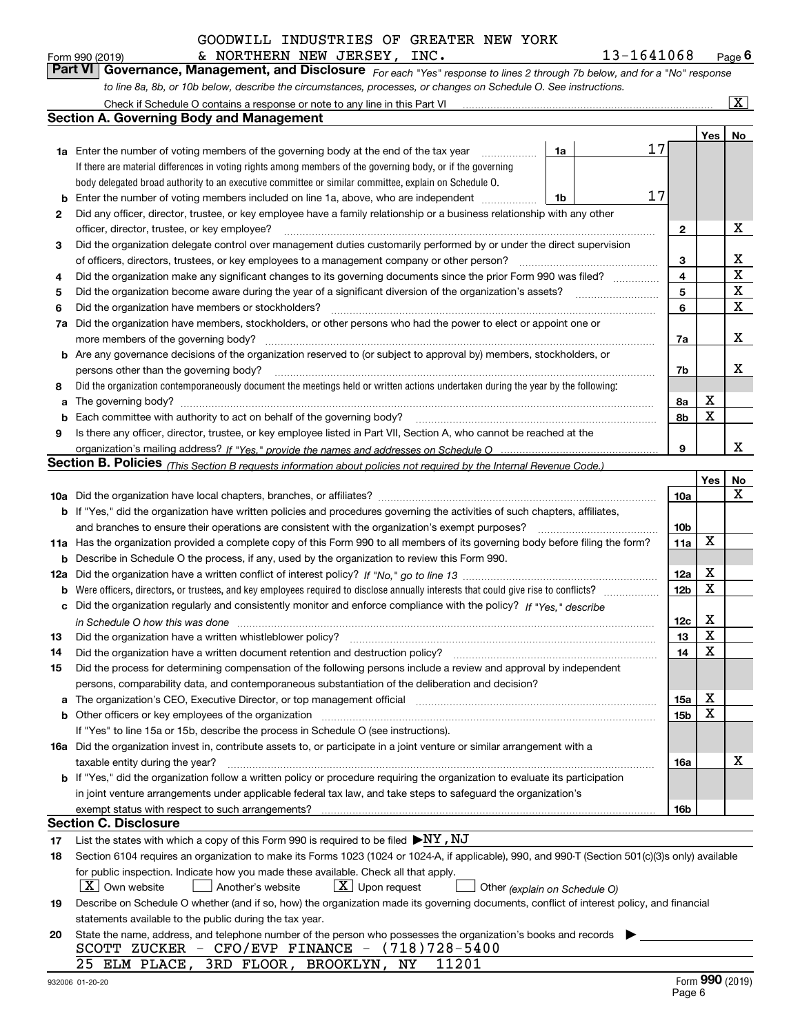*For each "Yes" response to lines 2 through 7b below, and for a "No" response* Form 990 (2019) **6 Convert Governance, Mondat Alexandria 6 Convert Convert Convert Convert Convert Convert Convert Convert Convert Convert Convert Page 6 Page 6 Page 6 Page 6 Page 6 Page 6 Page 6 Page 6 Page 6 Page 6 Pag** & NORTHERN NEW JERSEY, INC. 13-1641068

*to line 8a, 8b, or 10b below, describe the circumstances, processes, or changes on Schedule O. See instructions.* Check if Schedule O contains a response or note to any line in this Part VI

|     | Check if Schedule O contains a response or note to any line in this Part VI                                                                                           |    |    |                 |     | $\boxed{\text{X}}$ |
|-----|-----------------------------------------------------------------------------------------------------------------------------------------------------------------------|----|----|-----------------|-----|--------------------|
|     | Section A. Governing Body and Management                                                                                                                              |    |    |                 |     |                    |
|     |                                                                                                                                                                       |    |    |                 | Yes | No                 |
|     | 1a Enter the number of voting members of the governing body at the end of the tax year                                                                                | 1a | 17 |                 |     |                    |
|     | If there are material differences in voting rights among members of the governing body, or if the governing                                                           |    |    |                 |     |                    |
|     | body delegated broad authority to an executive committee or similar committee, explain on Schedule O.                                                                 |    |    |                 |     |                    |
| b   | Enter the number of voting members included on line 1a, above, who are independent                                                                                    | 1b | 17 |                 |     |                    |
| 2   | Did any officer, director, trustee, or key employee have a family relationship or a business relationship with any other                                              |    |    |                 |     |                    |
|     | officer, director, trustee, or key employee?                                                                                                                          |    | .  | $\mathbf{2}$    |     | х                  |
| 3   | Did the organization delegate control over management duties customarily performed by or under the direct supervision                                                 |    |    |                 |     |                    |
|     | of officers, directors, trustees, or key employees to a management company or other person?                                                                           |    |    | 3               |     | х                  |
| 4   | Did the organization make any significant changes to its governing documents since the prior Form 990 was filed?                                                      |    |    |                 |     |                    |
| 5   |                                                                                                                                                                       |    |    | 5               |     | X                  |
| 6   | Did the organization have members or stockholders?                                                                                                                    |    |    | 6               |     | $\mathbf X$        |
| 7a  | Did the organization have members, stockholders, or other persons who had the power to elect or appoint one or                                                        |    |    |                 |     |                    |
|     | more members of the governing body?                                                                                                                                   |    |    | 7a              |     | х                  |
|     | <b>b</b> Are any governance decisions of the organization reserved to (or subject to approval by) members, stockholders, or                                           |    |    |                 |     |                    |
|     | persons other than the governing body?                                                                                                                                |    |    | 7b              |     | х                  |
| 8   | Did the organization contemporaneously document the meetings held or written actions undertaken during the year by the following:                                     |    |    |                 |     |                    |
| a   |                                                                                                                                                                       |    |    | 8а              | х   |                    |
| b   |                                                                                                                                                                       |    |    | 8b              | X   |                    |
| 9   | Is there any officer, director, trustee, or key employee listed in Part VII, Section A, who cannot be reached at the                                                  |    |    |                 |     |                    |
|     |                                                                                                                                                                       |    |    | 9               |     | x                  |
|     | Section B. Policies <sub>(This Section B requests information about policies not required by the Internal Revenue Code.)</sub>                                        |    |    |                 |     |                    |
|     |                                                                                                                                                                       |    |    |                 | Yes | No                 |
|     |                                                                                                                                                                       |    |    | 10a             |     | Х                  |
|     | <b>b</b> If "Yes," did the organization have written policies and procedures governing the activities of such chapters, affiliates,                                   |    |    |                 |     |                    |
|     | and branches to ensure their operations are consistent with the organization's exempt purposes?                                                                       |    |    | 10 <sub>b</sub> |     |                    |
|     | 11a Has the organization provided a complete copy of this Form 990 to all members of its governing body before filing the form?                                       |    |    | 11a             | X   |                    |
| b   | Describe in Schedule O the process, if any, used by the organization to review this Form 990.                                                                         |    |    |                 |     |                    |
| 12a |                                                                                                                                                                       |    |    | 12a             | X   |                    |
| b   |                                                                                                                                                                       |    |    | 12 <sub>b</sub> | X   |                    |
| c   | Did the organization regularly and consistently monitor and enforce compliance with the policy? If "Yes." describe                                                    |    |    |                 |     |                    |
|     | in Schedule O how this was done measured and contain an account of the state of the state of the state of the                                                         |    |    | 12c             | х   |                    |
| 13  | Did the organization have a written whistleblower policy?                                                                                                             |    |    | 13              | X   |                    |
| 14  | Did the organization have a written document retention and destruction policy?                                                                                        |    |    | 14              | X   |                    |
| 15  | Did the process for determining compensation of the following persons include a review and approval by independent                                                    |    |    |                 |     |                    |
|     | persons, comparability data, and contemporaneous substantiation of the deliberation and decision?                                                                     |    |    |                 |     |                    |
| а   | The organization's CEO, Executive Director, or top management official manufactured content of the organization's CEO, Executive Director, or top management official |    |    | 15a             | х   |                    |
|     |                                                                                                                                                                       |    |    | 15b             | х   |                    |
|     | If "Yes" to line 15a or 15b, describe the process in Schedule O (see instructions).                                                                                   |    |    |                 |     |                    |
|     | 16a Did the organization invest in, contribute assets to, or participate in a joint venture or similar arrangement with a                                             |    |    |                 |     |                    |
|     | taxable entity during the year?                                                                                                                                       |    |    | 16a             |     | х                  |
|     | b If "Yes," did the organization follow a written policy or procedure requiring the organization to evaluate its participation                                        |    |    |                 |     |                    |
|     | in joint venture arrangements under applicable federal tax law, and take steps to safequard the organization's                                                        |    |    |                 |     |                    |
|     | exempt status with respect to such arrangements?                                                                                                                      |    |    | 16b             |     |                    |
|     | <b>Section C. Disclosure</b>                                                                                                                                          |    |    |                 |     |                    |
| 17  | List the states with which a copy of this Form 990 is required to be filed $\blacktriangleright$ NY, NJ                                                               |    |    |                 |     |                    |
| 18  | Section 6104 requires an organization to make its Forms 1023 (1024 or 1024-A, if applicable), 990, and 990-T (Section 501(c)(3)s only) available                      |    |    |                 |     |                    |
|     | for public inspection. Indicate how you made these available. Check all that apply.                                                                                   |    |    |                 |     |                    |
|     | $\lfloor X \rfloor$ Own website<br>$X$ Upon request<br>Another's website<br>Other (explain on Schedule O)                                                             |    |    |                 |     |                    |
| 19  | Describe on Schedule O whether (and if so, how) the organization made its governing documents, conflict of interest policy, and financial                             |    |    |                 |     |                    |
|     | statements available to the public during the tax year.                                                                                                               |    |    |                 |     |                    |
| 20  | State the name, address, and telephone number of the person who possesses the organization's books and records                                                        |    |    |                 |     |                    |
|     | SCOTT ZUCKER - CFO/EVP FINANCE - (718)728-5400                                                                                                                        |    |    |                 |     |                    |
|     | 25 ELM PLACE, 3RD FLOOR, BROOKLYN, NY<br>11201                                                                                                                        |    |    |                 |     |                    |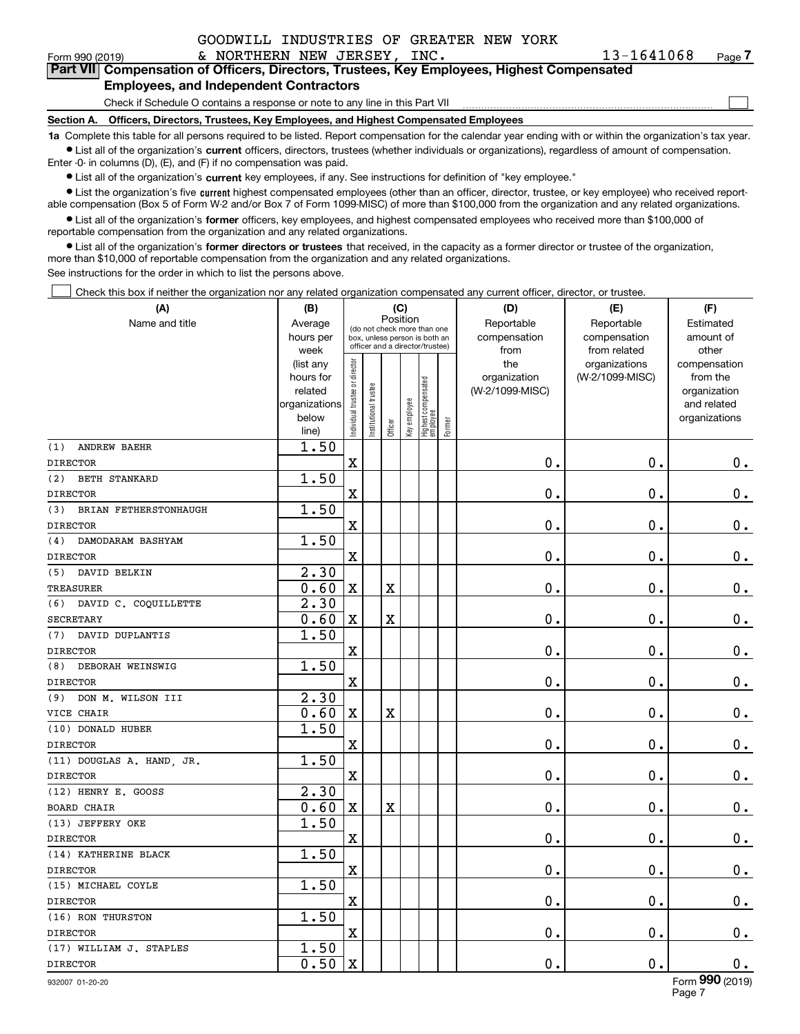| 13-1641068 | Pа |
|------------|----|
|------------|----|

 $\mathcal{L}^{\text{max}}$ 

| Form 990 (2019) |                                               | & NORTHERN NEW JERSEY, INC. |  | 13-1641068                                                                                 | Page 7 |
|-----------------|-----------------------------------------------|-----------------------------|--|--------------------------------------------------------------------------------------------|--------|
|                 |                                               |                             |  | Part VII Compensation of Officers, Directors, Trustees, Key Employees, Highest Compensated |        |
|                 | <b>Employees, and Independent Contractors</b> |                             |  |                                                                                            |        |

Check if Schedule O contains a response or note to any line in this Part VII

**Section A. Officers, Directors, Trustees, Key Employees, and Highest Compensated Employees**

**1a**  Complete this table for all persons required to be listed. Report compensation for the calendar year ending with or within the organization's tax year. **•** List all of the organization's current officers, directors, trustees (whether individuals or organizations), regardless of amount of compensation.

Enter -0- in columns (D), (E), and (F) if no compensation was paid.

 $\bullet$  List all of the organization's  $\,$ current key employees, if any. See instructions for definition of "key employee."

• List the organization's five current highest compensated employees (other than an officer, director, trustee, or key employee) who received report-■ List the organization's five current highest compensated employees (other than an officer, director, trustee, or key employee) who received report-<br>able compensation (Box 5 of Form W-2 and/or Box 7 of Form 1099-MISC) of

**•** List all of the organization's former officers, key employees, and highest compensated employees who received more than \$100,000 of reportable compensation from the organization and any related organizations.

**former directors or trustees**  ¥ List all of the organization's that received, in the capacity as a former director or trustee of the organization, more than \$10,000 of reportable compensation from the organization and any related organizations.

See instructions for the order in which to list the persons above.

Check this box if neither the organization nor any related organization compensated any current officer, director, or trustee.  $\mathcal{L}^{\text{max}}$ 

| (A)                          | (B)               |                                |                                                                  | (C)                     |              |                                   |        | (D)             | (E)                           | (F)                      |
|------------------------------|-------------------|--------------------------------|------------------------------------------------------------------|-------------------------|--------------|-----------------------------------|--------|-----------------|-------------------------------|--------------------------|
| Name and title               | Average           |                                | (do not check more than one                                      | Position                |              |                                   |        | Reportable      | Reportable                    | Estimated                |
|                              | hours per         |                                | box, unless person is both an<br>officer and a director/trustee) |                         |              |                                   |        | compensation    | compensation                  | amount of                |
|                              | week<br>(list any |                                |                                                                  |                         |              |                                   |        | from<br>the     | from related<br>organizations | other<br>compensation    |
|                              | hours for         |                                |                                                                  |                         |              |                                   |        | organization    | (W-2/1099-MISC)               | from the                 |
|                              | related           |                                |                                                                  |                         |              |                                   |        | (W-2/1099-MISC) |                               | organization             |
|                              | organizations     |                                |                                                                  |                         |              |                                   |        |                 |                               | and related              |
|                              | below             | n dividual trustee or director | nstitutional trustee                                             |                         | Key employee | Highest compensated<br>  employee | Former |                 |                               | organizations            |
|                              | line)             |                                |                                                                  | Officer                 |              |                                   |        |                 |                               |                          |
| (1)<br><b>ANDREW BAEHR</b>   | 1.50              |                                |                                                                  |                         |              |                                   |        |                 |                               |                          |
| <b>DIRECTOR</b>              |                   | $\mathbf X$                    |                                                                  |                         |              |                                   |        | $\mathbf 0$ .   | $\mathbf 0$ .                 | $\mathbf 0$ .            |
| (2)<br><b>BETH STANKARD</b>  | 1.50              |                                |                                                                  |                         |              |                                   |        |                 |                               |                          |
| <b>DIRECTOR</b>              |                   | $\mathbf X$                    |                                                                  |                         |              |                                   |        | 0.              | 0.                            | $0$ .                    |
| BRIAN FETHERSTONHAUGH<br>(3) | 1.50              |                                |                                                                  |                         |              |                                   |        |                 |                               |                          |
| <b>DIRECTOR</b>              |                   | $\mathbf X$                    |                                                                  |                         |              |                                   |        | 0.              | $\mathbf 0$ .                 | $\mathbf 0$ .            |
| (4)<br>DAMODARAM BASHYAM     | 1.50              |                                |                                                                  |                         |              |                                   |        |                 |                               |                          |
| <b>DIRECTOR</b>              |                   | $\mathbf x$                    |                                                                  |                         |              |                                   |        | $\mathbf 0$ .   | $\mathbf 0$ .                 | $0$ .                    |
| DAVID BELKIN<br>(5)          | 2.30              |                                |                                                                  |                         |              |                                   |        |                 |                               |                          |
| <b>TREASURER</b>             | 0.60              | X                              |                                                                  | X                       |              |                                   |        | $0$ .           | $\mathbf 0$ .                 | $\mathbf 0$ .            |
| DAVID C. COQUILLETTE<br>(6)  | 2.30              |                                |                                                                  |                         |              |                                   |        |                 |                               |                          |
| <b>SECRETARY</b>             | 0.60              | $\mathbf X$                    |                                                                  | $\overline{\textbf{X}}$ |              |                                   |        | $\mathbf 0$ .   | $\mathbf 0$ .                 | $0$ .                    |
| DAVID DUPLANTIS<br>(7)       | 1.50              |                                |                                                                  |                         |              |                                   |        |                 |                               |                          |
| <b>DIRECTOR</b>              |                   | $\mathbf X$                    |                                                                  |                         |              |                                   |        | 0.              | $\mathbf 0$ .                 | $0_{.}$                  |
| DEBORAH WEINSWIG<br>(8)      | 1.50              |                                |                                                                  |                         |              |                                   |        |                 |                               |                          |
| <b>DIRECTOR</b>              |                   | $\mathbf x$                    |                                                                  |                         |              |                                   |        | $\mathbf 0$ .   | $\mathbf 0$ .                 | $\mathbf 0$ .            |
| DON M. WILSON III<br>(9)     | 2.30              |                                |                                                                  |                         |              |                                   |        |                 |                               |                          |
| VICE CHAIR                   | 0.60              | $\mathbf X$                    |                                                                  | X                       |              |                                   |        | $\mathbf 0$ .   | $\mathbf 0$ .                 | $\mathbf 0$ .            |
| (10) DONALD HUBER            | 1.50              |                                |                                                                  |                         |              |                                   |        |                 |                               |                          |
| <b>DIRECTOR</b>              |                   | $\mathbf X$                    |                                                                  |                         |              |                                   |        | $\mathbf{0}$ .  | $\mathbf 0$ .                 | $\mathbf 0$ .            |
| (11) DOUGLAS A. HAND, JR.    | 1.50              |                                |                                                                  |                         |              |                                   |        |                 |                               |                          |
| <b>DIRECTOR</b>              |                   | $\mathbf X$                    |                                                                  |                         |              |                                   |        | $\mathbf 0$ .   | $\mathbf 0$ .                 | $0_{.}$                  |
| (12) HENRY E. GOOSS          | 2.30              |                                |                                                                  |                         |              |                                   |        |                 |                               |                          |
| <b>BOARD CHAIR</b>           | 0.60              | $\mathbf x$                    |                                                                  | X                       |              |                                   |        | $\mathbf 0$ .   | $\mathbf 0$ .                 | $0_{.}$                  |
| (13) JEFFERY OKE             | 1.50              |                                |                                                                  |                         |              |                                   |        |                 |                               |                          |
| <b>DIRECTOR</b>              |                   | $\mathbf X$                    |                                                                  |                         |              |                                   |        | $\mathbf 0$ .   | $\mathbf 0$ .                 | $\mathbf 0$ .            |
| (14) KATHERINE BLACK         | 1.50              |                                |                                                                  |                         |              |                                   |        |                 |                               |                          |
| <b>DIRECTOR</b>              |                   | $\mathbf X$                    |                                                                  |                         |              |                                   |        | $\mathbf 0$ .   | $\mathbf 0$ .                 | $\mathbf 0$ .            |
| (15) MICHAEL COYLE           | 1.50              |                                |                                                                  |                         |              |                                   |        |                 |                               |                          |
| <b>DIRECTOR</b>              |                   | $\mathbf X$                    |                                                                  |                         |              |                                   |        | 0.              | $\mathbf 0$ .                 | $\mathbf 0$ .            |
| (16) RON THURSTON            | 1.50              |                                |                                                                  |                         |              |                                   |        |                 |                               |                          |
| <b>DIRECTOR</b>              |                   | $\mathbf X$                    |                                                                  |                         |              |                                   |        | 0.              | $\mathbf 0$ .                 | $0$ .                    |
| (17) WILLIAM J. STAPLES      | 1.50              |                                |                                                                  |                         |              |                                   |        |                 |                               |                          |
| <b>DIRECTOR</b>              | 0.50              | $\mathbf X$                    |                                                                  |                         |              |                                   |        | $\mathbf 0$ .   | $\mathbf 0$ .                 | 0.                       |
|                              |                   |                                |                                                                  |                         |              |                                   |        |                 |                               | $\overline{\phantom{a}}$ |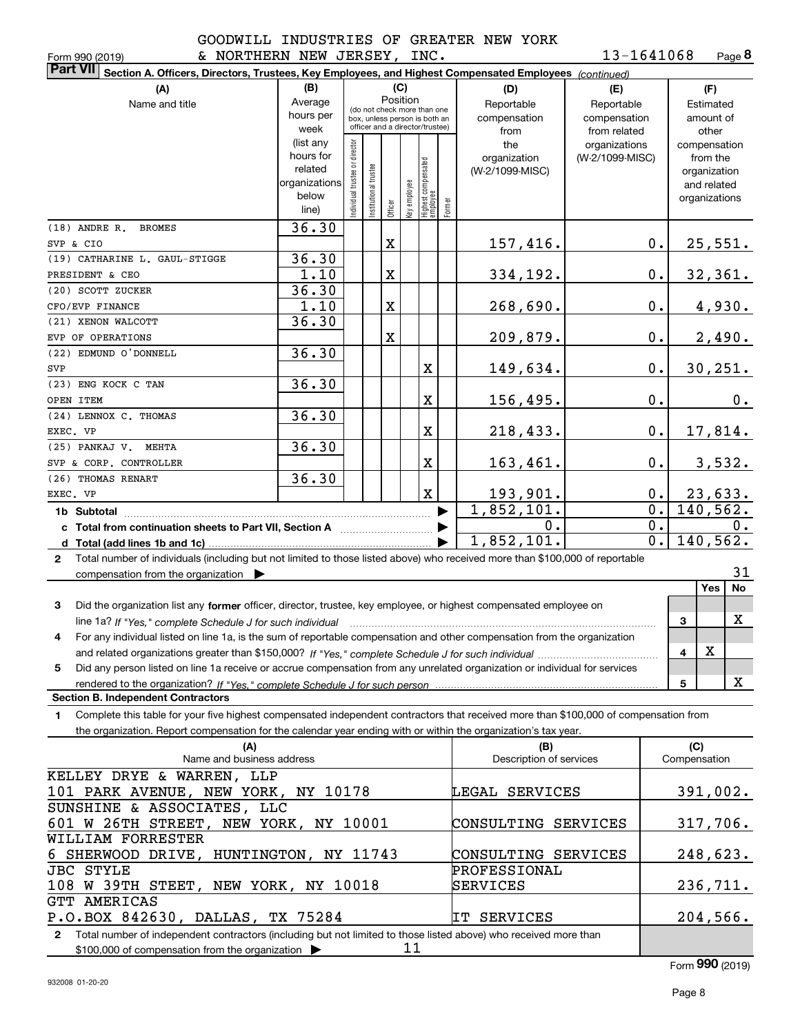Form 990 (2019) & NORTHERN NEW JERSEY, INC . 1 $3$ - $16\,4\,10\,6\,8$  Page

**8**13-1641068

| <b>Part VII</b> | Section A. Officers, Directors, Trustees, Key Employees, and Highest Compensated Employees (continued)                               |                   |                               |                      |          |              |                                                                  |        |                         |                                  |              |                          |
|-----------------|--------------------------------------------------------------------------------------------------------------------------------------|-------------------|-------------------------------|----------------------|----------|--------------|------------------------------------------------------------------|--------|-------------------------|----------------------------------|--------------|--------------------------|
|                 | (A)                                                                                                                                  | (B)               |                               |                      |          | (C)          |                                                                  |        | (D)                     | (E)                              |              | (F)                      |
|                 | Name and title                                                                                                                       | Average           |                               |                      | Position |              | (do not check more than one                                      |        | Reportable              | Reportable                       |              | Estimated                |
|                 |                                                                                                                                      | hours per         |                               |                      |          |              | box, unless person is both an<br>officer and a director/trustee) |        | compensation            | compensation                     |              | amount of                |
|                 |                                                                                                                                      | week<br>(list any |                               |                      |          |              |                                                                  |        | from                    | from related                     |              | other                    |
|                 |                                                                                                                                      | hours for         |                               |                      |          |              |                                                                  |        | the<br>organization     | organizations<br>(W-2/1099-MISC) |              | compensation<br>from the |
|                 |                                                                                                                                      | related           |                               |                      |          |              |                                                                  |        | (W-2/1099-MISC)         |                                  |              | organization             |
|                 |                                                                                                                                      | organizations     |                               |                      |          |              |                                                                  |        |                         |                                  |              | and related              |
|                 |                                                                                                                                      | below             | ndividual trustee or director | nstitutional trustee | Officer  | Key employee | Highest compensated<br> employee                                 | Former |                         |                                  |              | organizations            |
|                 |                                                                                                                                      | line)             |                               |                      |          |              |                                                                  |        |                         |                                  |              |                          |
|                 | (18) ANDRE R. BROMES                                                                                                                 | 36.30             |                               |                      |          |              |                                                                  |        |                         |                                  |              |                          |
| SVP & CIO       |                                                                                                                                      | 36.30             |                               |                      | X        |              |                                                                  |        | 157,416.                | $0$ .                            |              | 25,551.                  |
|                 | (19) CATHARINE L. GAUL-STIGGE<br>PRESIDENT & CEO                                                                                     | 1.10              |                               |                      | X        |              |                                                                  |        |                         | 0.                               |              |                          |
|                 | (20) SCOTT ZUCKER                                                                                                                    | 36.30             |                               |                      |          |              |                                                                  |        | 334,192.                |                                  |              | 32,361.                  |
|                 | CFO/EVP FINANCE                                                                                                                      | 1.10              |                               |                      | X        |              |                                                                  |        | 268,690.                | 0.                               |              | 4,930.                   |
|                 | (21) XENON WALCOTT                                                                                                                   | 36.30             |                               |                      |          |              |                                                                  |        |                         |                                  |              |                          |
|                 | EVP OF OPERATIONS                                                                                                                    |                   |                               |                      | X        |              |                                                                  |        | 209,879.                | 0.                               |              | 2,490.                   |
|                 | (22) EDMUND O'DONNELL                                                                                                                | 36.30             |                               |                      |          |              |                                                                  |        |                         |                                  |              |                          |
| SVP             |                                                                                                                                      |                   |                               |                      |          |              | X                                                                |        | 149,634.                | 0.                               |              | 30, 251.                 |
|                 | (23) ENG KOCK C TAN                                                                                                                  | 36.30             |                               |                      |          |              |                                                                  |        |                         |                                  |              |                          |
| OPEN ITEM       |                                                                                                                                      |                   |                               |                      |          |              | X                                                                |        | 156,495.                | 0.                               |              | 0.                       |
|                 | (24) LENNOX C. THOMAS                                                                                                                | 36.30             |                               |                      |          |              |                                                                  |        |                         |                                  |              |                          |
| EXEC. VP        |                                                                                                                                      |                   |                               |                      |          |              | X                                                                |        | 218,433.                | 0.                               |              | 17,814.                  |
|                 | (25) PANKAJ V. MEHTA                                                                                                                 | 36.30             |                               |                      |          |              |                                                                  |        |                         |                                  |              |                          |
|                 | SVP & CORP. CONTROLLER                                                                                                               |                   |                               |                      |          |              | X                                                                |        | 163,461.                | 0.                               |              | 3,532.                   |
|                 | (26) THOMAS RENART                                                                                                                   | 36.30             |                               |                      |          |              |                                                                  |        |                         |                                  |              |                          |
| EXEC. VP        |                                                                                                                                      |                   |                               |                      |          |              | X                                                                |        | 193,901.                | О.                               |              | 23,633.                  |
|                 | 1b Subtotal                                                                                                                          |                   |                               |                      |          |              |                                                                  |        | 1,852,101.              | 0.                               |              | 140,562.                 |
|                 | c Total from continuation sheets to Part VII, Section A manufactured in the Total from continuum                                     |                   |                               |                      |          |              |                                                                  | ▶      | 0.                      | 0.                               |              | 0.                       |
|                 |                                                                                                                                      |                   |                               |                      |          |              |                                                                  |        | 1,852,101.              |                                  | 0.           | 140,562.                 |
|                 | 2 Total number of individuals (including but not limited to those listed above) who received more than \$100,000 of reportable       |                   |                               |                      |          |              |                                                                  |        |                         |                                  |              |                          |
|                 | compensation from the organization $\blacktriangleright$                                                                             |                   |                               |                      |          |              |                                                                  |        |                         |                                  |              | 31                       |
|                 |                                                                                                                                      |                   |                               |                      |          |              |                                                                  |        |                         |                                  |              | No<br>Yes                |
| 3               | Did the organization list any former officer, director, trustee, key employee, or highest compensated employee on                    |                   |                               |                      |          |              |                                                                  |        |                         |                                  |              |                          |
|                 | line 1a? If "Yes," complete Schedule J for such individual                                                                           |                   |                               |                      |          |              |                                                                  |        |                         |                                  | 3            | X                        |
| 4               | For any individual listed on line 1a, is the sum of reportable compensation and other compensation from the organization             |                   |                               |                      |          |              |                                                                  |        |                         |                                  |              | x                        |
| 5               | Did any person listed on line 1a receive or accrue compensation from any unrelated organization or individual for services           |                   |                               |                      |          |              |                                                                  |        |                         |                                  | 4            |                          |
|                 | rendered to the organization? If "Yes." complete Schedule J for such person                                                          |                   |                               |                      |          |              |                                                                  |        |                         |                                  | 5            | x                        |
|                 | <b>Section B. Independent Contractors</b>                                                                                            |                   |                               |                      |          |              |                                                                  |        |                         |                                  |              |                          |
| 1.              | Complete this table for your five highest compensated independent contractors that received more than \$100,000 of compensation from |                   |                               |                      |          |              |                                                                  |        |                         |                                  |              |                          |
|                 | the organization. Report compensation for the calendar year ending with or within the organization's tax year.                       |                   |                               |                      |          |              |                                                                  |        |                         |                                  |              |                          |
|                 | (A)                                                                                                                                  |                   |                               |                      |          |              |                                                                  |        | (B)                     |                                  | (C)          |                          |
|                 | Name and business address                                                                                                            |                   |                               |                      |          |              |                                                                  |        | Description of services |                                  | Compensation |                          |
|                 | KELLEY DRYE & WARREN, LLP                                                                                                            |                   |                               |                      |          |              |                                                                  |        |                         |                                  |              |                          |
|                 | 101 PARK AVENUE, NEW YORK, NY 10178                                                                                                  |                   |                               |                      |          |              |                                                                  |        | LEGAL SERVICES          |                                  |              | 391,002.                 |
|                 | SUNSHINE & ASSOCIATES, LLC                                                                                                           |                   |                               |                      |          |              |                                                                  |        |                         |                                  |              |                          |
|                 | 601 W 26TH STREET, NEW YORK, NY 10001                                                                                                |                   |                               |                      |          |              |                                                                  |        | CONSULTING SERVICES     |                                  |              | 317,706.                 |
|                 | WILLIAM FORRESTER                                                                                                                    |                   |                               |                      |          |              |                                                                  |        |                         |                                  |              |                          |
|                 | 6 SHERWOOD DRIVE, HUNTINGTON, NY 11743                                                                                               |                   |                               |                      |          |              |                                                                  |        | CONSULTING SERVICES     |                                  |              | <u>248,623.</u>          |
|                 | <b>JBC STYLE</b>                                                                                                                     |                   |                               |                      |          |              |                                                                  |        | PROFESSIONAL            |                                  |              |                          |
|                 | 108 W 39TH STEET, NEW YORK, NY 10018                                                                                                 |                   |                               |                      |          |              |                                                                  |        | SERVICES                |                                  |              | 236,711.                 |
|                 | GTT AMERICAS                                                                                                                         |                   |                               |                      |          |              |                                                                  |        |                         |                                  |              |                          |

**2**Total number of independent contractors (including but not limited to those listed above) who received more than \$100,000 of compensation from the organization P.O.BOX 842630, DALLAS, TX 75284 11 IT SERVICES

Form (2019) **990**

204,566.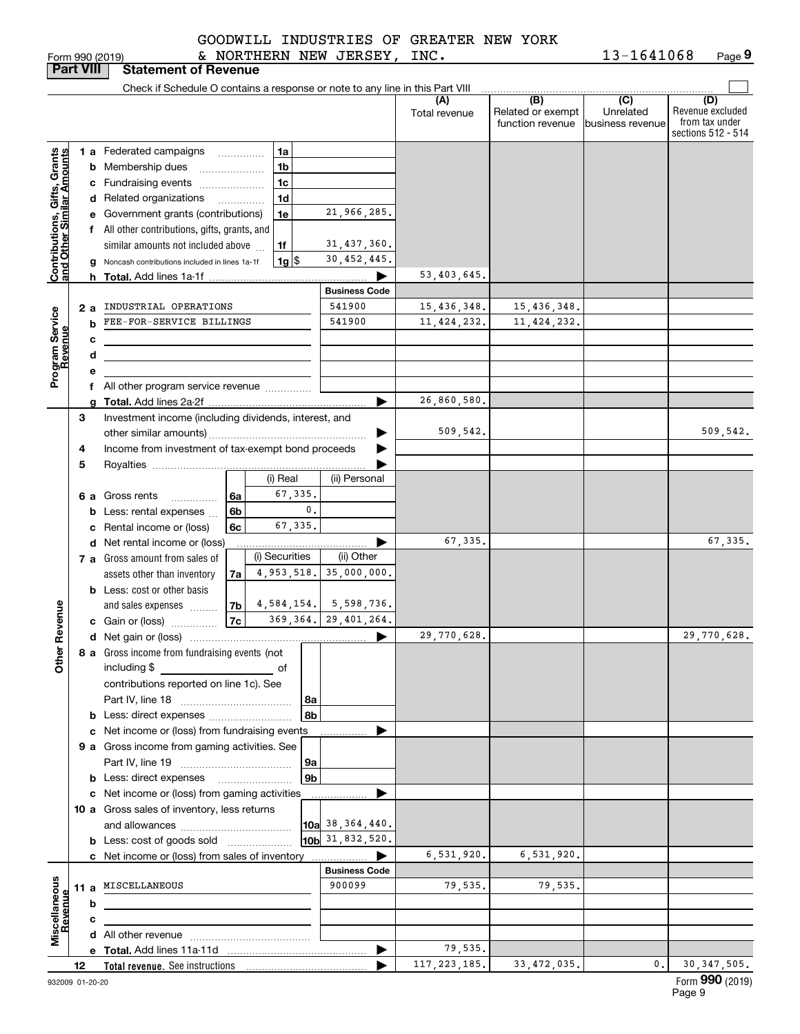|                             |  | GOODWILL INDUSTRIES OF GREATER NEW YORK |  |
|-----------------------------|--|-----------------------------------------|--|
| & NORTHERN NEW JERSEY, INC. |  |                                         |  |

Form 990 (2019) & NOR'I'HE'RN NEW JERSEY, INC。 I\_3-I\_64\_IU68 Page **9** 13-1641068

| <b>Part VIII</b>                                          |    |    | <b>Statement of Revenue</b>                                                                     |                           |                       |                           |                      |                                              |                                      |                                                                 |
|-----------------------------------------------------------|----|----|-------------------------------------------------------------------------------------------------|---------------------------|-----------------------|---------------------------|----------------------|----------------------------------------------|--------------------------------------|-----------------------------------------------------------------|
|                                                           |    |    | Check if Schedule O contains a response or note to any line in this Part VIII                   |                           |                       |                           |                      |                                              |                                      |                                                                 |
|                                                           |    |    |                                                                                                 |                           |                       |                           | (A)<br>Total revenue | (B)<br>Related or exempt<br>function revenue | (C)<br>Unrelated<br>business revenue | (D)<br>Revenue excluded<br>from tax under<br>sections 512 - 514 |
|                                                           |    |    | 1 a Federated campaigns<br>.                                                                    |                           | 1a                    |                           |                      |                                              |                                      |                                                                 |
|                                                           |    |    | <b>b</b> Membership dues                                                                        |                           | 1 <sub>b</sub>        |                           |                      |                                              |                                      |                                                                 |
|                                                           |    |    | c Fundraising events                                                                            |                           | 1c                    |                           |                      |                                              |                                      |                                                                 |
|                                                           |    |    | d Related organizations<br>.                                                                    |                           | 1 <sub>d</sub>        |                           |                      |                                              |                                      |                                                                 |
| Contributions, Gifts, Grants<br>and Other Similar Amounts |    |    | e Government grants (contributions)                                                             |                           | 1e                    | 21,966,285.               |                      |                                              |                                      |                                                                 |
|                                                           |    |    | f All other contributions, gifts, grants, and                                                   |                           |                       |                           |                      |                                              |                                      |                                                                 |
|                                                           |    |    | similar amounts not included above                                                              |                           | 1f                    | 31, 437, 360.             |                      |                                              |                                      |                                                                 |
|                                                           |    |    | g Noncash contributions included in lines 1a-1f                                                 |                           | $1g$ $\frac{1}{3}$    | 30, 452, 445.             |                      |                                              |                                      |                                                                 |
|                                                           |    | h. |                                                                                                 |                           |                       |                           | 53, 403, 645.        |                                              |                                      |                                                                 |
|                                                           |    |    |                                                                                                 |                           |                       | <b>Business Code</b>      |                      |                                              |                                      |                                                                 |
|                                                           |    | 2a | INDUSTRIAL OPERATIONS                                                                           |                           |                       | 541900                    | 15,436,348.          | 15,436,348.                                  |                                      |                                                                 |
|                                                           |    | b  | FEE-FOR-SERVICE BILLINGS                                                                        |                           |                       | 541900                    | 11, 424, 232.        | 11, 424, 232.                                |                                      |                                                                 |
|                                                           |    | с  |                                                                                                 |                           |                       |                           |                      |                                              |                                      |                                                                 |
|                                                           |    | d  |                                                                                                 |                           |                       |                           |                      |                                              |                                      |                                                                 |
| Program Service<br>Revenue                                |    | е  | f All other program service revenue                                                             |                           |                       |                           |                      |                                              |                                      |                                                                 |
|                                                           |    |    |                                                                                                 |                           |                       | ▶                         | 26,860,580.          |                                              |                                      |                                                                 |
|                                                           | З  |    | Investment income (including dividends, interest, and                                           |                           |                       |                           |                      |                                              |                                      |                                                                 |
|                                                           |    |    |                                                                                                 |                           |                       |                           | 509,542.             |                                              |                                      | 509, 542.                                                       |
|                                                           | 4  |    | Income from investment of tax-exempt bond proceeds                                              |                           |                       |                           |                      |                                              |                                      |                                                                 |
|                                                           | 5  |    |                                                                                                 |                           |                       |                           |                      |                                              |                                      |                                                                 |
|                                                           |    |    |                                                                                                 |                           | (i) Real              | (ii) Personal             |                      |                                              |                                      |                                                                 |
|                                                           |    |    | 6 a Gross rents                                                                                 | 6a                        | 67,335.               |                           |                      |                                              |                                      |                                                                 |
|                                                           |    |    | <b>b</b> Less: rental expenses                                                                  | 0.<br>6b<br>67,335.<br>6c |                       |                           |                      |                                              |                                      |                                                                 |
|                                                           |    |    | c Rental income or (loss)                                                                       |                           |                       |                           |                      |                                              |                                      |                                                                 |
|                                                           |    |    | d Net rental income or (loss)                                                                   |                           |                       |                           | 67,335.              |                                              |                                      | 67,335.                                                         |
|                                                           |    |    | 7 a Gross amount from sales of                                                                  |                           | (i) Securities        | (ii) Other<br>35,000,000. |                      |                                              |                                      |                                                                 |
|                                                           |    |    | assets other than inventory                                                                     | 4,953,518.<br>7a          |                       |                           |                      |                                              |                                      |                                                                 |
|                                                           |    |    | <b>b</b> Less: cost or other basis<br>and sales expenses                                        | 7b                        |                       | $4,584,154.$ 5,598,736.   |                      |                                              |                                      |                                                                 |
|                                                           |    |    | c Gain or (loss)                                                                                | 7c                        |                       | 369, 364. 29, 401, 264.   |                      |                                              |                                      |                                                                 |
| Revenue                                                   |    |    |                                                                                                 |                           |                       | ▶                         | 29,770,628.          |                                              |                                      | 29,770,628.                                                     |
|                                                           |    |    | 8 a Gross income from fundraising events (not                                                   |                           |                       |                           |                      |                                              |                                      |                                                                 |
| Other                                                     |    |    | including \$<br>and the contract of the contract of                                             |                           |                       |                           |                      |                                              |                                      |                                                                 |
|                                                           |    |    | contributions reported on line 1c). See                                                         |                           |                       |                           |                      |                                              |                                      |                                                                 |
|                                                           |    |    |                                                                                                 |                           | 8a                    |                           |                      |                                              |                                      |                                                                 |
|                                                           |    |    |                                                                                                 |                           | 8b                    |                           |                      |                                              |                                      |                                                                 |
|                                                           |    |    | c Net income or (loss) from fundraising events                                                  |                           |                       |                           |                      |                                              |                                      |                                                                 |
|                                                           |    |    | 9 a Gross income from gaming activities. See                                                    |                           |                       |                           |                      |                                              |                                      |                                                                 |
|                                                           |    |    |                                                                                                 |                           | ∣9a<br>9 <sub>b</sub> |                           |                      |                                              |                                      |                                                                 |
|                                                           |    |    | <b>b</b> Less: direct expenses <b>manually</b><br>c Net income or (loss) from gaming activities |                           |                       |                           |                      |                                              |                                      |                                                                 |
|                                                           |    |    | 10 a Gross sales of inventory, less returns                                                     |                           |                       |                           |                      |                                              |                                      |                                                                 |
|                                                           |    |    |                                                                                                 |                           |                       | $\vert$ 10a 38,364,440.   |                      |                                              |                                      |                                                                 |
|                                                           |    |    | <b>b</b> Less: cost of goods sold                                                               |                           |                       | 10b 31,832,520.           |                      |                                              |                                      |                                                                 |
|                                                           |    |    | c Net income or (loss) from sales of inventory                                                  |                           |                       |                           | 6,531,920.           | 6,531,920.                                   |                                      |                                                                 |
|                                                           |    |    |                                                                                                 |                           |                       | <b>Business Code</b>      |                      |                                              |                                      |                                                                 |
| Miscellaneous<br>Revenue                                  |    |    | 11 a MISCELLANEOUS                                                                              |                           |                       | 900099                    | 79,535.              | 79,535.                                      |                                      |                                                                 |
|                                                           |    | b  |                                                                                                 |                           |                       |                           |                      |                                              |                                      |                                                                 |
|                                                           |    | c  |                                                                                                 |                           |                       |                           |                      |                                              |                                      |                                                                 |
|                                                           |    |    |                                                                                                 |                           |                       |                           |                      |                                              |                                      |                                                                 |
|                                                           |    |    |                                                                                                 |                           |                       | ▶                         | 79,535.              |                                              |                                      |                                                                 |
|                                                           | 12 |    |                                                                                                 |                           |                       |                           | 117, 223, 185.       | 33, 472, 035.                                | $\mathbf{0}$ .                       | 30, 347, 505.<br>Form 990 (2019)                                |
| 932009 01-20-20                                           |    |    |                                                                                                 |                           |                       |                           |                      |                                              |                                      | Page 9                                                          |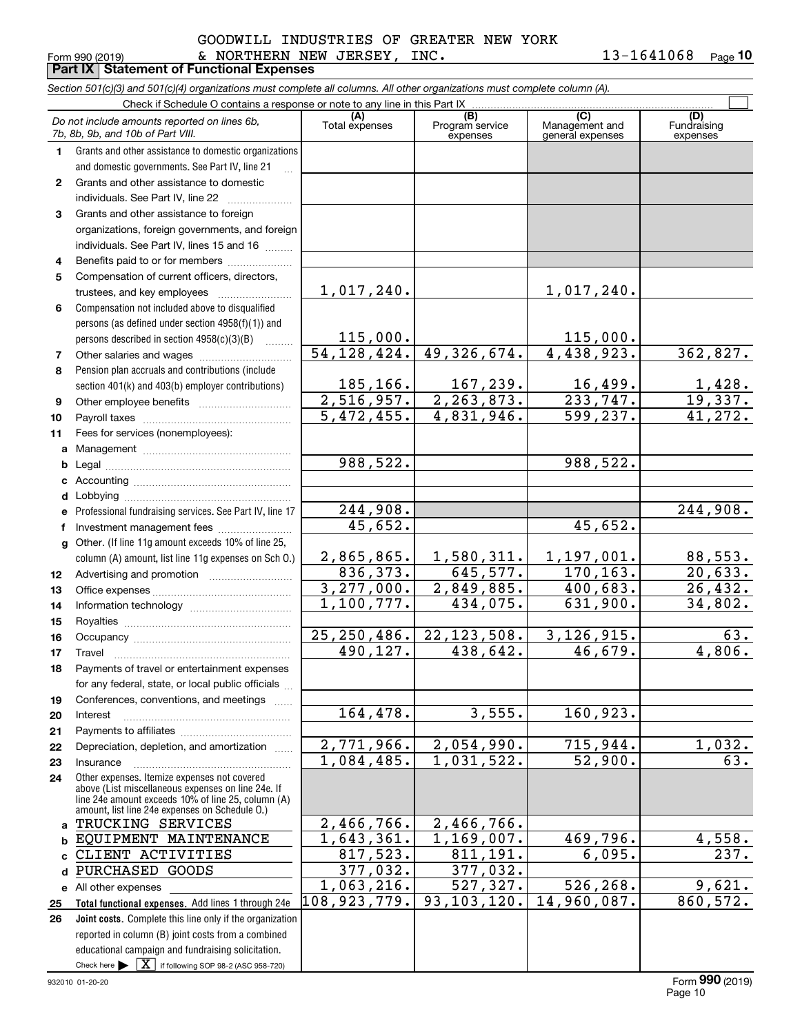#### Form 990 (2019) Page **Part IX Statement of Functional Expenses**  $\,$  NORTHERN NEW JERSEY, INC.  $\,$  13-1641068  $\,$ GOODWILL INDUSTRIES OF GREATER NEW YORK

**10**

|                  | Section 501(c)(3) and 501(c)(4) organizations must complete all columns. All other organizations must complete column (A).                                                                                 |                                        |                             |                                    |                                |  |  |  |  |  |  |  |  |
|------------------|------------------------------------------------------------------------------------------------------------------------------------------------------------------------------------------------------------|----------------------------------------|-----------------------------|------------------------------------|--------------------------------|--|--|--|--|--|--|--|--|
|                  | Check if Schedule O contains a response or note to any line in this Part IX<br>(B)<br>(C)                                                                                                                  |                                        |                             |                                    |                                |  |  |  |  |  |  |  |  |
|                  | Do not include amounts reported on lines 6b,<br>7b, 8b, 9b, and 10b of Part VIII.                                                                                                                          | Total expenses                         | Program service<br>expenses | Management and<br>general expenses | (D)<br>Fundraising<br>expenses |  |  |  |  |  |  |  |  |
| $\mathbf 1$      | Grants and other assistance to domestic organizations                                                                                                                                                      |                                        |                             |                                    |                                |  |  |  |  |  |  |  |  |
|                  | and domestic governments. See Part IV, line 21                                                                                                                                                             |                                        |                             |                                    |                                |  |  |  |  |  |  |  |  |
| $\mathbf{2}$     | Grants and other assistance to domestic                                                                                                                                                                    |                                        |                             |                                    |                                |  |  |  |  |  |  |  |  |
|                  | individuals. See Part IV, line 22                                                                                                                                                                          |                                        |                             |                                    |                                |  |  |  |  |  |  |  |  |
| 3                | Grants and other assistance to foreign                                                                                                                                                                     |                                        |                             |                                    |                                |  |  |  |  |  |  |  |  |
|                  | organizations, foreign governments, and foreign                                                                                                                                                            |                                        |                             |                                    |                                |  |  |  |  |  |  |  |  |
|                  | individuals. See Part IV, lines 15 and 16                                                                                                                                                                  |                                        |                             |                                    |                                |  |  |  |  |  |  |  |  |
| 4                | Benefits paid to or for members                                                                                                                                                                            |                                        |                             |                                    |                                |  |  |  |  |  |  |  |  |
| 5                | Compensation of current officers, directors,                                                                                                                                                               |                                        |                             |                                    |                                |  |  |  |  |  |  |  |  |
|                  | trustees, and key employees                                                                                                                                                                                | $1,017,240$ .                          |                             | $1,017,240$ .                      |                                |  |  |  |  |  |  |  |  |
| 6                | Compensation not included above to disqualified                                                                                                                                                            |                                        |                             |                                    |                                |  |  |  |  |  |  |  |  |
|                  | persons (as defined under section 4958(f)(1)) and                                                                                                                                                          |                                        |                             |                                    |                                |  |  |  |  |  |  |  |  |
|                  | persons described in section 4958(c)(3)(B)<br><b>Concert</b>                                                                                                                                               | 115,000.                               |                             | 115,000.                           |                                |  |  |  |  |  |  |  |  |
| 7                | Other salaries and wages                                                                                                                                                                                   | $\overline{54,128,424}$ .              | 49, 326, 674.               | 4,438,923.                         | 362,827.                       |  |  |  |  |  |  |  |  |
| 8                | Pension plan accruals and contributions (include                                                                                                                                                           |                                        |                             |                                    |                                |  |  |  |  |  |  |  |  |
|                  | section 401(k) and 403(b) employer contributions)                                                                                                                                                          | <u>185,166.</u>                        | <u>167,239.</u>             | $\frac{16,499.}{233,747.}$         | $\frac{1,428}{19,337}$         |  |  |  |  |  |  |  |  |
| 9                |                                                                                                                                                                                                            | 2,516,957.<br>$\overline{5,472,455}$ . | $\overline{2,263,873}$ .    | 599, 237.                          | $\overline{41,272.}$           |  |  |  |  |  |  |  |  |
| 10               |                                                                                                                                                                                                            |                                        | 4,831,946.                  |                                    |                                |  |  |  |  |  |  |  |  |
| 11               | Fees for services (nonemployees):                                                                                                                                                                          |                                        |                             |                                    |                                |  |  |  |  |  |  |  |  |
| a                |                                                                                                                                                                                                            | 988,522.                               |                             | 988,522.                           |                                |  |  |  |  |  |  |  |  |
| b                |                                                                                                                                                                                                            |                                        |                             |                                    |                                |  |  |  |  |  |  |  |  |
|                  |                                                                                                                                                                                                            |                                        |                             |                                    |                                |  |  |  |  |  |  |  |  |
| d                | Professional fundraising services. See Part IV, line 17                                                                                                                                                    | 244,908.                               |                             |                                    | 244,908.                       |  |  |  |  |  |  |  |  |
| f                | Investment management fees                                                                                                                                                                                 | 45,652.                                |                             | 45,652.                            |                                |  |  |  |  |  |  |  |  |
| g                | Other. (If line 11g amount exceeds 10% of line 25,                                                                                                                                                         |                                        |                             |                                    |                                |  |  |  |  |  |  |  |  |
|                  | column (A) amount, list line 11g expenses on Sch O.)                                                                                                                                                       | <u>2,865,865.</u>                      | <u>1,580,311.</u>           | 1,197,001.                         | 88,553.                        |  |  |  |  |  |  |  |  |
| 12 <sup>12</sup> |                                                                                                                                                                                                            | 836, 373.                              | 645, 577.                   | 170, 163.                          | 20,633.                        |  |  |  |  |  |  |  |  |
| 13               |                                                                                                                                                                                                            |                                        | 2,849,885.                  | 400,683.                           | 26,432.                        |  |  |  |  |  |  |  |  |
| 14               |                                                                                                                                                                                                            | $\frac{3,277,000}{1,100,777}$          | 434,075.                    | 631,900.                           | 34,802.                        |  |  |  |  |  |  |  |  |
| 15               |                                                                                                                                                                                                            |                                        |                             |                                    |                                |  |  |  |  |  |  |  |  |
| 16               |                                                                                                                                                                                                            | 25, 250, 486.                          | 22, 123, 508.               | 3, 126, 915.                       | 63.                            |  |  |  |  |  |  |  |  |
| 17               |                                                                                                                                                                                                            | 490,127.                               | 438,642.                    | 46,679.                            | 4,806.                         |  |  |  |  |  |  |  |  |
| 18               | Payments of travel or entertainment expenses                                                                                                                                                               |                                        |                             |                                    |                                |  |  |  |  |  |  |  |  |
|                  | for any federal, state, or local public officials                                                                                                                                                          |                                        |                             |                                    |                                |  |  |  |  |  |  |  |  |
| 19               | Conferences, conventions, and meetings<br>$\overline{1}$                                                                                                                                                   |                                        |                             |                                    |                                |  |  |  |  |  |  |  |  |
| 20               | Interest                                                                                                                                                                                                   | 164,478.                               | 3,555.                      | 160,923.                           |                                |  |  |  |  |  |  |  |  |
| 21               |                                                                                                                                                                                                            |                                        |                             |                                    |                                |  |  |  |  |  |  |  |  |
| 22               | Depreciation, depletion, and amortization                                                                                                                                                                  | 2,771,966.                             | 2,054,990.                  | 715,944.                           | <u>1,032.</u>                  |  |  |  |  |  |  |  |  |
| 23               | Insurance                                                                                                                                                                                                  | 1,084,485.                             | 1,031,522.                  | $\overline{52,900}$ .              | $\overline{63}$                |  |  |  |  |  |  |  |  |
| 24               | Other expenses. Itemize expenses not covered<br>above (List miscellaneous expenses on line 24e. If<br>line 24e amount exceeds 10% of line 25, column (A)<br>amount, list line 24e expenses on Schedule O.) |                                        |                             |                                    |                                |  |  |  |  |  |  |  |  |
| a                | TRUCKING SERVICES                                                                                                                                                                                          | 2,466,766.                             | 2,466,766.                  |                                    |                                |  |  |  |  |  |  |  |  |
| b                | EQUIPMENT MAINTENANCE                                                                                                                                                                                      | <u>1,643,361.</u>                      | 1,169,007.                  | 469,796.                           | 4,558.                         |  |  |  |  |  |  |  |  |
|                  | CLIENT ACTIVITIES                                                                                                                                                                                          | 817,523.                               | 811, 191.                   | 6,095.                             | 237.                           |  |  |  |  |  |  |  |  |
| d                | PURCHASED GOODS                                                                                                                                                                                            | <u>377,032.</u>                        | 377,032.                    |                                    |                                |  |  |  |  |  |  |  |  |
|                  | e All other expenses                                                                                                                                                                                       | 1,063,216.                             | 527,327.                    | 526,268.                           | 9,621.                         |  |  |  |  |  |  |  |  |
| 25               | Total functional expenses. Add lines 1 through 24e                                                                                                                                                         | 108,923,779.                           | 93, 103, 120.               | $14,960,087$ .                     | 860,572.                       |  |  |  |  |  |  |  |  |
| 26               | Joint costs. Complete this line only if the organization                                                                                                                                                   |                                        |                             |                                    |                                |  |  |  |  |  |  |  |  |
|                  | reported in column (B) joint costs from a combined                                                                                                                                                         |                                        |                             |                                    |                                |  |  |  |  |  |  |  |  |
|                  | educational campaign and fundraising solicitation.                                                                                                                                                         |                                        |                             |                                    |                                |  |  |  |  |  |  |  |  |
|                  | Check here $\blacktriangleright \boxed{\textbf{X}}$ if following SOP 98-2 (ASC 958-720)                                                                                                                    |                                        |                             |                                    |                                |  |  |  |  |  |  |  |  |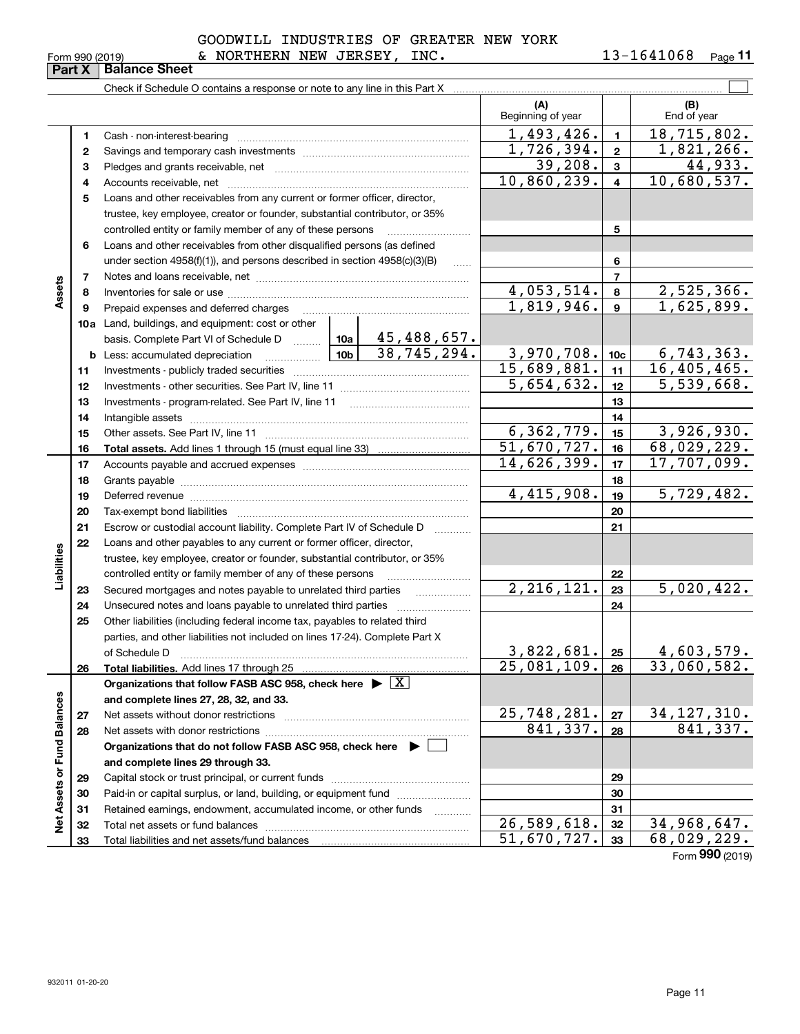**Part X Balance Sheet**

**11**

Form 990 (2019) & NORTHERN NEW JERSEY, INC.  $13\text{--}1641068$   $_\text{Page}$ GOODWILL INDUSTRIES OF GREATER NEW YORK

|                             |    | Check if Schedule O contains a response or note to any line in this Part X                                                                                                                                                     |                                  |                  |                          |
|-----------------------------|----|--------------------------------------------------------------------------------------------------------------------------------------------------------------------------------------------------------------------------------|----------------------------------|------------------|--------------------------|
|                             |    |                                                                                                                                                                                                                                | (A)<br>Beginning of year         |                  | (B)<br>End of year       |
|                             | 1  | Cash - non-interest-bearing                                                                                                                                                                                                    | 1,493,426.                       | $\blacksquare$   | 18,715,802.              |
|                             | 2  |                                                                                                                                                                                                                                | 1,726,394.                       | $\mathbf{2}$     | 1,821,266.               |
|                             | 3  |                                                                                                                                                                                                                                | 39,208.                          | 3                | 44,933.                  |
|                             | 4  |                                                                                                                                                                                                                                | 10,860,239.                      | $\overline{4}$   | 10,680,537.              |
|                             | 5  | Loans and other receivables from any current or former officer, director,                                                                                                                                                      |                                  |                  |                          |
|                             |    | trustee, key employee, creator or founder, substantial contributor, or 35%                                                                                                                                                     |                                  |                  |                          |
|                             |    | controlled entity or family member of any of these persons                                                                                                                                                                     |                                  | 5                |                          |
|                             | 6  | Loans and other receivables from other disqualified persons (as defined                                                                                                                                                        |                                  |                  |                          |
|                             |    | under section $4958(f)(1)$ , and persons described in section $4958(c)(3)(B)$                                                                                                                                                  |                                  | 6                |                          |
|                             | 7  |                                                                                                                                                                                                                                |                                  | $\overline{7}$   |                          |
| Assets                      | 8  |                                                                                                                                                                                                                                | 4,053,514.<br>1,819,946.         | 8                | 2,525,366.<br>1,625,899. |
|                             | 9  | Prepaid expenses and deferred charges                                                                                                                                                                                          |                                  | 9                |                          |
|                             |    | 10a Land, buildings, and equipment: cost or other<br>$45,488,657$ .                                                                                                                                                            |                                  |                  |                          |
|                             |    | basis. Complete Part VI of Schedule D  10a<br>38,745,294.<br>. 10b <u> </u><br><b>b</b> Less: accumulated depreciation                                                                                                         | 3,970,708.                       | 10 <sub>c</sub>  | 6, 743, 363.             |
|                             | 11 |                                                                                                                                                                                                                                | 15,689,881.                      | 11               | 16,405,465.              |
|                             | 12 |                                                                                                                                                                                                                                | 5,654,632.                       | 12 <sup>12</sup> | $\overline{5,539,668}$ . |
|                             | 13 |                                                                                                                                                                                                                                |                                  | 13               |                          |
|                             | 14 |                                                                                                                                                                                                                                |                                  | 14               |                          |
|                             | 15 |                                                                                                                                                                                                                                |                                  | 15               | 3,926,930.               |
|                             | 16 |                                                                                                                                                                                                                                | $\frac{6,362,779.}{51,670,727.}$ | 16               | 68,029,229.              |
|                             | 17 |                                                                                                                                                                                                                                | 14,626,399.                      | 17               | 17,707,099.              |
|                             | 18 |                                                                                                                                                                                                                                |                                  | 18               |                          |
|                             | 19 | Deferred revenue manual contracts and contracts are contracted and contract and contract are contracted and contract are contracted and contract are contracted and contract are contracted and contract are contracted and co | 4,415,908.                       | 19               | 5,729,482.               |
|                             | 20 |                                                                                                                                                                                                                                |                                  | 20               |                          |
|                             | 21 | Escrow or custodial account liability. Complete Part IV of Schedule D                                                                                                                                                          |                                  | 21               |                          |
|                             | 22 | Loans and other payables to any current or former officer, director,                                                                                                                                                           |                                  |                  |                          |
| Liabilities                 |    | trustee, key employee, creator or founder, substantial contributor, or 35%                                                                                                                                                     |                                  |                  |                          |
|                             |    | controlled entity or family member of any of these persons                                                                                                                                                                     |                                  | 22               |                          |
|                             | 23 | Secured mortgages and notes payable to unrelated third parties<br>.                                                                                                                                                            | 2, 216, 121.                     | 23               | 5,020,422.               |
|                             | 24 | Unsecured notes and loans payable to unrelated third parties                                                                                                                                                                   |                                  | 24               |                          |
|                             | 25 | Other liabilities (including federal income tax, payables to related third<br>parties, and other liabilities not included on lines 17-24). Complete Part X                                                                     |                                  |                  |                          |
|                             |    | of Schedule D                                                                                                                                                                                                                  | 3,822,681.                       | 25               | 4,603,579.               |
|                             | 26 | Total liabilities. Add lines 17 through 25                                                                                                                                                                                     | $25,081,109.$ 26                 |                  | 33,060,582.              |
|                             |    | Organizations that follow FASB ASC 958, check here $\blacktriangleright \boxed{X}$                                                                                                                                             |                                  |                  |                          |
|                             |    | and complete lines 27, 28, 32, and 33.                                                                                                                                                                                         |                                  |                  |                          |
|                             | 27 | Net assets without donor restrictions                                                                                                                                                                                          | 25,748,281.                      | 27               | 34, 127, 310.            |
|                             | 28 |                                                                                                                                                                                                                                | 841,337.                         | 28               | 841,337.                 |
|                             |    | Organizations that do not follow FASB ASC 958, check here $\blacktriangleright$ [                                                                                                                                              |                                  |                  |                          |
|                             |    | and complete lines 29 through 33.                                                                                                                                                                                              |                                  |                  |                          |
|                             | 29 |                                                                                                                                                                                                                                |                                  | 29               |                          |
| Net Assets or Fund Balances | 30 | Paid-in or capital surplus, or land, building, or equipment fund                                                                                                                                                               |                                  | 30               |                          |
|                             | 31 | Retained earnings, endowment, accumulated income, or other funds                                                                                                                                                               |                                  | 31               |                          |
|                             | 32 | Total net assets or fund balances                                                                                                                                                                                              | 26,589,618.                      | 32               | 34,968,647.              |
|                             | 33 |                                                                                                                                                                                                                                | 51,670,727.                      | 33               | 68,029,229.              |
|                             |    |                                                                                                                                                                                                                                |                                  |                  | Form 990 (2019)          |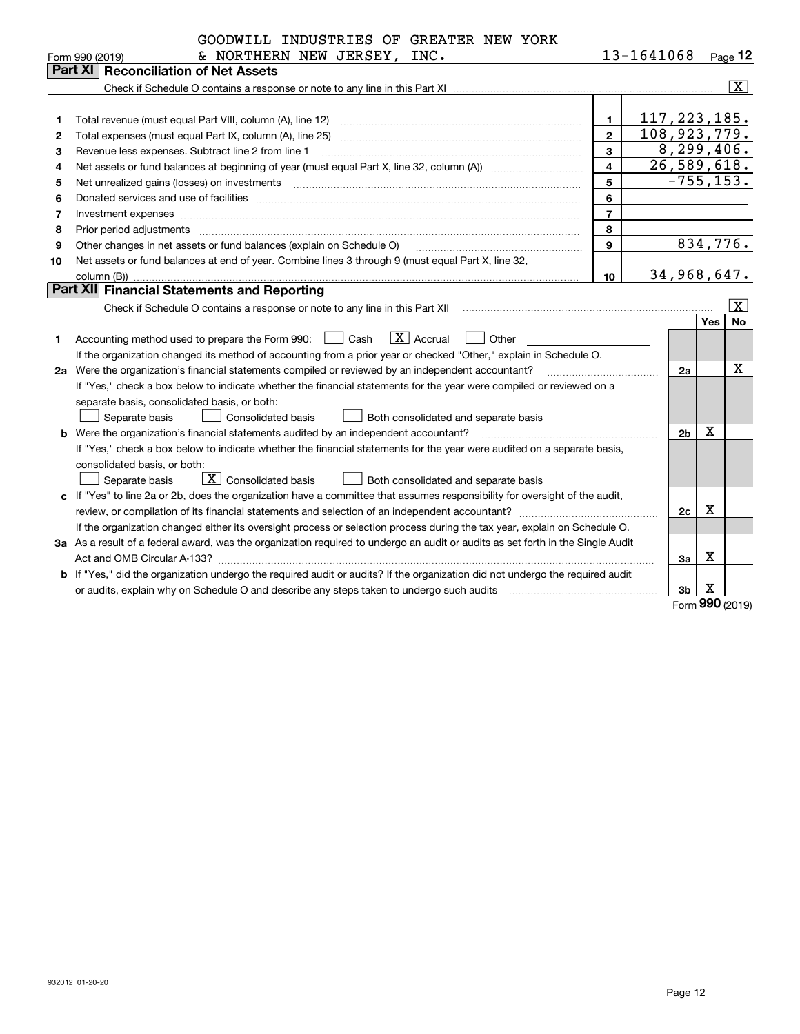|    | GOODWILL INDUSTRIES OF GREATER NEW YORK                                                                                         |                         |                |                |                                    |                         |
|----|---------------------------------------------------------------------------------------------------------------------------------|-------------------------|----------------|----------------|------------------------------------|-------------------------|
|    | & NORTHERN NEW JERSEY,<br>INC.<br>Form 990 (2019)                                                                               |                         | 13-1641068     |                |                                    | $Page$ 12               |
|    | <b>Reconciliation of Net Assets</b><br>Part XI                                                                                  |                         |                |                |                                    |                         |
|    |                                                                                                                                 |                         |                |                |                                    | $\overline{\mathbf{x}}$ |
|    |                                                                                                                                 |                         |                |                |                                    |                         |
| 1  | Total revenue (must equal Part VIII, column (A), line 12)                                                                       | $\mathbf{1}$            | 117, 223, 185. |                |                                    |                         |
| 2  | Total expenses (must equal Part IX, column (A), line 25)                                                                        | $\overline{2}$          | 108,923,779.   |                |                                    |                         |
| з  | Revenue less expenses. Subtract line 2 from line 1                                                                              | 3                       |                | 8, 299, 406.   |                                    |                         |
| 4  |                                                                                                                                 | $\overline{\mathbf{4}}$ |                | 26,589,618.    |                                    |                         |
| 5  | Net unrealized gains (losses) on investments                                                                                    | 5                       |                | $-755, 153.$   |                                    |                         |
| 6  |                                                                                                                                 | 6                       |                |                |                                    |                         |
| 7  |                                                                                                                                 | $\overline{7}$          |                |                |                                    |                         |
| 8  | Prior period adjustments                                                                                                        | 8                       |                |                |                                    |                         |
| 9  | Other changes in net assets or fund balances (explain on Schedule O)                                                            | $\mathbf{Q}$            |                |                |                                    | 834,776.                |
| 10 | Net assets or fund balances at end of year. Combine lines 3 through 9 (must equal Part X, line 32,                              |                         |                |                |                                    |                         |
|    | column (B))                                                                                                                     | 10                      |                | 34, 968, 647.  |                                    |                         |
|    | Part XII Financial Statements and Reporting                                                                                     |                         |                |                |                                    |                         |
|    | Check if Schedule O contains a response or note to any line in this Part XII munder contains an example of the                  |                         |                |                |                                    | $\mathbf{x}$            |
|    |                                                                                                                                 |                         |                |                | Yes                                | No                      |
| 1  | $\boxed{\text{X}}$ Accrual<br>Accounting method used to prepare the Form 990: <u>II</u> Cash<br>Other                           |                         |                |                |                                    |                         |
|    | If the organization changed its method of accounting from a prior year or checked "Other," explain in Schedule O.               |                         |                |                |                                    |                         |
|    | 2a Were the organization's financial statements compiled or reviewed by an independent accountant?                              |                         |                | 2a             |                                    | x                       |
|    | If "Yes," check a box below to indicate whether the financial statements for the year were compiled or reviewed on a            |                         |                |                |                                    |                         |
|    | separate basis, consolidated basis, or both:                                                                                    |                         |                |                |                                    |                         |
|    | <b>Consolidated basis</b><br>Separate basis<br>Both consolidated and separate basis                                             |                         |                |                |                                    |                         |
|    | <b>b</b> Were the organization's financial statements audited by an independent accountant?                                     |                         |                | 2 <sub>b</sub> | х                                  |                         |
|    | If "Yes," check a box below to indicate whether the financial statements for the year were audited on a separate basis,         |                         |                |                |                                    |                         |
|    | consolidated basis, or both:                                                                                                    |                         |                |                |                                    |                         |
|    | $\boxed{\textbf{X}}$ Consolidated basis<br>Both consolidated and separate basis<br>Separate basis                               |                         |                |                |                                    |                         |
|    | c If "Yes" to line 2a or 2b, does the organization have a committee that assumes responsibility for oversight of the audit,     |                         |                |                |                                    |                         |
|    |                                                                                                                                 |                         |                | 2c             | х                                  |                         |
|    | If the organization changed either its oversight process or selection process during the tax year, explain on Schedule O.       |                         |                |                |                                    |                         |
|    | 3a As a result of a federal award, was the organization required to undergo an audit or audits as set forth in the Single Audit |                         |                |                |                                    |                         |
|    |                                                                                                                                 |                         |                | За             | х                                  |                         |
|    | b If "Yes," did the organization undergo the required audit or audits? If the organization did not undergo the required audit   |                         |                |                |                                    |                         |
|    |                                                                                                                                 |                         |                | 3 <sub>b</sub> | X<br>$\alpha \alpha \wedge \alpha$ |                         |

Form (2019) **990**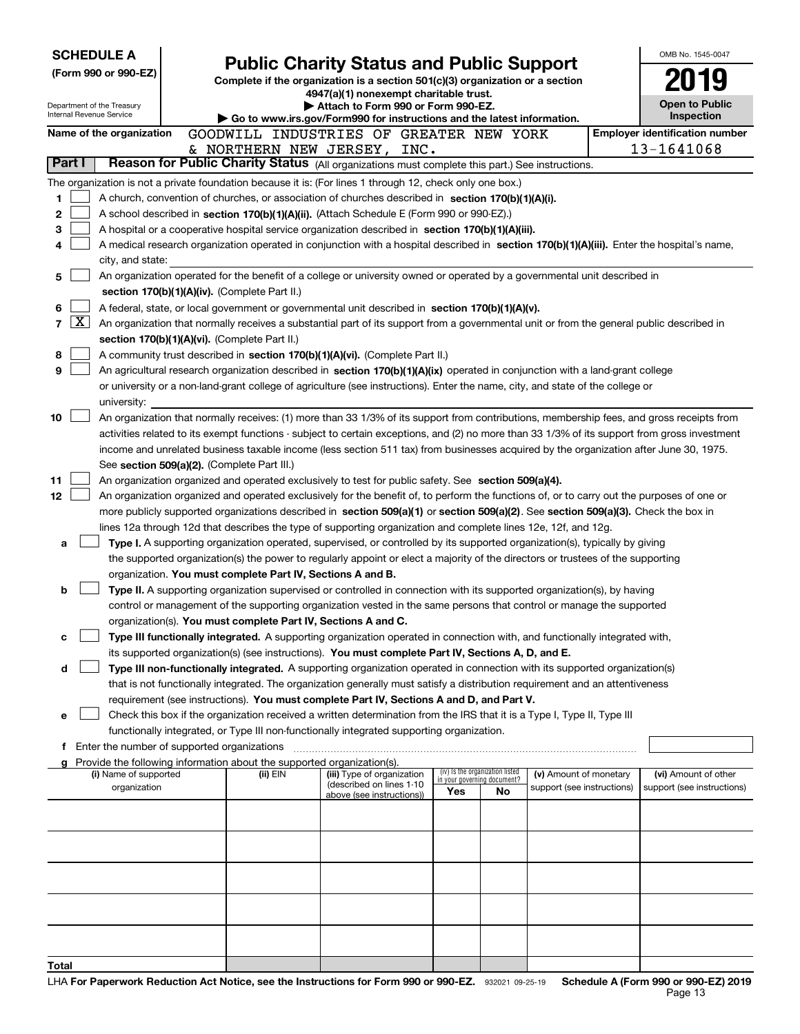| <b>SCHEDULE A</b>                                                                                         |                                               | <b>Public Charity Status and Public Support</b>                                                                                                                                                                                                                                  |                                                        |      |                                                                |                            | OMB No. 1545-0047                                                                                                                             |
|-----------------------------------------------------------------------------------------------------------|-----------------------------------------------|----------------------------------------------------------------------------------------------------------------------------------------------------------------------------------------------------------------------------------------------------------------------------------|--------------------------------------------------------|------|----------------------------------------------------------------|----------------------------|-----------------------------------------------------------------------------------------------------------------------------------------------|
| (Form 990 or 990-EZ)                                                                                      |                                               | Complete if the organization is a section 501(c)(3) organization or a section                                                                                                                                                                                                    |                                                        |      |                                                                |                            |                                                                                                                                               |
|                                                                                                           |                                               |                                                                                                                                                                                                                                                                                  | 4947(a)(1) nonexempt charitable trust.                 |      |                                                                |                            |                                                                                                                                               |
| Department of the Treasury<br>Internal Revenue Service                                                    |                                               | Go to www.irs.gov/Form990 for instructions and the latest information.                                                                                                                                                                                                           | Attach to Form 990 or Form 990-EZ.                     |      |                                                                |                            | Open to Public<br>Inspection                                                                                                                  |
| Name of the organization                                                                                  |                                               | GOODWILL INDUSTRIES OF GREATER NEW YORK                                                                                                                                                                                                                                          |                                                        |      |                                                                |                            | <b>Employer identification number</b>                                                                                                         |
|                                                                                                           |                                               | & NORTHERN NEW JERSEY,                                                                                                                                                                                                                                                           |                                                        | INC. |                                                                |                            | 13-1641068                                                                                                                                    |
| Part I                                                                                                    |                                               | Reason for Public Charity Status (All organizations must complete this part.) See instructions.                                                                                                                                                                                  |                                                        |      |                                                                |                            |                                                                                                                                               |
| The organization is not a private foundation because it is: (For lines 1 through 12, check only one box.) |                                               |                                                                                                                                                                                                                                                                                  |                                                        |      |                                                                |                            |                                                                                                                                               |
| 1                                                                                                         |                                               | A church, convention of churches, or association of churches described in section 170(b)(1)(A)(i).                                                                                                                                                                               |                                                        |      |                                                                |                            |                                                                                                                                               |
| 2                                                                                                         |                                               | A school described in section 170(b)(1)(A)(ii). (Attach Schedule E (Form 990 or 990-EZ).)                                                                                                                                                                                        |                                                        |      |                                                                |                            |                                                                                                                                               |
| 3<br>4                                                                                                    |                                               | A hospital or a cooperative hospital service organization described in section 170(b)(1)(A)(iii).                                                                                                                                                                                |                                                        |      |                                                                |                            | A medical research organization operated in conjunction with a hospital described in section 170(b)(1)(A)(iii). Enter the hospital's name,    |
| city, and state:                                                                                          |                                               |                                                                                                                                                                                                                                                                                  |                                                        |      |                                                                |                            |                                                                                                                                               |
| 5                                                                                                         |                                               | An organization operated for the benefit of a college or university owned or operated by a governmental unit described in                                                                                                                                                        |                                                        |      |                                                                |                            |                                                                                                                                               |
|                                                                                                           | section 170(b)(1)(A)(iv). (Complete Part II.) |                                                                                                                                                                                                                                                                                  |                                                        |      |                                                                |                            |                                                                                                                                               |
| 6                                                                                                         |                                               | A federal, state, or local government or governmental unit described in section $170(b)(1)(A)(v)$ .                                                                                                                                                                              |                                                        |      |                                                                |                            |                                                                                                                                               |
| $\overline{\text{X}}$<br>7                                                                                |                                               | An organization that normally receives a substantial part of its support from a governmental unit or from the general public described in                                                                                                                                        |                                                        |      |                                                                |                            |                                                                                                                                               |
|                                                                                                           | section 170(b)(1)(A)(vi). (Complete Part II.) |                                                                                                                                                                                                                                                                                  |                                                        |      |                                                                |                            |                                                                                                                                               |
| 8                                                                                                         |                                               | A community trust described in section 170(b)(1)(A)(vi). (Complete Part II.)                                                                                                                                                                                                     |                                                        |      |                                                                |                            |                                                                                                                                               |
| 9                                                                                                         |                                               | An agricultural research organization described in section 170(b)(1)(A)(ix) operated in conjunction with a land-grant college<br>or university or a non-land-grant college of agriculture (see instructions). Enter the name, city, and state of the college or                  |                                                        |      |                                                                |                            |                                                                                                                                               |
| university:                                                                                               |                                               |                                                                                                                                                                                                                                                                                  |                                                        |      |                                                                |                            |                                                                                                                                               |
| 10                                                                                                        |                                               |                                                                                                                                                                                                                                                                                  |                                                        |      |                                                                |                            | An organization that normally receives: (1) more than 33 1/3% of its support from contributions, membership fees, and gross receipts from     |
|                                                                                                           |                                               |                                                                                                                                                                                                                                                                                  |                                                        |      |                                                                |                            | activities related to its exempt functions - subject to certain exceptions, and (2) no more than 33 1/3% of its support from gross investment |
|                                                                                                           |                                               | income and unrelated business taxable income (less section 511 tax) from businesses acquired by the organization after June 30, 1975.                                                                                                                                            |                                                        |      |                                                                |                            |                                                                                                                                               |
|                                                                                                           | See section 509(a)(2). (Complete Part III.)   |                                                                                                                                                                                                                                                                                  |                                                        |      |                                                                |                            |                                                                                                                                               |
| 11                                                                                                        |                                               | An organization organized and operated exclusively to test for public safety. See section 509(a)(4).                                                                                                                                                                             |                                                        |      |                                                                |                            |                                                                                                                                               |
| 12                                                                                                        |                                               | An organization organized and operated exclusively for the benefit of, to perform the functions of, or to carry out the purposes of one or<br>more publicly supported organizations described in section 509(a)(1) or section 509(a)(2). See section 509(a)(3). Check the box in |                                                        |      |                                                                |                            |                                                                                                                                               |
|                                                                                                           |                                               | lines 12a through 12d that describes the type of supporting organization and complete lines 12e, 12f, and 12g.                                                                                                                                                                   |                                                        |      |                                                                |                            |                                                                                                                                               |
| a                                                                                                         |                                               | Type I. A supporting organization operated, supervised, or controlled by its supported organization(s), typically by giving                                                                                                                                                      |                                                        |      |                                                                |                            |                                                                                                                                               |
|                                                                                                           |                                               | the supported organization(s) the power to regularly appoint or elect a majority of the directors or trustees of the supporting                                                                                                                                                  |                                                        |      |                                                                |                            |                                                                                                                                               |
|                                                                                                           |                                               | organization. You must complete Part IV, Sections A and B.                                                                                                                                                                                                                       |                                                        |      |                                                                |                            |                                                                                                                                               |
| b                                                                                                         |                                               | Type II. A supporting organization supervised or controlled in connection with its supported organization(s), by having                                                                                                                                                          |                                                        |      |                                                                |                            |                                                                                                                                               |
|                                                                                                           |                                               | control or management of the supporting organization vested in the same persons that control or manage the supported<br>organization(s). You must complete Part IV, Sections A and C.                                                                                            |                                                        |      |                                                                |                            |                                                                                                                                               |
| с                                                                                                         |                                               | Type III functionally integrated. A supporting organization operated in connection with, and functionally integrated with,                                                                                                                                                       |                                                        |      |                                                                |                            |                                                                                                                                               |
|                                                                                                           |                                               | its supported organization(s) (see instructions). You must complete Part IV, Sections A, D, and E.                                                                                                                                                                               |                                                        |      |                                                                |                            |                                                                                                                                               |
| d                                                                                                         |                                               | Type III non-functionally integrated. A supporting organization operated in connection with its supported organization(s)                                                                                                                                                        |                                                        |      |                                                                |                            |                                                                                                                                               |
|                                                                                                           |                                               | that is not functionally integrated. The organization generally must satisfy a distribution requirement and an attentiveness                                                                                                                                                     |                                                        |      |                                                                |                            |                                                                                                                                               |
|                                                                                                           |                                               | requirement (see instructions). You must complete Part IV, Sections A and D, and Part V.                                                                                                                                                                                         |                                                        |      |                                                                |                            |                                                                                                                                               |
| е                                                                                                         |                                               | Check this box if the organization received a written determination from the IRS that it is a Type I, Type II, Type III                                                                                                                                                          |                                                        |      |                                                                |                            |                                                                                                                                               |
| f Enter the number of supported organizations                                                             |                                               | functionally integrated, or Type III non-functionally integrated supporting organization.                                                                                                                                                                                        |                                                        |      |                                                                |                            |                                                                                                                                               |
|                                                                                                           |                                               | Provide the following information about the supported organization(s).                                                                                                                                                                                                           |                                                        |      |                                                                |                            |                                                                                                                                               |
| (i) Name of supported                                                                                     |                                               | (ii) EIN                                                                                                                                                                                                                                                                         | (iii) Type of organization<br>(described on lines 1-10 |      | (iv) Is the organization listed<br>in your governing document? | (v) Amount of monetary     | (vi) Amount of other                                                                                                                          |
| organization                                                                                              |                                               |                                                                                                                                                                                                                                                                                  | above (see instructions))                              | Yes  | No                                                             | support (see instructions) | support (see instructions)                                                                                                                    |
|                                                                                                           |                                               |                                                                                                                                                                                                                                                                                  |                                                        |      |                                                                |                            |                                                                                                                                               |
|                                                                                                           |                                               |                                                                                                                                                                                                                                                                                  |                                                        |      |                                                                |                            |                                                                                                                                               |
|                                                                                                           |                                               |                                                                                                                                                                                                                                                                                  |                                                        |      |                                                                |                            |                                                                                                                                               |
|                                                                                                           |                                               |                                                                                                                                                                                                                                                                                  |                                                        |      |                                                                |                            |                                                                                                                                               |
|                                                                                                           |                                               |                                                                                                                                                                                                                                                                                  |                                                        |      |                                                                |                            |                                                                                                                                               |
|                                                                                                           |                                               |                                                                                                                                                                                                                                                                                  |                                                        |      |                                                                |                            |                                                                                                                                               |
|                                                                                                           |                                               |                                                                                                                                                                                                                                                                                  |                                                        |      |                                                                |                            |                                                                                                                                               |
|                                                                                                           |                                               |                                                                                                                                                                                                                                                                                  |                                                        |      |                                                                |                            |                                                                                                                                               |
| Total                                                                                                     |                                               |                                                                                                                                                                                                                                                                                  |                                                        |      |                                                                |                            |                                                                                                                                               |
|                                                                                                           |                                               |                                                                                                                                                                                                                                                                                  |                                                        |      |                                                                |                            |                                                                                                                                               |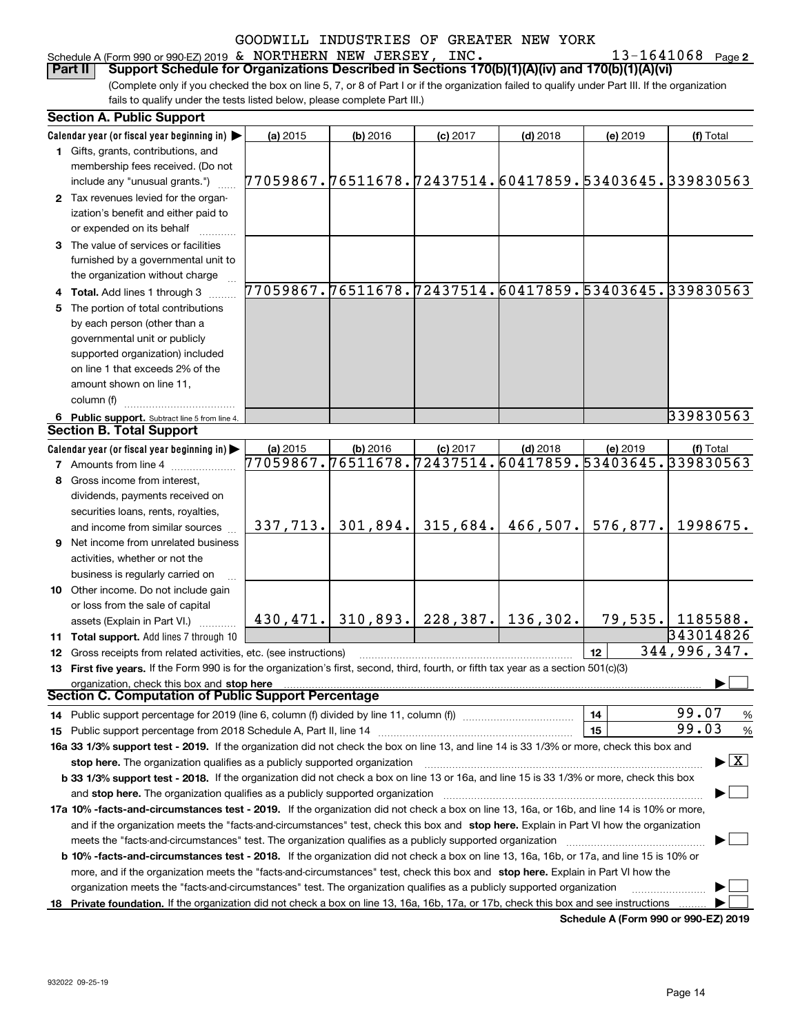### Schedule A (Form 990 or 990-EZ) 2019 Page & NORTHERN NEW JERSEY, INC. 13-1641068

**2**

(Complete only if you checked the box on line 5, 7, or 8 of Part I or if the organization failed to qualify under Part III. If the organization fails to qualify under the tests listed below, please complete Part III.) **Part II Support Schedule for Organizations Described in Sections 170(b)(1)(A)(iv) and 170(b)(1)(A)(vi)**

|    | <b>Section A. Public Support</b>                                                                                                               |                                                        |          |                                           |            |                                                        |                                          |
|----|------------------------------------------------------------------------------------------------------------------------------------------------|--------------------------------------------------------|----------|-------------------------------------------|------------|--------------------------------------------------------|------------------------------------------|
|    | Calendar year (or fiscal year beginning in)                                                                                                    | (a) 2015                                               | (b) 2016 | $(c)$ 2017                                | $(d)$ 2018 | (e) 2019                                               | (f) Total                                |
|    | 1 Gifts, grants, contributions, and                                                                                                            |                                                        |          |                                           |            |                                                        |                                          |
|    | membership fees received. (Do not                                                                                                              |                                                        |          |                                           |            |                                                        |                                          |
|    | include any "unusual grants.")                                                                                                                 | 77059867.76511678.72437514.60417859.53403645.339830563 |          |                                           |            |                                                        |                                          |
|    | 2 Tax revenues levied for the organ-                                                                                                           |                                                        |          |                                           |            |                                                        |                                          |
|    | ization's benefit and either paid to                                                                                                           |                                                        |          |                                           |            |                                                        |                                          |
|    | or expended on its behalf                                                                                                                      |                                                        |          |                                           |            |                                                        |                                          |
|    | 3 The value of services or facilities                                                                                                          |                                                        |          |                                           |            |                                                        |                                          |
|    | furnished by a governmental unit to                                                                                                            |                                                        |          |                                           |            |                                                        |                                          |
|    | the organization without charge                                                                                                                |                                                        |          |                                           |            |                                                        |                                          |
|    | 4 Total. Add lines 1 through 3                                                                                                                 |                                                        |          |                                           |            | 77059867.76511678.72437514.60417859.53403645.339830563 |                                          |
| 5. | The portion of total contributions                                                                                                             |                                                        |          |                                           |            |                                                        |                                          |
|    | by each person (other than a                                                                                                                   |                                                        |          |                                           |            |                                                        |                                          |
|    | governmental unit or publicly                                                                                                                  |                                                        |          |                                           |            |                                                        |                                          |
|    | supported organization) included                                                                                                               |                                                        |          |                                           |            |                                                        |                                          |
|    | on line 1 that exceeds 2% of the                                                                                                               |                                                        |          |                                           |            |                                                        |                                          |
|    | amount shown on line 11,                                                                                                                       |                                                        |          |                                           |            |                                                        |                                          |
|    | column (f)                                                                                                                                     |                                                        |          |                                           |            |                                                        |                                          |
|    | 6 Public support. Subtract line 5 from line 4.                                                                                                 |                                                        |          |                                           |            |                                                        | 339830563                                |
|    | <b>Section B. Total Support</b>                                                                                                                |                                                        |          |                                           |            |                                                        |                                          |
|    | Calendar year (or fiscal year beginning in)                                                                                                    | (a) 2015                                               | (b) 2016 | $(c)$ 2017                                | $(d)$ 2018 | (e) 2019                                               | (f) Total                                |
|    | <b>7</b> Amounts from line 4                                                                                                                   |                                                        |          |                                           |            | 77059867.76511678.72437514.60417859.53403645.339830563 |                                          |
|    | 8 Gross income from interest,                                                                                                                  |                                                        |          |                                           |            |                                                        |                                          |
|    | dividends, payments received on                                                                                                                |                                                        |          |                                           |            |                                                        |                                          |
|    | securities loans, rents, royalties,                                                                                                            |                                                        |          |                                           |            |                                                        |                                          |
|    | and income from similar sources                                                                                                                | 337, 713.                                              | 301,894. | 315,684.                                  | 466,507.   | 576,877.                                               | 1998675.                                 |
|    | <b>9</b> Net income from unrelated business                                                                                                    |                                                        |          |                                           |            |                                                        |                                          |
|    |                                                                                                                                                |                                                        |          |                                           |            |                                                        |                                          |
|    | activities, whether or not the                                                                                                                 |                                                        |          |                                           |            |                                                        |                                          |
|    | business is regularly carried on                                                                                                               |                                                        |          |                                           |            |                                                        |                                          |
|    | 10 Other income. Do not include gain                                                                                                           |                                                        |          |                                           |            |                                                        |                                          |
|    | or loss from the sale of capital                                                                                                               |                                                        |          | $430, 471.$ 310, 893. 228, 387. 136, 302. |            |                                                        | 79,535. 1185588.                         |
|    | assets (Explain in Part VI.)                                                                                                                   |                                                        |          |                                           |            |                                                        | 343014826                                |
|    | 11 Total support. Add lines 7 through 10                                                                                                       |                                                        |          |                                           |            |                                                        | 344,996,347.                             |
|    | 12 Gross receipts from related activities, etc. (see instructions)                                                                             |                                                        |          |                                           |            | 12                                                     |                                          |
|    | 13 First five years. If the Form 990 is for the organization's first, second, third, fourth, or fifth tax year as a section 501(c)(3)          |                                                        |          |                                           |            |                                                        |                                          |
|    | organization, check this box and stop here<br><b>Section C. Computation of Public Support Percentage</b>                                       |                                                        |          |                                           |            |                                                        |                                          |
|    |                                                                                                                                                |                                                        |          |                                           |            |                                                        | 99.07                                    |
|    | 14 Public support percentage for 2019 (line 6, column (f) divided by line 11, column (f) <i>manumeronoming</i>                                 |                                                        |          |                                           |            | 14                                                     | %                                        |
|    |                                                                                                                                                |                                                        |          |                                           |            | 15                                                     | 99.03<br>%                               |
|    | 16a 33 1/3% support test - 2019. If the organization did not check the box on line 13, and line 14 is 33 1/3% or more, check this box and      |                                                        |          |                                           |            |                                                        |                                          |
|    | stop here. The organization qualifies as a publicly supported organization                                                                     |                                                        |          |                                           |            |                                                        | $\blacktriangleright$ $\boxed{\text{X}}$ |
|    | b 33 1/3% support test - 2018. If the organization did not check a box on line 13 or 16a, and line 15 is 33 1/3% or more, check this box       |                                                        |          |                                           |            |                                                        |                                          |
|    | and stop here. The organization qualifies as a publicly supported organization                                                                 |                                                        |          |                                           |            |                                                        |                                          |
|    | 17a 10% -facts-and-circumstances test - 2019. If the organization did not check a box on line 13, 16a, or 16b, and line 14 is 10% or more,     |                                                        |          |                                           |            |                                                        |                                          |
|    | and if the organization meets the "facts-and-circumstances" test, check this box and stop here. Explain in Part VI how the organization        |                                                        |          |                                           |            |                                                        |                                          |
|    | meets the "facts-and-circumstances" test. The organization qualifies as a publicly supported organization                                      |                                                        |          |                                           |            |                                                        |                                          |
|    | <b>b 10% -facts-and-circumstances test - 2018.</b> If the organization did not check a box on line 13, 16a, 16b, or 17a, and line 15 is 10% or |                                                        |          |                                           |            |                                                        |                                          |
|    | more, and if the organization meets the "facts-and-circumstances" test, check this box and stop here. Explain in Part VI how the               |                                                        |          |                                           |            |                                                        |                                          |
|    | organization meets the "facts-and-circumstances" test. The organization qualifies as a publicly supported organization                         |                                                        |          |                                           |            |                                                        |                                          |
|    | 18 Private foundation. If the organization did not check a box on line 13, 16a, 16b, 17a, or 17b, check this box and see instructions          |                                                        |          |                                           |            |                                                        |                                          |
|    |                                                                                                                                                |                                                        |          |                                           |            | <b>Cohodulo A (Form 000 or 000 EZ) 2010</b>            |                                          |

**Schedule A (Form 990 or 990-EZ) 2019**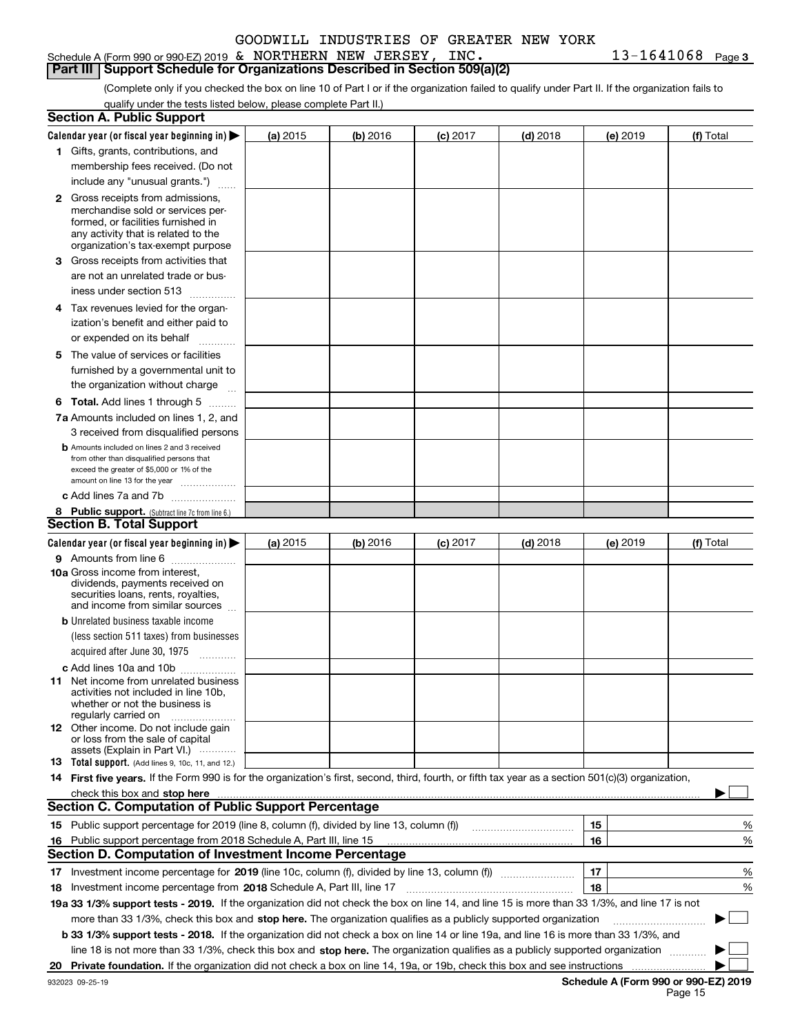#### Schedule A (Form 990 or 990-EZ) 2019 Page & NORTHERN NEW JERSEY, INC. 13-1641068 **Part III | Support Schedule for Organizations Described in Section 509(a)(2)**

**3**

(Complete only if you checked the box on line 10 of Part I or if the organization failed to qualify under Part II. If the organization fails to qualify under the tests listed below, please complete Part II.)

|    | <b>Section A. Public Support</b>                                                                                                                                                                                               |          |          |            |            |          |                                      |
|----|--------------------------------------------------------------------------------------------------------------------------------------------------------------------------------------------------------------------------------|----------|----------|------------|------------|----------|--------------------------------------|
|    | Calendar year (or fiscal year beginning in) $\blacktriangleright$                                                                                                                                                              | (a) 2015 | (b) 2016 | $(c)$ 2017 | $(d)$ 2018 | (e) 2019 | (f) Total                            |
|    | 1 Gifts, grants, contributions, and                                                                                                                                                                                            |          |          |            |            |          |                                      |
|    | membership fees received. (Do not                                                                                                                                                                                              |          |          |            |            |          |                                      |
|    | include any "unusual grants.")                                                                                                                                                                                                 |          |          |            |            |          |                                      |
|    | <b>2</b> Gross receipts from admissions,<br>merchandise sold or services per-<br>formed, or facilities furnished in                                                                                                            |          |          |            |            |          |                                      |
|    | any activity that is related to the<br>organization's tax-exempt purpose                                                                                                                                                       |          |          |            |            |          |                                      |
|    | 3 Gross receipts from activities that                                                                                                                                                                                          |          |          |            |            |          |                                      |
|    | are not an unrelated trade or bus-                                                                                                                                                                                             |          |          |            |            |          |                                      |
|    | iness under section 513                                                                                                                                                                                                        |          |          |            |            |          |                                      |
|    | 4 Tax revenues levied for the organ-                                                                                                                                                                                           |          |          |            |            |          |                                      |
|    | ization's benefit and either paid to                                                                                                                                                                                           |          |          |            |            |          |                                      |
|    | or expended on its behalf<br>.                                                                                                                                                                                                 |          |          |            |            |          |                                      |
|    | 5 The value of services or facilities                                                                                                                                                                                          |          |          |            |            |          |                                      |
|    | furnished by a governmental unit to                                                                                                                                                                                            |          |          |            |            |          |                                      |
|    | the organization without charge                                                                                                                                                                                                |          |          |            |            |          |                                      |
|    | <b>6 Total.</b> Add lines 1 through 5                                                                                                                                                                                          |          |          |            |            |          |                                      |
|    | 7a Amounts included on lines 1, 2, and                                                                                                                                                                                         |          |          |            |            |          |                                      |
|    | 3 received from disqualified persons                                                                                                                                                                                           |          |          |            |            |          |                                      |
|    | <b>b</b> Amounts included on lines 2 and 3 received                                                                                                                                                                            |          |          |            |            |          |                                      |
|    | from other than disqualified persons that                                                                                                                                                                                      |          |          |            |            |          |                                      |
|    | exceed the greater of \$5,000 or 1% of the                                                                                                                                                                                     |          |          |            |            |          |                                      |
|    | amount on line 13 for the year                                                                                                                                                                                                 |          |          |            |            |          |                                      |
|    | c Add lines 7a and 7b                                                                                                                                                                                                          |          |          |            |            |          |                                      |
|    | 8 Public support. (Subtract line 7c from line 6.)<br><b>Section B. Total Support</b>                                                                                                                                           |          |          |            |            |          |                                      |
|    |                                                                                                                                                                                                                                |          |          |            |            |          |                                      |
|    | Calendar year (or fiscal year beginning in)                                                                                                                                                                                    | (a) 2015 | (b) 2016 | $(c)$ 2017 | $(d)$ 2018 | (e) 2019 | (f) Total                            |
|    | 9 Amounts from line 6                                                                                                                                                                                                          |          |          |            |            |          |                                      |
|    | 10a Gross income from interest,<br>dividends, payments received on<br>securities loans, rents, royalties,<br>and income from similar sources                                                                                   |          |          |            |            |          |                                      |
|    | <b>b</b> Unrelated business taxable income                                                                                                                                                                                     |          |          |            |            |          |                                      |
|    | (less section 511 taxes) from businesses                                                                                                                                                                                       |          |          |            |            |          |                                      |
|    | acquired after June 30, 1975                                                                                                                                                                                                   |          |          |            |            |          |                                      |
|    | c Add lines 10a and 10b                                                                                                                                                                                                        |          |          |            |            |          |                                      |
|    | 11 Net income from unrelated business<br>activities not included in line 10b,<br>whether or not the business is<br>regularly carried on                                                                                        |          |          |            |            |          |                                      |
|    | <b>12</b> Other income. Do not include gain<br>or loss from the sale of capital                                                                                                                                                |          |          |            |            |          |                                      |
|    | assets (Explain in Part VI.)<br>13 Total support. (Add lines 9, 10c, 11, and 12.)                                                                                                                                              |          |          |            |            |          |                                      |
|    | 14 First five years. If the Form 990 is for the organization's first, second, third, fourth, or fifth tax year as a section 501(c)(3) organization,                                                                            |          |          |            |            |          |                                      |
|    | check this box and stop here measurements are all the state of the state of the state of the state of the state of the state of the state of the state of the state of the state of the state of the state of the state of the |          |          |            |            |          |                                      |
|    | <b>Section C. Computation of Public Support Percentage</b>                                                                                                                                                                     |          |          |            |            |          |                                      |
|    | 15 Public support percentage for 2019 (line 8, column (f), divided by line 13, column (f))                                                                                                                                     |          |          |            |            | 15       | %                                    |
|    | 16 Public support percentage from 2018 Schedule A, Part III, line 15                                                                                                                                                           |          |          |            |            | 16       | %                                    |
|    | <b>Section D. Computation of Investment Income Percentage</b>                                                                                                                                                                  |          |          |            |            |          |                                      |
|    |                                                                                                                                                                                                                                |          |          |            |            |          |                                      |
|    | 17 Investment income percentage for 2019 (line 10c, column (f), divided by line 13, column (f))                                                                                                                                |          |          |            |            | 17       | %                                    |
|    | <b>18</b> Investment income percentage from <b>2018</b> Schedule A, Part III, line 17                                                                                                                                          |          |          |            |            | 18       | %                                    |
|    | 19a 33 1/3% support tests - 2019. If the organization did not check the box on line 14, and line 15 is more than 33 1/3%, and line 17 is not                                                                                   |          |          |            |            |          |                                      |
|    | more than 33 1/3%, check this box and stop here. The organization qualifies as a publicly supported organization                                                                                                               |          |          |            |            |          | $\sim$ 1                             |
|    | b 33 1/3% support tests - 2018. If the organization did not check a box on line 14 or line 19a, and line 16 is more than 33 1/3%, and                                                                                          |          |          |            |            |          |                                      |
|    | line 18 is not more than 33 1/3%, check this box and stop here. The organization qualifies as a publicly supported organization                                                                                                |          |          |            |            |          |                                      |
| 20 | Private foundation. If the organization did not check a box on line 14, 19a, or 19b, check this box and see instructions                                                                                                       |          |          |            |            |          |                                      |
|    | 932023 09-25-19                                                                                                                                                                                                                |          |          |            |            |          | Schedule A (Form 990 or 990-EZ) 2019 |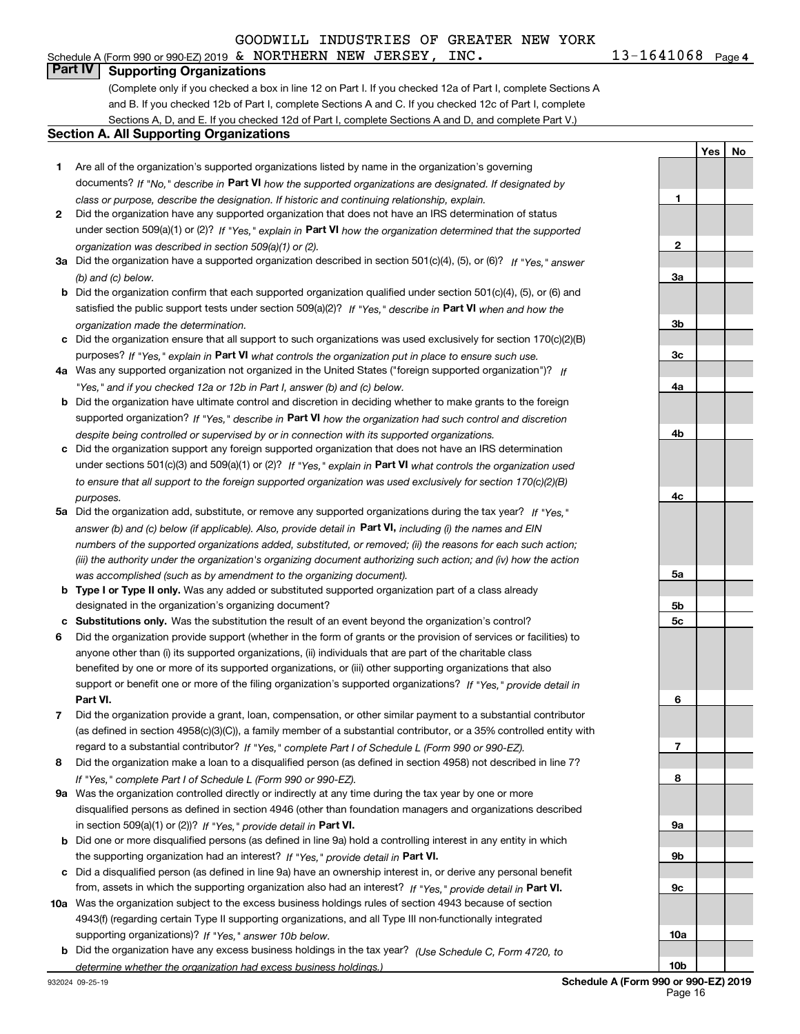Schedule A (Form 990 or 990-EZ) 2019 Page & NORTHERN NEW JERSEY, INC. 13-1641068 **Part IV Supporting Organizations**

(Complete only if you checked a box in line 12 on Part I. If you checked 12a of Part I, complete Sections A and B. If you checked 12b of Part I, complete Sections A and C. If you checked 12c of Part I, complete Sections A, D, and E. If you checked 12d of Part I, complete Sections A and D, and complete Part V.)

#### **Section A. All Supporting Organizations**

- **1** Are all of the organization's supported organizations listed by name in the organization's governing documents? If "No," describe in **Part VI** how the supported organizations are designated. If designated by *class or purpose, describe the designation. If historic and continuing relationship, explain.*
- **2** Did the organization have any supported organization that does not have an IRS determination of status under section 509(a)(1) or (2)? If "Yes," explain in Part VI how the organization determined that the supported *organization was described in section 509(a)(1) or (2).*
- **3a** Did the organization have a supported organization described in section 501(c)(4), (5), or (6)? If "Yes," answer *(b) and (c) below.*
- **b** Did the organization confirm that each supported organization qualified under section 501(c)(4), (5), or (6) and satisfied the public support tests under section 509(a)(2)? If "Yes," describe in **Part VI** when and how the *organization made the determination.*
- **c**Did the organization ensure that all support to such organizations was used exclusively for section 170(c)(2)(B) purposes? If "Yes," explain in **Part VI** what controls the organization put in place to ensure such use.
- **4a***If* Was any supported organization not organized in the United States ("foreign supported organization")? *"Yes," and if you checked 12a or 12b in Part I, answer (b) and (c) below.*
- **b** Did the organization have ultimate control and discretion in deciding whether to make grants to the foreign supported organization? If "Yes," describe in **Part VI** how the organization had such control and discretion *despite being controlled or supervised by or in connection with its supported organizations.*
- **c** Did the organization support any foreign supported organization that does not have an IRS determination under sections 501(c)(3) and 509(a)(1) or (2)? If "Yes," explain in **Part VI** what controls the organization used *to ensure that all support to the foreign supported organization was used exclusively for section 170(c)(2)(B) purposes.*
- **5a***If "Yes,"* Did the organization add, substitute, or remove any supported organizations during the tax year? answer (b) and (c) below (if applicable). Also, provide detail in **Part VI,** including (i) the names and EIN *numbers of the supported organizations added, substituted, or removed; (ii) the reasons for each such action; (iii) the authority under the organization's organizing document authorizing such action; and (iv) how the action was accomplished (such as by amendment to the organizing document).*
- **b** Type I or Type II only. Was any added or substituted supported organization part of a class already designated in the organization's organizing document?
- **cSubstitutions only.**  Was the substitution the result of an event beyond the organization's control?
- **6** Did the organization provide support (whether in the form of grants or the provision of services or facilities) to **Part VI.** *If "Yes," provide detail in* support or benefit one or more of the filing organization's supported organizations? anyone other than (i) its supported organizations, (ii) individuals that are part of the charitable class benefited by one or more of its supported organizations, or (iii) other supporting organizations that also
- **7**Did the organization provide a grant, loan, compensation, or other similar payment to a substantial contributor *If "Yes," complete Part I of Schedule L (Form 990 or 990-EZ).* regard to a substantial contributor? (as defined in section 4958(c)(3)(C)), a family member of a substantial contributor, or a 35% controlled entity with
- **8** Did the organization make a loan to a disqualified person (as defined in section 4958) not described in line 7? *If "Yes," complete Part I of Schedule L (Form 990 or 990-EZ).*
- **9a** Was the organization controlled directly or indirectly at any time during the tax year by one or more in section 509(a)(1) or (2))? If "Yes," *provide detail in* <code>Part VI.</code> disqualified persons as defined in section 4946 (other than foundation managers and organizations described
- **b** Did one or more disqualified persons (as defined in line 9a) hold a controlling interest in any entity in which the supporting organization had an interest? If "Yes," provide detail in P**art VI**.
- **c**Did a disqualified person (as defined in line 9a) have an ownership interest in, or derive any personal benefit from, assets in which the supporting organization also had an interest? If "Yes," provide detail in P**art VI.**
- **10a** Was the organization subject to the excess business holdings rules of section 4943 because of section supporting organizations)? If "Yes," answer 10b below. 4943(f) (regarding certain Type II supporting organizations, and all Type III non-functionally integrated
- **b** Did the organization have any excess business holdings in the tax year? (Use Schedule C, Form 4720, to *determine whether the organization had excess business holdings.)*

**1**

**2**

**3a**

**3b**

**3c**

**4a**

**4b**

**4c**

**5a**

**5b5c**

**6**

**7**

**8**

**9a**

**9b**

**9c**

**10a**

**Yes**

 **No**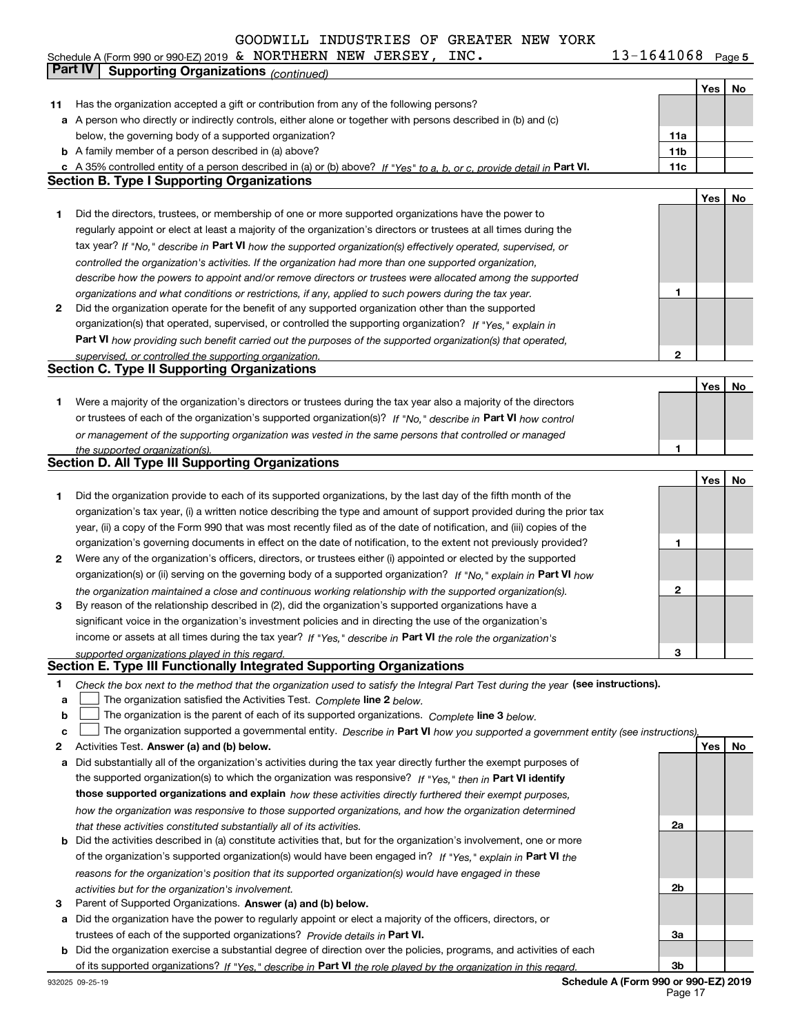Schedule A (Form 990 or 990-EZ) 2019 Page  $\,$ & NORTHERN NEW JERSEY, INC.  $\,$  13-1641068

**5**

|        | Part IV<br><b>Supporting Organizations (continued)</b>                                                                                                                  |                 |     |    |
|--------|-------------------------------------------------------------------------------------------------------------------------------------------------------------------------|-----------------|-----|----|
|        |                                                                                                                                                                         |                 | Yes | No |
| 11     | Has the organization accepted a gift or contribution from any of the following persons?                                                                                 |                 |     |    |
|        | a A person who directly or indirectly controls, either alone or together with persons described in (b) and (c)                                                          |                 |     |    |
|        | below, the governing body of a supported organization?                                                                                                                  | 11a             |     |    |
|        | <b>b</b> A family member of a person described in (a) above?                                                                                                            | 11 <sub>b</sub> |     |    |
|        | c A 35% controlled entity of a person described in (a) or (b) above? If "Yes" to a, b, or c, provide detail in Part VI.                                                 | 11c             |     |    |
|        | <b>Section B. Type I Supporting Organizations</b>                                                                                                                       |                 |     |    |
|        |                                                                                                                                                                         |                 | Yes | No |
| 1      | Did the directors, trustees, or membership of one or more supported organizations have the power to                                                                     |                 |     |    |
|        | regularly appoint or elect at least a majority of the organization's directors or trustees at all times during the                                                      |                 |     |    |
|        | tax year? If "No," describe in Part VI how the supported organization(s) effectively operated, supervised, or                                                           |                 |     |    |
|        | controlled the organization's activities. If the organization had more than one supported organization,                                                                 |                 |     |    |
|        | describe how the powers to appoint and/or remove directors or trustees were allocated among the supported                                                               |                 |     |    |
|        | organizations and what conditions or restrictions, if any, applied to such powers during the tax year.                                                                  | 1               |     |    |
| 2      | Did the organization operate for the benefit of any supported organization other than the supported                                                                     |                 |     |    |
|        | organization(s) that operated, supervised, or controlled the supporting organization? If "Yes," explain in                                                              |                 |     |    |
|        | Part VI how providing such benefit carried out the purposes of the supported organization(s) that operated,                                                             |                 |     |    |
|        | supervised, or controlled the supporting organization.<br><b>Section C. Type II Supporting Organizations</b>                                                            | 2               |     |    |
|        |                                                                                                                                                                         |                 | Yes | No |
| 1.     | Were a majority of the organization's directors or trustees during the tax year also a majority of the directors                                                        |                 |     |    |
|        | or trustees of each of the organization's supported organization(s)? If "No," describe in Part VI how control                                                           |                 |     |    |
|        | or management of the supporting organization was vested in the same persons that controlled or managed                                                                  |                 |     |    |
|        | the supported organization(s).                                                                                                                                          | 1               |     |    |
|        | <b>Section D. All Type III Supporting Organizations</b>                                                                                                                 |                 |     |    |
|        |                                                                                                                                                                         |                 | Yes | No |
| 1      | Did the organization provide to each of its supported organizations, by the last day of the fifth month of the                                                          |                 |     |    |
|        | organization's tax year, (i) a written notice describing the type and amount of support provided during the prior tax                                                   |                 |     |    |
|        | year, (ii) a copy of the Form 990 that was most recently filed as of the date of notification, and (iii) copies of the                                                  |                 |     |    |
|        | organization's governing documents in effect on the date of notification, to the extent not previously provided?                                                        | 1               |     |    |
| 2      | Were any of the organization's officers, directors, or trustees either (i) appointed or elected by the supported                                                        |                 |     |    |
|        | organization(s) or (ii) serving on the governing body of a supported organization? If "No, " explain in Part VI how                                                     |                 |     |    |
|        | the organization maintained a close and continuous working relationship with the supported organization(s).                                                             | 2               |     |    |
| 3      | By reason of the relationship described in (2), did the organization's supported organizations have a                                                                   |                 |     |    |
|        | significant voice in the organization's investment policies and in directing the use of the organization's                                                              |                 |     |    |
|        | income or assets at all times during the tax year? If "Yes," describe in Part VI the role the organization's                                                            |                 |     |    |
|        | supported organizations played in this regard.<br>Section E. Type III Functionally Integrated Supporting Organizations                                                  | 3               |     |    |
|        |                                                                                                                                                                         |                 |     |    |
| 1      | Check the box next to the method that the organization used to satisfy the Integral Part Test during the year (see instructions).                                       |                 |     |    |
| a<br>b | The organization satisfied the Activities Test. Complete line 2 below.<br>The organization is the parent of each of its supported organizations. Complete line 3 below. |                 |     |    |
| c      | The organization supported a governmental entity. Describe in Part VI how you supported a government entity (see instructions),                                         |                 |     |    |
| 2      | Activities Test. Answer (a) and (b) below.                                                                                                                              |                 | Yes | No |
| а      | Did substantially all of the organization's activities during the tax year directly further the exempt purposes of                                                      |                 |     |    |
|        | the supported organization(s) to which the organization was responsive? If "Yes," then in Part VI identify                                                              |                 |     |    |
|        | those supported organizations and explain how these activities directly furthered their exempt purposes,                                                                |                 |     |    |
|        | how the organization was responsive to those supported organizations, and how the organization determined                                                               |                 |     |    |
|        | that these activities constituted substantially all of its activities.                                                                                                  | 2a              |     |    |
|        | <b>b</b> Did the activities described in (a) constitute activities that, but for the organization's involvement, one or more                                            |                 |     |    |
|        | of the organization's supported organization(s) would have been engaged in? If "Yes," explain in Part VI the                                                            |                 |     |    |
|        | reasons for the organization's position that its supported organization(s) would have engaged in these                                                                  |                 |     |    |
|        | activities but for the organization's involvement.                                                                                                                      | 2b              |     |    |
| з      | Parent of Supported Organizations. Answer (a) and (b) below.                                                                                                            |                 |     |    |
| a      | Did the organization have the power to regularly appoint or elect a majority of the officers, directors, or                                                             |                 |     |    |
|        | trustees of each of the supported organizations? Provide details in Part VI.                                                                                            | За              |     |    |
|        | <b>b</b> Did the organization exercise a substantial degree of direction over the policies, programs, and activities of each                                            |                 |     |    |
|        | of its supported organizations? If "Yes," describe in Part VI the role played by the organization in this regard.                                                       | 3b              |     |    |

**Schedule A (Form 990 or 990-EZ) 2019** Page 17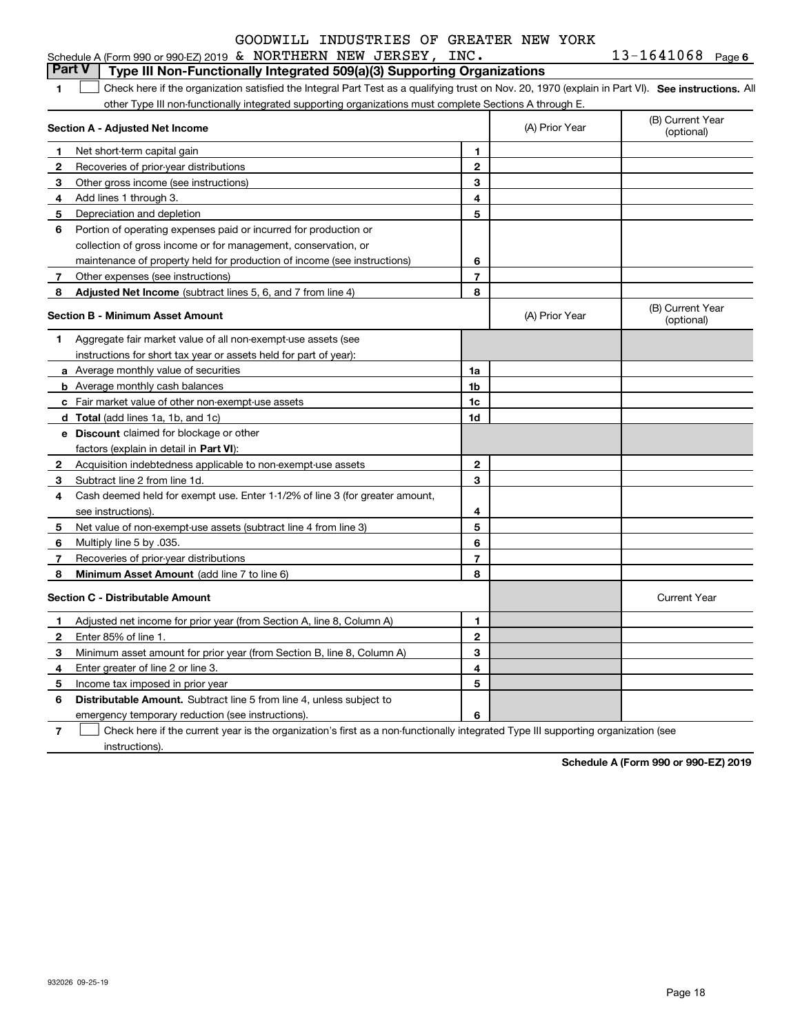|  | Schedule A (Form 990 or 990-EZ) 2019 $\,$ & NORTHERN NEW JERSEY, |  |  |  |  | INC. | 1641068 | Page 6 |
|--|------------------------------------------------------------------|--|--|--|--|------|---------|--------|
|--|------------------------------------------------------------------|--|--|--|--|------|---------|--------|

|                | <b>Part V</b><br>Type III Non-Functionally Integrated 509(a)(3) Supporting Organizations                                                          |                |                                |                                |
|----------------|---------------------------------------------------------------------------------------------------------------------------------------------------|----------------|--------------------------------|--------------------------------|
| 1              | Check here if the organization satisfied the Integral Part Test as a qualifying trust on Nov. 20, 1970 (explain in Part VI). See instructions. Al |                |                                |                                |
|                | other Type III non-functionally integrated supporting organizations must complete Sections A through E.                                           |                |                                |                                |
|                | Section A - Adjusted Net Income                                                                                                                   | (A) Prior Year | (B) Current Year<br>(optional) |                                |
| 1              | Net short-term capital gain                                                                                                                       | 1.             |                                |                                |
| 2              | Recoveries of prior-year distributions                                                                                                            | $\mathbf{2}$   |                                |                                |
| З              | Other gross income (see instructions)                                                                                                             | 3              |                                |                                |
| 4              | Add lines 1 through 3.                                                                                                                            | 4              |                                |                                |
| 5              | Depreciation and depletion                                                                                                                        | 5              |                                |                                |
| 6              | Portion of operating expenses paid or incurred for production or                                                                                  |                |                                |                                |
|                | collection of gross income or for management, conservation, or                                                                                    |                |                                |                                |
|                | maintenance of property held for production of income (see instructions)                                                                          | 6              |                                |                                |
| $\overline{7}$ | Other expenses (see instructions)                                                                                                                 | 7              |                                |                                |
| 8              | <b>Adjusted Net Income</b> (subtract lines 5, 6, and 7 from line 4)                                                                               | 8              |                                |                                |
|                | <b>Section B - Minimum Asset Amount</b>                                                                                                           |                | (A) Prior Year                 | (B) Current Year<br>(optional) |
| 1              | Aggregate fair market value of all non-exempt-use assets (see                                                                                     |                |                                |                                |
|                | instructions for short tax year or assets held for part of year):                                                                                 |                |                                |                                |
|                | <b>a</b> Average monthly value of securities                                                                                                      | 1a             |                                |                                |
|                | <b>b</b> Average monthly cash balances                                                                                                            | 1 <sub>b</sub> |                                |                                |
|                | c Fair market value of other non-exempt-use assets                                                                                                | 1c             |                                |                                |
|                | d Total (add lines 1a, 1b, and 1c)                                                                                                                | 1d             |                                |                                |
|                | <b>e</b> Discount claimed for blockage or other                                                                                                   |                |                                |                                |
|                | factors (explain in detail in Part VI):                                                                                                           |                |                                |                                |
| 2              | Acquisition indebtedness applicable to non-exempt-use assets                                                                                      | $\mathbf{2}$   |                                |                                |
| 3              | Subtract line 2 from line 1d.                                                                                                                     | 3              |                                |                                |
| 4              | Cash deemed held for exempt use. Enter 1-1/2% of line 3 (for greater amount,                                                                      |                |                                |                                |
|                | see instructions).                                                                                                                                | 4              |                                |                                |
| 5              | Net value of non-exempt-use assets (subtract line 4 from line 3)                                                                                  | 5              |                                |                                |
| 6              | Multiply line 5 by .035.                                                                                                                          | 6              |                                |                                |
| 7              | Recoveries of prior-year distributions                                                                                                            | 7              |                                |                                |
| 8              | <b>Minimum Asset Amount</b> (add line 7 to line 6)                                                                                                | 8              |                                |                                |
|                | <b>Section C - Distributable Amount</b>                                                                                                           |                |                                | <b>Current Year</b>            |
| 1              | Adjusted net income for prior year (from Section A, line 8, Column A)                                                                             | 1              |                                |                                |
| 2              | Enter 85% of line 1.                                                                                                                              | $\mathbf{2}$   |                                |                                |
| з              | Minimum asset amount for prior year (from Section B, line 8, Column A)                                                                            | 3              |                                |                                |
| 4              | Enter greater of line 2 or line 3.                                                                                                                | 4              |                                |                                |
| 5              | Income tax imposed in prior year                                                                                                                  | 5              |                                |                                |
| 6              | <b>Distributable Amount.</b> Subtract line 5 from line 4, unless subject to                                                                       |                |                                |                                |
|                | emergency temporary reduction (see instructions).                                                                                                 | 6              |                                |                                |

**7**Check here if the current year is the organization's first as a non-functionally integrated Type III supporting organization (see instructions).

**Schedule A (Form 990 or 990-EZ) 2019**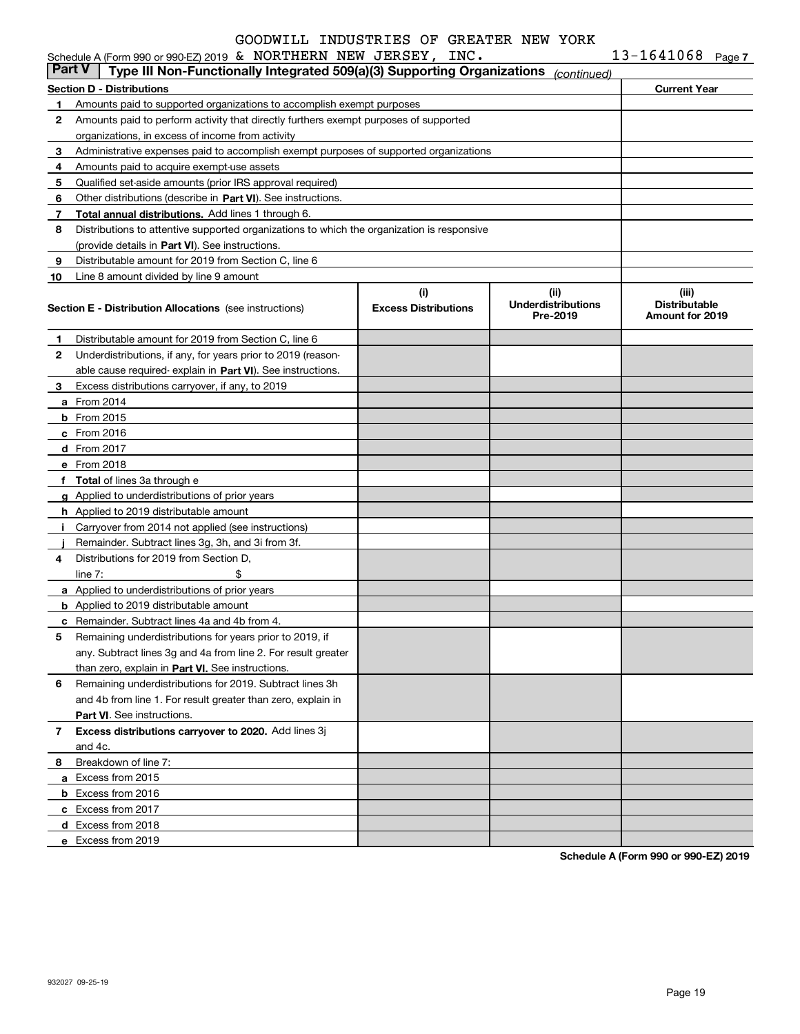|        | Schedule A (Form 990 or 990-EZ) 2019 & NORTHERN NEW JERSEY, INC.                           |                                    |                                               | $13 - 1641068$ Page 7                                   |  |
|--------|--------------------------------------------------------------------------------------------|------------------------------------|-----------------------------------------------|---------------------------------------------------------|--|
| Part V | Type III Non-Functionally Integrated 509(a)(3) Supporting Organizations                    |                                    | (continued)                                   |                                                         |  |
|        | <b>Section D - Distributions</b>                                                           |                                    |                                               | <b>Current Year</b>                                     |  |
| 1.     | Amounts paid to supported organizations to accomplish exempt purposes                      |                                    |                                               |                                                         |  |
| 2      | Amounts paid to perform activity that directly furthers exempt purposes of supported       |                                    |                                               |                                                         |  |
|        | organizations, in excess of income from activity                                           |                                    |                                               |                                                         |  |
| 3      | Administrative expenses paid to accomplish exempt purposes of supported organizations      |                                    |                                               |                                                         |  |
| 4      | Amounts paid to acquire exempt-use assets                                                  |                                    |                                               |                                                         |  |
| 5      | Qualified set-aside amounts (prior IRS approval required)                                  |                                    |                                               |                                                         |  |
| 6      | Other distributions (describe in Part VI). See instructions.                               |                                    |                                               |                                                         |  |
| 7      | Total annual distributions. Add lines 1 through 6.                                         |                                    |                                               |                                                         |  |
| 8      | Distributions to attentive supported organizations to which the organization is responsive |                                    |                                               |                                                         |  |
|        | (provide details in Part VI). See instructions.                                            |                                    |                                               |                                                         |  |
| 9      | Distributable amount for 2019 from Section C, line 6                                       |                                    |                                               |                                                         |  |
| 10     | Line 8 amount divided by line 9 amount                                                     |                                    |                                               |                                                         |  |
|        | <b>Section E - Distribution Allocations</b> (see instructions)                             | (i)<br><b>Excess Distributions</b> | (ii)<br><b>Underdistributions</b><br>Pre-2019 | (iii)<br><b>Distributable</b><br><b>Amount for 2019</b> |  |
|        |                                                                                            |                                    |                                               |                                                         |  |
| 1      | Distributable amount for 2019 from Section C, line 6                                       |                                    |                                               |                                                         |  |
| 2      | Underdistributions, if any, for years prior to 2019 (reason-                               |                                    |                                               |                                                         |  |
|        | able cause required-explain in Part VI). See instructions.                                 |                                    |                                               |                                                         |  |
| 3      | Excess distributions carryover, if any, to 2019                                            |                                    |                                               |                                                         |  |
|        | <b>a</b> From 2014                                                                         |                                    |                                               |                                                         |  |
|        | <b>b</b> From 2015                                                                         |                                    |                                               |                                                         |  |
|        | $c$ From 2016                                                                              |                                    |                                               |                                                         |  |
|        | d From 2017                                                                                |                                    |                                               |                                                         |  |
|        | e From 2018                                                                                |                                    |                                               |                                                         |  |
|        | f Total of lines 3a through e                                                              |                                    |                                               |                                                         |  |
|        | g Applied to underdistributions of prior years                                             |                                    |                                               |                                                         |  |
|        | <b>h</b> Applied to 2019 distributable amount                                              |                                    |                                               |                                                         |  |
|        | Carryover from 2014 not applied (see instructions)                                         |                                    |                                               |                                                         |  |
|        | Remainder. Subtract lines 3g, 3h, and 3i from 3f.                                          |                                    |                                               |                                                         |  |
| 4      | Distributions for 2019 from Section D.                                                     |                                    |                                               |                                                         |  |
|        | \$<br>line $7:$                                                                            |                                    |                                               |                                                         |  |
|        | a Applied to underdistributions of prior years                                             |                                    |                                               |                                                         |  |
|        | <b>b</b> Applied to 2019 distributable amount                                              |                                    |                                               |                                                         |  |
|        | <b>c</b> Remainder. Subtract lines 4a and 4b from 4.                                       |                                    |                                               |                                                         |  |
|        | Remaining underdistributions for years prior to 2019, if                                   |                                    |                                               |                                                         |  |
|        | any. Subtract lines 3g and 4a from line 2. For result greater                              |                                    |                                               |                                                         |  |
|        | than zero, explain in Part VI. See instructions.                                           |                                    |                                               |                                                         |  |
| 6      | Remaining underdistributions for 2019. Subtract lines 3h                                   |                                    |                                               |                                                         |  |
|        | and 4b from line 1. For result greater than zero, explain in                               |                                    |                                               |                                                         |  |
|        | <b>Part VI.</b> See instructions.                                                          |                                    |                                               |                                                         |  |
| 7      | Excess distributions carryover to 2020. Add lines 3j                                       |                                    |                                               |                                                         |  |
|        | and 4c.                                                                                    |                                    |                                               |                                                         |  |
| 8      | Breakdown of line 7:                                                                       |                                    |                                               |                                                         |  |
|        | a Excess from 2015                                                                         |                                    |                                               |                                                         |  |
|        | <b>b</b> Excess from 2016                                                                  |                                    |                                               |                                                         |  |
|        | c Excess from 2017                                                                         |                                    |                                               |                                                         |  |
|        | d Excess from 2018                                                                         |                                    |                                               |                                                         |  |
|        | e Excess from 2019                                                                         |                                    |                                               |                                                         |  |

**Schedule A (Form 990 or 990-EZ) 2019**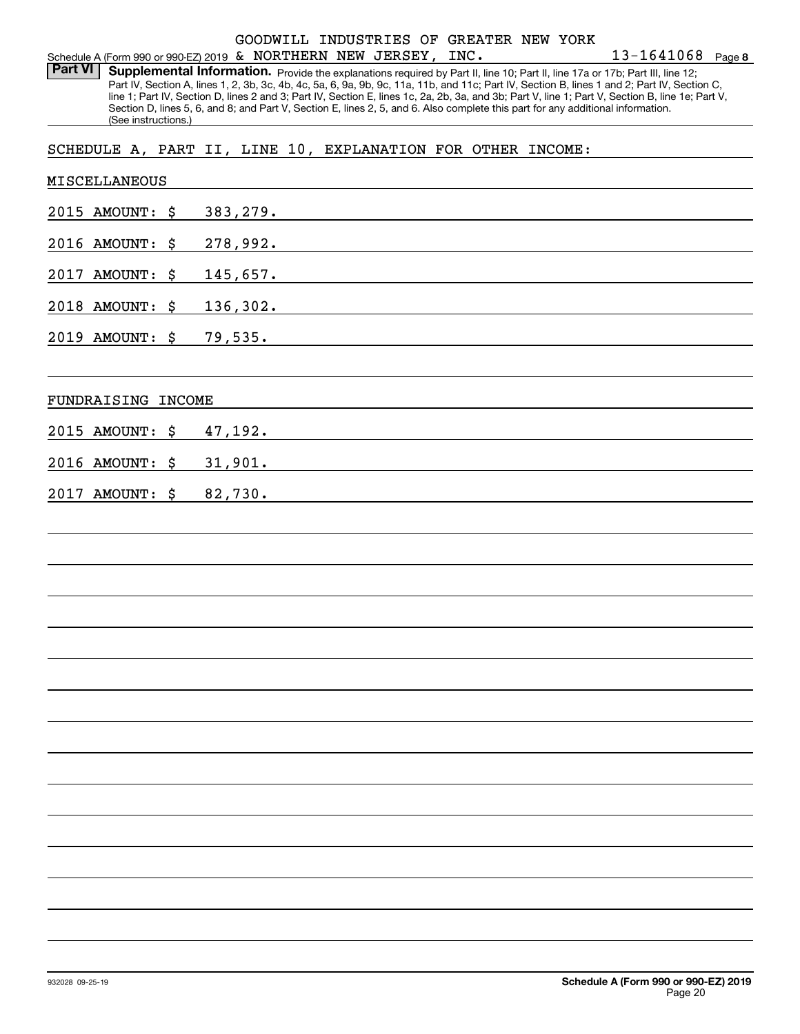#### Schedule A (Form 990 or 990-EZ) 2019 Page & NORTHERN NEW JERSEY, INC. GOODWILL INDUSTRIES OF GREATER NEW YORK

**8** 13-1641068

Part VI | Supplemental Information. Provide the explanations required by Part II, line 10; Part II, line 17a or 17b; Part III, line 12; Part IV, Section A, lines 1, 2, 3b, 3c, 4b, 4c, 5a, 6, 9a, 9b, 9c, 11a, 11b, and 11c; Part IV, Section B, lines 1 and 2; Part IV, Section C, line 1; Part IV, Section D, lines 2 and 3; Part IV, Section E, lines 1c, 2a, 2b, 3a, and 3b; Part V, line 1; Part V, Section B, line 1e; Part V, Section D, lines 5, 6, and 8; and Part V, Section E, lines 2, 5, and 6. Also complete this part for any additional information. (See instructions.)

SCHEDULE A, PART II, LINE 10, EXPLANATION FOR OTHER INCOME:

| MISCELLANEOUS      |                                                                                                                                                                                                                                           |  |  |  |  |
|--------------------|-------------------------------------------------------------------------------------------------------------------------------------------------------------------------------------------------------------------------------------------|--|--|--|--|
| 2015 AMOUNT: \$    | 383, 279.                                                                                                                                                                                                                                 |  |  |  |  |
| 2016 AMOUNT: \$    | 278,992.<br>the control of the control of the control of the control of the control of the control of the control of the control of the control of the control of the control of the control of the control of the control of the control |  |  |  |  |
| 2017<br>AMOUNT: \$ | <u>145,657.</u>                                                                                                                                                                                                                           |  |  |  |  |
| 2018 AMOUNT: \$    | 136,302.                                                                                                                                                                                                                                  |  |  |  |  |
| 2019 AMOUNT: \$    | <u>79,535.</u>                                                                                                                                                                                                                            |  |  |  |  |
|                    |                                                                                                                                                                                                                                           |  |  |  |  |
| FUNDRAISING INCOME |                                                                                                                                                                                                                                           |  |  |  |  |
| 2015 AMOUNT:<br>\$ | 47,192.                                                                                                                                                                                                                                   |  |  |  |  |
| 2016 AMOUNT: \$    | 31,901.<br>the control of the control of the control of the control of the control of the control of the control of the control of the control of the control of the control of the control of the control of the control of the control  |  |  |  |  |
| 2017 AMOUNT: \$    | 82,730.                                                                                                                                                                                                                                   |  |  |  |  |
|                    |                                                                                                                                                                                                                                           |  |  |  |  |
|                    |                                                                                                                                                                                                                                           |  |  |  |  |
|                    |                                                                                                                                                                                                                                           |  |  |  |  |
|                    |                                                                                                                                                                                                                                           |  |  |  |  |
|                    |                                                                                                                                                                                                                                           |  |  |  |  |
|                    |                                                                                                                                                                                                                                           |  |  |  |  |
|                    |                                                                                                                                                                                                                                           |  |  |  |  |
|                    |                                                                                                                                                                                                                                           |  |  |  |  |
|                    |                                                                                                                                                                                                                                           |  |  |  |  |
|                    |                                                                                                                                                                                                                                           |  |  |  |  |
|                    |                                                                                                                                                                                                                                           |  |  |  |  |
|                    |                                                                                                                                                                                                                                           |  |  |  |  |
|                    |                                                                                                                                                                                                                                           |  |  |  |  |
|                    |                                                                                                                                                                                                                                           |  |  |  |  |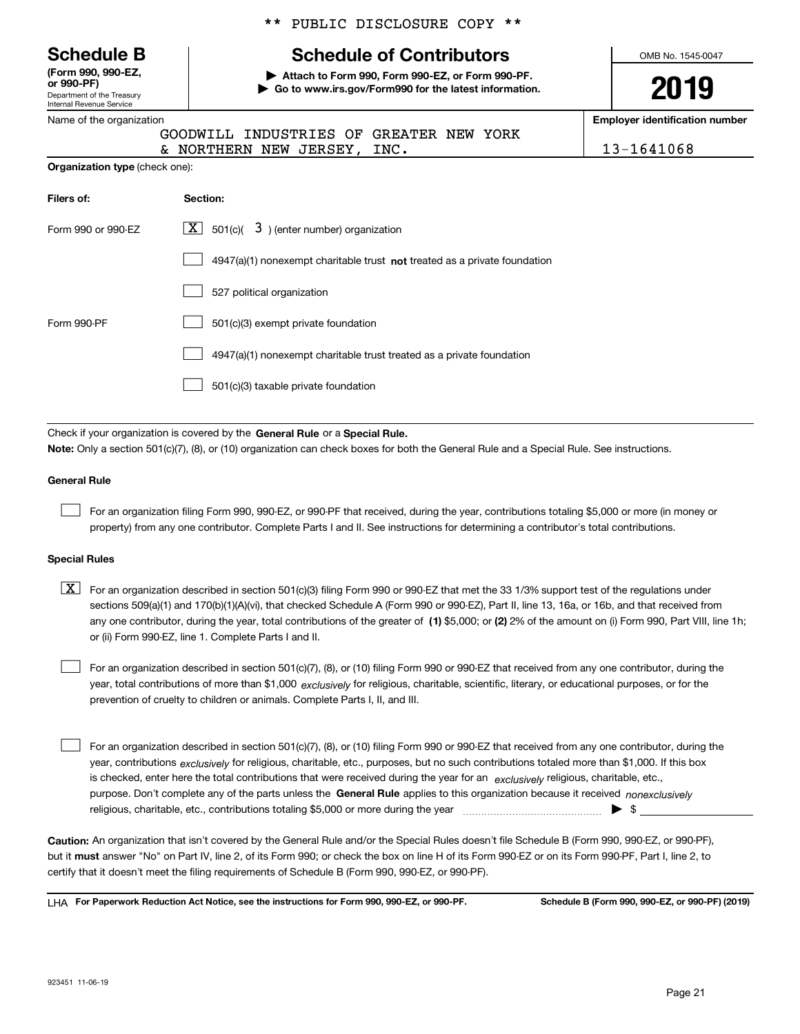Department of the Treasury Internal Revenue Service **(Form 990, 990-EZ, or 990-PF)**

Name of the organization

|  |  | ** PUBLIC DISCLOSURE COPY ** |  |  |
|--|--|------------------------------|--|--|
|--|--|------------------------------|--|--|

# **Schedule B Schedule of Contributors**

**| Attach to Form 990, Form 990-EZ, or Form 990-PF. | Go to www.irs.gov/Form990 for the latest information.**

YORK

OMB No. 1545-0047

**2019**

**Employer identification number**

| 13-1641068 |  |  |  |  |
|------------|--|--|--|--|
|            |  |  |  |  |

| GOODWILL INDUSTRIES OF GREATER NEW |  |
|------------------------------------|--|

|                                       | & NORTHERN NEW JERSEY, |  | INC. | 13-1641068 |
|---------------------------------------|------------------------|--|------|------------|
| <b>Organization type (check one):</b> |                        |  |      |            |

| Filers of:         | Section:                                                                           |
|--------------------|------------------------------------------------------------------------------------|
| Form 990 or 990-F7 | $ \mathbf{X} $ 501(c)( 3) (enter number) organization                              |
|                    | $4947(a)(1)$ nonexempt charitable trust <b>not</b> treated as a private foundation |
|                    | 527 political organization                                                         |
| Form 990-PF        | 501(c)(3) exempt private foundation                                                |
|                    | 4947(a)(1) nonexempt charitable trust treated as a private foundation              |
|                    | 501(c)(3) taxable private foundation                                               |

Check if your organization is covered by the **General Rule** or a **Special Rule.**<br>Nota: Only a section 501(c)(7), (8), or (10) erganization can chock boxes for be **Note:**  Only a section 501(c)(7), (8), or (10) organization can check boxes for both the General Rule and a Special Rule. See instructions.

#### **General Rule**

 $\mathcal{L}^{\text{max}}$ 

For an organization filing Form 990, 990-EZ, or 990-PF that received, during the year, contributions totaling \$5,000 or more (in money or property) from any one contributor. Complete Parts I and II. See instructions for determining a contributor's total contributions.

#### **Special Rules**

any one contributor, during the year, total contributions of the greater of  $\,$  (1) \$5,000; or **(2)** 2% of the amount on (i) Form 990, Part VIII, line 1h;  $\boxed{\textbf{X}}$  For an organization described in section 501(c)(3) filing Form 990 or 990-EZ that met the 33 1/3% support test of the regulations under sections 509(a)(1) and 170(b)(1)(A)(vi), that checked Schedule A (Form 990 or 990-EZ), Part II, line 13, 16a, or 16b, and that received from or (ii) Form 990-EZ, line 1. Complete Parts I and II.

year, total contributions of more than \$1,000 *exclusively* for religious, charitable, scientific, literary, or educational purposes, or for the For an organization described in section 501(c)(7), (8), or (10) filing Form 990 or 990-EZ that received from any one contributor, during the prevention of cruelty to children or animals. Complete Parts I, II, and III.  $\mathcal{L}^{\text{max}}$ 

purpose. Don't complete any of the parts unless the **General Rule** applies to this organization because it received *nonexclusively* year, contributions <sub>exclusively</sub> for religious, charitable, etc., purposes, but no such contributions totaled more than \$1,000. If this box is checked, enter here the total contributions that were received during the year for an  $\;$ exclusively religious, charitable, etc., For an organization described in section 501(c)(7), (8), or (10) filing Form 990 or 990-EZ that received from any one contributor, during the religious, charitable, etc., contributions totaling \$5,000 or more during the year  $\Box$ — $\Box$   $\Box$  $\mathcal{L}^{\text{max}}$ 

**Caution:**  An organization that isn't covered by the General Rule and/or the Special Rules doesn't file Schedule B (Form 990, 990-EZ, or 990-PF), but it **must** answer "No" on Part IV, line 2, of its Form 990; or check the box on line H of its Form 990-EZ or on its Form 990-PF, Part I, line 2, to<br>cortify that it doesn't meet the filipe requirements of Schodule B (Fer certify that it doesn't meet the filing requirements of Schedule B (Form 990, 990-EZ, or 990-PF).

**For Paperwork Reduction Act Notice, see the instructions for Form 990, 990-EZ, or 990-PF. Schedule B (Form 990, 990-EZ, or 990-PF) (2019)** LHA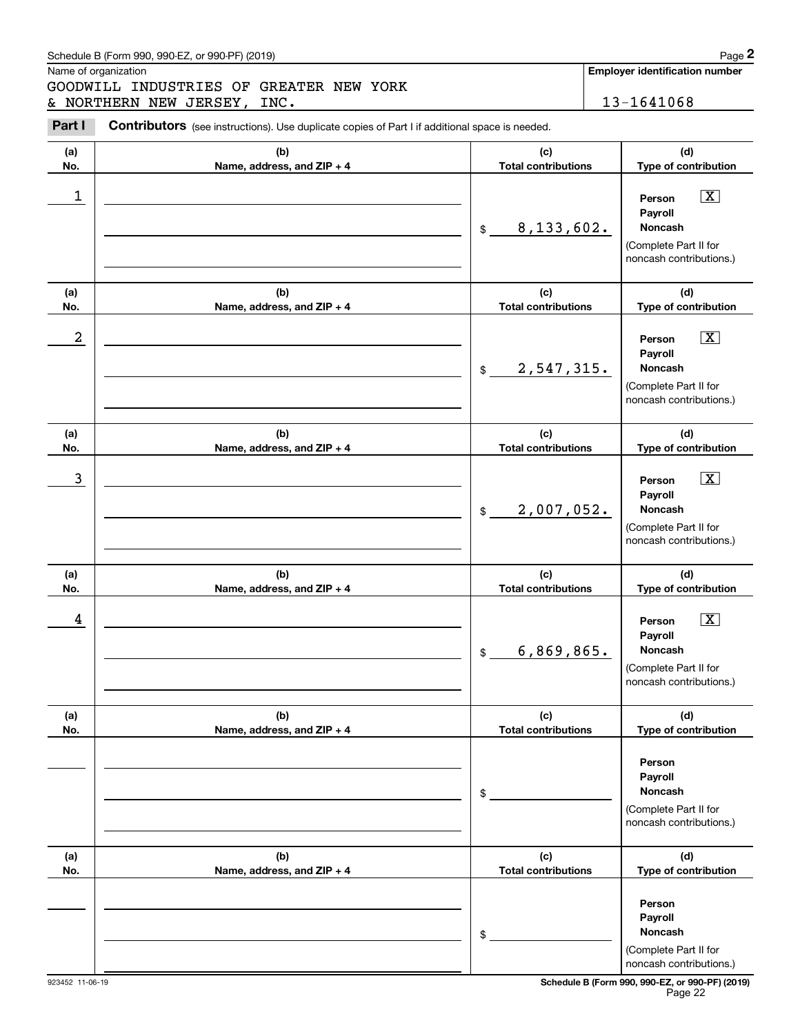# Schedule B (Form 990, 990-EZ, or 990-PF) (2019) Page 2

|            | Schedule B (Form 990, 990-EZ, or 990-PF) (2019)                                                |                                   | Page 2                                                                                                 |
|------------|------------------------------------------------------------------------------------------------|-----------------------------------|--------------------------------------------------------------------------------------------------------|
|            | Name of organization<br>GOODWILL INDUSTRIES OF GREATER NEW YORK<br>& NORTHERN NEW JERSEY, INC. |                                   | <b>Employer identification number</b><br>13-1641068                                                    |
| Part I     | Contributors (see instructions). Use duplicate copies of Part I if additional space is needed. |                                   |                                                                                                        |
| (a)<br>No. | (b)<br>Name, address, and ZIP + 4                                                              | (c)<br><b>Total contributions</b> | (d)<br>Type of contribution                                                                            |
| 1          |                                                                                                | 8, 133, 602.<br>$\mathfrak{S}$    | $\boxed{\text{X}}$<br>Person<br>Payroll<br>Noncash<br>(Complete Part II for<br>noncash contributions.) |
| (a)<br>No. | (b)<br>Name, address, and ZIP + 4                                                              | (c)<br><b>Total contributions</b> | (d)<br>Type of contribution                                                                            |
| 2          |                                                                                                | 2,547,315.<br>$\frac{1}{2}$       | $\boxed{\text{X}}$<br>Person<br>Payroll<br>Noncash<br>(Complete Part II for<br>noncash contributions.) |
| (a)<br>No. | (b)<br>Name, address, and ZIP + 4                                                              | (c)<br><b>Total contributions</b> | (d)<br>Type of contribution                                                                            |
| 3          |                                                                                                | 2,007,052.<br>\$                  | $\boxed{\text{X}}$<br>Person<br>Payroll<br>Noncash<br>(Complete Part II for<br>noncash contributions.) |
| (a)<br>No. | (b)<br>Name, address, and ZIP + 4                                                              | (c)<br><b>Total contributions</b> | (d)<br>Type of contribution                                                                            |
| 4          |                                                                                                | 6,869,865.<br>\$                  | $\boxed{\text{X}}$<br>Person<br>Payroll<br>Noncash<br>(Complete Part II for<br>noncash contributions.) |
| (a)<br>No. | (b)<br>Name, address, and ZIP + 4                                                              | (c)<br><b>Total contributions</b> | (d)<br>Type of contribution                                                                            |
|            |                                                                                                | \$                                | Person<br>Payroll<br><b>Noncash</b><br>(Complete Part II for<br>noncash contributions.)                |
| (a)<br>No. | (b)<br>Name, address, and ZIP + 4                                                              | (c)<br><b>Total contributions</b> | (d)<br>Type of contribution                                                                            |
|            |                                                                                                | \$                                | Person<br>Payroll<br>Noncash<br>(Complete Part II for<br>noncash contributions.)                       |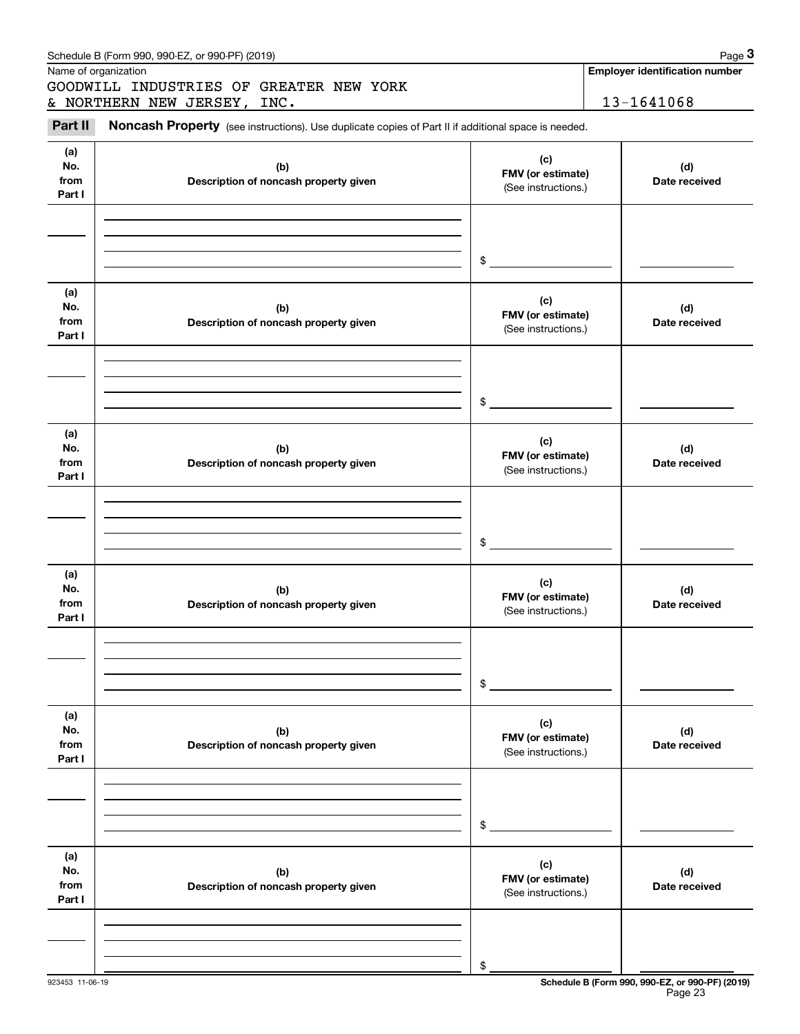|                              | Schedule B (Form 990, 990-EZ, or 990-PF) (2019)                                                     |                                                 | Page 3                                              |
|------------------------------|-----------------------------------------------------------------------------------------------------|-------------------------------------------------|-----------------------------------------------------|
|                              | Name of organization<br>GOODWILL INDUSTRIES OF GREATER NEW YORK<br>& NORTHERN NEW JERSEY, INC.      |                                                 | <b>Employer identification number</b><br>13-1641068 |
| Part II                      | Noncash Property (see instructions). Use duplicate copies of Part II if additional space is needed. |                                                 |                                                     |
| (a)<br>No.<br>from<br>Part I | (b)<br>Description of noncash property given                                                        | (c)<br>FMV (or estimate)<br>(See instructions.) | (d)<br>Date received                                |
|                              |                                                                                                     | \$                                              |                                                     |
| (a)<br>No.<br>from<br>Part I | (b)<br>Description of noncash property given                                                        | (c)<br>FMV (or estimate)<br>(See instructions.) | (d)<br>Date received                                |
|                              |                                                                                                     | \$                                              |                                                     |
| (a)<br>No.<br>from<br>Part I | (b)<br>Description of noncash property given                                                        | (c)<br>FMV (or estimate)<br>(See instructions.) | (d)<br>Date received                                |
|                              |                                                                                                     | \$                                              |                                                     |
| (a)<br>No.<br>from<br>Part I | (b)<br>Description of noncash property given                                                        | (c)<br>FMV (or estimate)<br>(See instructions.) | (d)<br>Date received                                |
|                              |                                                                                                     | \$                                              |                                                     |
| (a)<br>No.<br>from<br>Part I | (b)<br>Description of noncash property given                                                        | (c)<br>FMV (or estimate)<br>(See instructions.) | (d)<br>Date received                                |
|                              |                                                                                                     | \$                                              |                                                     |
| (a)<br>No.<br>from<br>Part I | (b)<br>Description of noncash property given                                                        | (c)<br>FMV (or estimate)<br>(See instructions.) | (d)<br>Date received                                |
|                              |                                                                                                     | \$                                              |                                                     |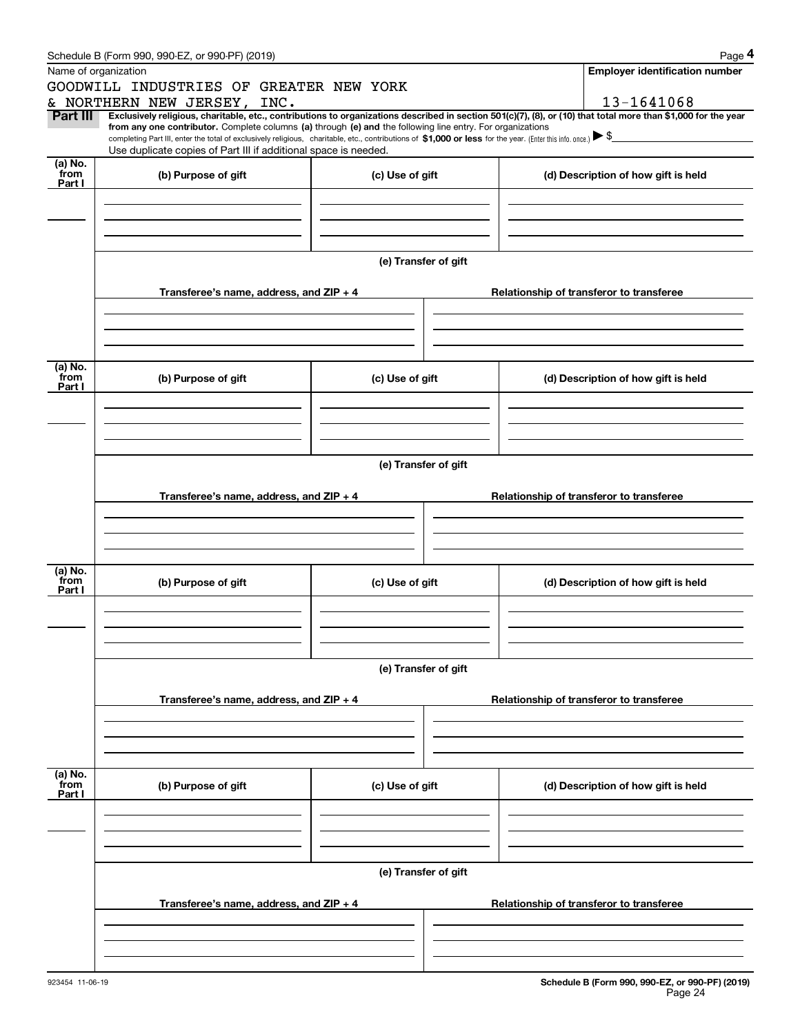|                 | Schedule B (Form 990, 990-EZ, or 990-PF) (2019)                                                                                                                                                                                                                              |                         |  |  | Page 4                                   |  |  |  |
|-----------------|------------------------------------------------------------------------------------------------------------------------------------------------------------------------------------------------------------------------------------------------------------------------------|-------------------------|--|--|------------------------------------------|--|--|--|
|                 | Name of organization                                                                                                                                                                                                                                                         |                         |  |  | <b>Employer identification number</b>    |  |  |  |
|                 | GOODWILL INDUSTRIES OF                                                                                                                                                                                                                                                       | <b>GREATER NEW YORK</b> |  |  |                                          |  |  |  |
|                 | & NORTHERN NEW JERSEY,<br>INC.                                                                                                                                                                                                                                               |                         |  |  | 13-1641068                               |  |  |  |
| Part III        | Exclusively religious, charitable, etc., contributions to organizations described in section 501(c)(7), (8), or (10) that total more than \$1,000 for the year<br>from any one contributor. Complete columns (a) through (e) and the following line entry. For organizations |                         |  |  |                                          |  |  |  |
|                 | completing Part III, enter the total of exclusively religious, charitable, etc., contributions of \$1,000 or less for the year. (Enter this info. once.) $\blacktriangleright$ \$<br>Use duplicate copies of Part III if additional space is needed.                         |                         |  |  |                                          |  |  |  |
| (a) No.         |                                                                                                                                                                                                                                                                              |                         |  |  |                                          |  |  |  |
| from<br>Part I  | (b) Purpose of gift                                                                                                                                                                                                                                                          | (c) Use of gift         |  |  | (d) Description of how gift is held      |  |  |  |
|                 |                                                                                                                                                                                                                                                                              |                         |  |  |                                          |  |  |  |
|                 |                                                                                                                                                                                                                                                                              |                         |  |  |                                          |  |  |  |
|                 |                                                                                                                                                                                                                                                                              |                         |  |  |                                          |  |  |  |
|                 |                                                                                                                                                                                                                                                                              |                         |  |  |                                          |  |  |  |
|                 |                                                                                                                                                                                                                                                                              | (e) Transfer of gift    |  |  |                                          |  |  |  |
|                 |                                                                                                                                                                                                                                                                              |                         |  |  |                                          |  |  |  |
|                 | Transferee's name, address, and ZIP + 4                                                                                                                                                                                                                                      |                         |  |  | Relationship of transferor to transferee |  |  |  |
|                 |                                                                                                                                                                                                                                                                              |                         |  |  |                                          |  |  |  |
|                 |                                                                                                                                                                                                                                                                              |                         |  |  |                                          |  |  |  |
|                 |                                                                                                                                                                                                                                                                              |                         |  |  |                                          |  |  |  |
|                 |                                                                                                                                                                                                                                                                              |                         |  |  |                                          |  |  |  |
| (a) No.         |                                                                                                                                                                                                                                                                              |                         |  |  |                                          |  |  |  |
| from<br>Part I  | (b) Purpose of gift                                                                                                                                                                                                                                                          | (c) Use of gift         |  |  | (d) Description of how gift is held      |  |  |  |
|                 |                                                                                                                                                                                                                                                                              |                         |  |  |                                          |  |  |  |
|                 |                                                                                                                                                                                                                                                                              |                         |  |  |                                          |  |  |  |
|                 |                                                                                                                                                                                                                                                                              |                         |  |  |                                          |  |  |  |
|                 |                                                                                                                                                                                                                                                                              |                         |  |  |                                          |  |  |  |
|                 | (e) Transfer of gift                                                                                                                                                                                                                                                         |                         |  |  |                                          |  |  |  |
|                 |                                                                                                                                                                                                                                                                              |                         |  |  |                                          |  |  |  |
|                 | Transferee's name, address, and ZIP + 4                                                                                                                                                                                                                                      |                         |  |  | Relationship of transferor to transferee |  |  |  |
|                 |                                                                                                                                                                                                                                                                              |                         |  |  |                                          |  |  |  |
|                 |                                                                                                                                                                                                                                                                              |                         |  |  |                                          |  |  |  |
|                 |                                                                                                                                                                                                                                                                              |                         |  |  |                                          |  |  |  |
|                 |                                                                                                                                                                                                                                                                              |                         |  |  |                                          |  |  |  |
| (a) No.<br>from | (b) Purpose of gift                                                                                                                                                                                                                                                          | (c) Use of gift         |  |  | (d) Description of how gift is held      |  |  |  |
| Part I          |                                                                                                                                                                                                                                                                              |                         |  |  |                                          |  |  |  |
|                 |                                                                                                                                                                                                                                                                              |                         |  |  |                                          |  |  |  |
|                 |                                                                                                                                                                                                                                                                              |                         |  |  |                                          |  |  |  |
|                 |                                                                                                                                                                                                                                                                              |                         |  |  |                                          |  |  |  |
|                 |                                                                                                                                                                                                                                                                              | (e) Transfer of gift    |  |  |                                          |  |  |  |
|                 |                                                                                                                                                                                                                                                                              |                         |  |  |                                          |  |  |  |
|                 | Transferee's name, address, and ZIP + 4                                                                                                                                                                                                                                      |                         |  |  | Relationship of transferor to transferee |  |  |  |
|                 |                                                                                                                                                                                                                                                                              |                         |  |  |                                          |  |  |  |
|                 |                                                                                                                                                                                                                                                                              |                         |  |  |                                          |  |  |  |
|                 |                                                                                                                                                                                                                                                                              |                         |  |  |                                          |  |  |  |
|                 |                                                                                                                                                                                                                                                                              |                         |  |  |                                          |  |  |  |
| (a) No.         |                                                                                                                                                                                                                                                                              |                         |  |  |                                          |  |  |  |
| from<br>Part I  | (b) Purpose of gift                                                                                                                                                                                                                                                          | (c) Use of gift         |  |  | (d) Description of how gift is held      |  |  |  |
|                 |                                                                                                                                                                                                                                                                              |                         |  |  |                                          |  |  |  |
|                 |                                                                                                                                                                                                                                                                              |                         |  |  |                                          |  |  |  |
|                 |                                                                                                                                                                                                                                                                              |                         |  |  |                                          |  |  |  |
|                 |                                                                                                                                                                                                                                                                              |                         |  |  |                                          |  |  |  |
|                 |                                                                                                                                                                                                                                                                              | (e) Transfer of gift    |  |  |                                          |  |  |  |
|                 |                                                                                                                                                                                                                                                                              |                         |  |  |                                          |  |  |  |
|                 | Transferee's name, address, and ZIP + 4                                                                                                                                                                                                                                      |                         |  |  | Relationship of transferor to transferee |  |  |  |
|                 |                                                                                                                                                                                                                                                                              |                         |  |  |                                          |  |  |  |
|                 |                                                                                                                                                                                                                                                                              |                         |  |  |                                          |  |  |  |
|                 |                                                                                                                                                                                                                                                                              |                         |  |  |                                          |  |  |  |
|                 |                                                                                                                                                                                                                                                                              |                         |  |  |                                          |  |  |  |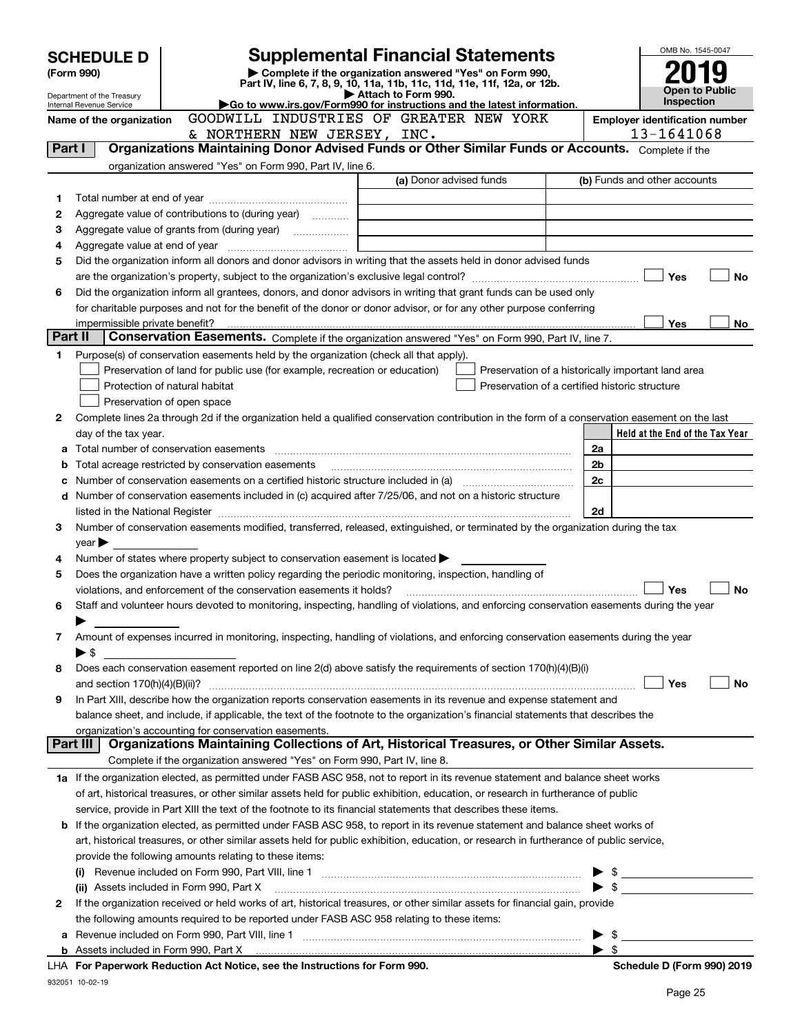|         | <b>Supplemental Financial Statements</b><br><b>SCHEDULE D</b> |                                                                                                        |                                                                                                                                                |                          |                                                                                                                      |  |
|---------|---------------------------------------------------------------|--------------------------------------------------------------------------------------------------------|------------------------------------------------------------------------------------------------------------------------------------------------|--------------------------|----------------------------------------------------------------------------------------------------------------------|--|
|         | (Form 990)                                                    |                                                                                                        | Complete if the organization answered "Yes" on Form 990,                                                                                       |                          |                                                                                                                      |  |
|         | Department of the Treasury                                    |                                                                                                        | Part IV, line 6, 7, 8, 9, 10, 11a, 11b, 11c, 11d, 11e, 11f, 12a, or 12b.<br>Attach to Form 990.                                                |                          | Open to Public                                                                                                       |  |
|         | Internal Revenue Service                                      |                                                                                                        | Go to www.irs.gov/Form990 for instructions and the latest information.                                                                         |                          | Inspection                                                                                                           |  |
|         | Name of the organization                                      |                                                                                                        | GOODWILL INDUSTRIES OF GREATER NEW YORK                                                                                                        |                          | <b>Employer identification number</b>                                                                                |  |
|         |                                                               | & NORTHERN NEW JERSEY, INC.                                                                            |                                                                                                                                                |                          | 13-1641068                                                                                                           |  |
| Part I  |                                                               |                                                                                                        | Organizations Maintaining Donor Advised Funds or Other Similar Funds or Accounts. Complete if the                                              |                          |                                                                                                                      |  |
|         |                                                               | organization answered "Yes" on Form 990, Part IV, line 6.                                              |                                                                                                                                                |                          |                                                                                                                      |  |
|         |                                                               |                                                                                                        | (a) Donor advised funds                                                                                                                        |                          | (b) Funds and other accounts                                                                                         |  |
| 1       |                                                               |                                                                                                        |                                                                                                                                                |                          |                                                                                                                      |  |
| 2       |                                                               | Aggregate value of contributions to (during year)                                                      |                                                                                                                                                |                          |                                                                                                                      |  |
| 3       |                                                               |                                                                                                        |                                                                                                                                                |                          |                                                                                                                      |  |
| 4       |                                                               |                                                                                                        |                                                                                                                                                |                          |                                                                                                                      |  |
| 5       |                                                               |                                                                                                        | Did the organization inform all donors and donor advisors in writing that the assets held in donor advised funds                               |                          |                                                                                                                      |  |
|         |                                                               |                                                                                                        |                                                                                                                                                |                          | Yes<br>No                                                                                                            |  |
| 6       |                                                               |                                                                                                        | Did the organization inform all grantees, donors, and donor advisors in writing that grant funds can be used only                              |                          |                                                                                                                      |  |
|         |                                                               |                                                                                                        | for charitable purposes and not for the benefit of the donor or donor advisor, or for any other purpose conferring                             |                          |                                                                                                                      |  |
|         |                                                               |                                                                                                        |                                                                                                                                                |                          | Yes<br>No                                                                                                            |  |
| Part II |                                                               |                                                                                                        | Conservation Easements. Complete if the organization answered "Yes" on Form 990, Part IV, line 7.                                              |                          |                                                                                                                      |  |
| 1       |                                                               | Purpose(s) of conservation easements held by the organization (check all that apply).                  |                                                                                                                                                |                          |                                                                                                                      |  |
|         |                                                               | Preservation of land for public use (for example, recreation or education)                             |                                                                                                                                                |                          | Preservation of a historically important land area                                                                   |  |
|         |                                                               | Protection of natural habitat                                                                          | Preservation of a certified historic structure                                                                                                 |                          |                                                                                                                      |  |
|         | Preservation of open space                                    |                                                                                                        |                                                                                                                                                |                          |                                                                                                                      |  |
| 2       |                                                               |                                                                                                        | Complete lines 2a through 2d if the organization held a qualified conservation contribution in the form of a conservation easement on the last |                          |                                                                                                                      |  |
|         | day of the tax year.                                          |                                                                                                        |                                                                                                                                                |                          | Held at the End of the Tax Year                                                                                      |  |
| а       |                                                               |                                                                                                        |                                                                                                                                                | 2a                       |                                                                                                                      |  |
| b       |                                                               | Total acreage restricted by conservation easements                                                     |                                                                                                                                                | 2b                       |                                                                                                                      |  |
| с       |                                                               |                                                                                                        |                                                                                                                                                | 2c                       |                                                                                                                      |  |
| d       |                                                               |                                                                                                        | Number of conservation easements included in (c) acquired after 7/25/06, and not on a historic structure                                       |                          |                                                                                                                      |  |
|         |                                                               |                                                                                                        |                                                                                                                                                | 2d                       |                                                                                                                      |  |
| 3       |                                                               |                                                                                                        | Number of conservation easements modified, transferred, released, extinguished, or terminated by the organization during the tax               |                          |                                                                                                                      |  |
|         | $year \blacktriangleright$                                    |                                                                                                        |                                                                                                                                                |                          |                                                                                                                      |  |
| 4       |                                                               | Number of states where property subject to conservation easement is located $\blacktriangleright$      |                                                                                                                                                |                          |                                                                                                                      |  |
| 5       |                                                               | Does the organization have a written policy regarding the periodic monitoring, inspection, handling of |                                                                                                                                                |                          |                                                                                                                      |  |
|         |                                                               | violations, and enforcement of the conservation easements it holds?                                    |                                                                                                                                                |                          | Yes<br>No                                                                                                            |  |
| 6       |                                                               |                                                                                                        | Staff and volunteer hours devoted to monitoring, inspecting, handling of violations, and enforcing conservation easements during the year      |                          |                                                                                                                      |  |
|         |                                                               |                                                                                                        |                                                                                                                                                |                          |                                                                                                                      |  |
| 7       |                                                               |                                                                                                        | Amount of expenses incurred in monitoring, inspecting, handling of violations, and enforcing conservation easements during the year            |                          |                                                                                                                      |  |
|         | $\blacktriangleright$ \$                                      |                                                                                                        |                                                                                                                                                |                          |                                                                                                                      |  |
| 8       |                                                               |                                                                                                        | Does each conservation easement reported on line 2(d) above satisfy the requirements of section 170(h)(4)(B)(i)                                |                          |                                                                                                                      |  |
|         |                                                               |                                                                                                        |                                                                                                                                                |                          | Yes<br>No                                                                                                            |  |
| 9       |                                                               |                                                                                                        | In Part XIII, describe how the organization reports conservation easements in its revenue and expense statement and                            |                          |                                                                                                                      |  |
|         |                                                               |                                                                                                        | balance sheet, and include, if applicable, the text of the footnote to the organization's financial statements that describes the              |                          |                                                                                                                      |  |
|         | organization's accounting for conservation easements.         |                                                                                                        |                                                                                                                                                |                          |                                                                                                                      |  |
|         | Part III                                                      |                                                                                                        | Organizations Maintaining Collections of Art, Historical Treasures, or Other Similar Assets.                                                   |                          |                                                                                                                      |  |
|         |                                                               | Complete if the organization answered "Yes" on Form 990, Part IV, line 8.                              |                                                                                                                                                |                          |                                                                                                                      |  |
|         |                                                               |                                                                                                        | 1a If the organization elected, as permitted under FASB ASC 958, not to report in its revenue statement and balance sheet works                |                          |                                                                                                                      |  |
|         |                                                               |                                                                                                        | of art, historical treasures, or other similar assets held for public exhibition, education, or research in furtherance of public              |                          |                                                                                                                      |  |
|         |                                                               |                                                                                                        | service, provide in Part XIII the text of the footnote to its financial statements that describes these items.                                 |                          |                                                                                                                      |  |
| b       |                                                               |                                                                                                        | If the organization elected, as permitted under FASB ASC 958, to report in its revenue statement and balance sheet works of                    |                          |                                                                                                                      |  |
|         |                                                               |                                                                                                        | art, historical treasures, or other similar assets held for public exhibition, education, or research in furtherance of public service,        |                          |                                                                                                                      |  |
|         |                                                               | provide the following amounts relating to these items:                                                 |                                                                                                                                                |                          |                                                                                                                      |  |
|         |                                                               |                                                                                                        |                                                                                                                                                |                          | \$                                                                                                                   |  |
|         |                                                               | (ii) Assets included in Form 990, Part X                                                               |                                                                                                                                                | $\blacktriangleright$ \$ | <u> 1989 - Jan Barbara Barbara, prima prima prima prima prima prima prima prima prima prima prima prima prima pr</u> |  |
| 2       |                                                               |                                                                                                        | If the organization received or held works of art, historical treasures, or other similar assets for financial gain, provide                   |                          |                                                                                                                      |  |
|         |                                                               | the following amounts required to be reported under FASB ASC 958 relating to these items:              |                                                                                                                                                |                          |                                                                                                                      |  |
| а       |                                                               |                                                                                                        |                                                                                                                                                |                          | \$                                                                                                                   |  |
|         |                                                               |                                                                                                        |                                                                                                                                                |                          | - \$                                                                                                                 |  |
|         |                                                               | LHA For Paperwork Reduction Act Notice, see the Instructions for Form 990.                             |                                                                                                                                                |                          | Schedule D (Form 990) 2019                                                                                           |  |
|         |                                                               |                                                                                                        |                                                                                                                                                |                          |                                                                                                                      |  |

932051 10-02-19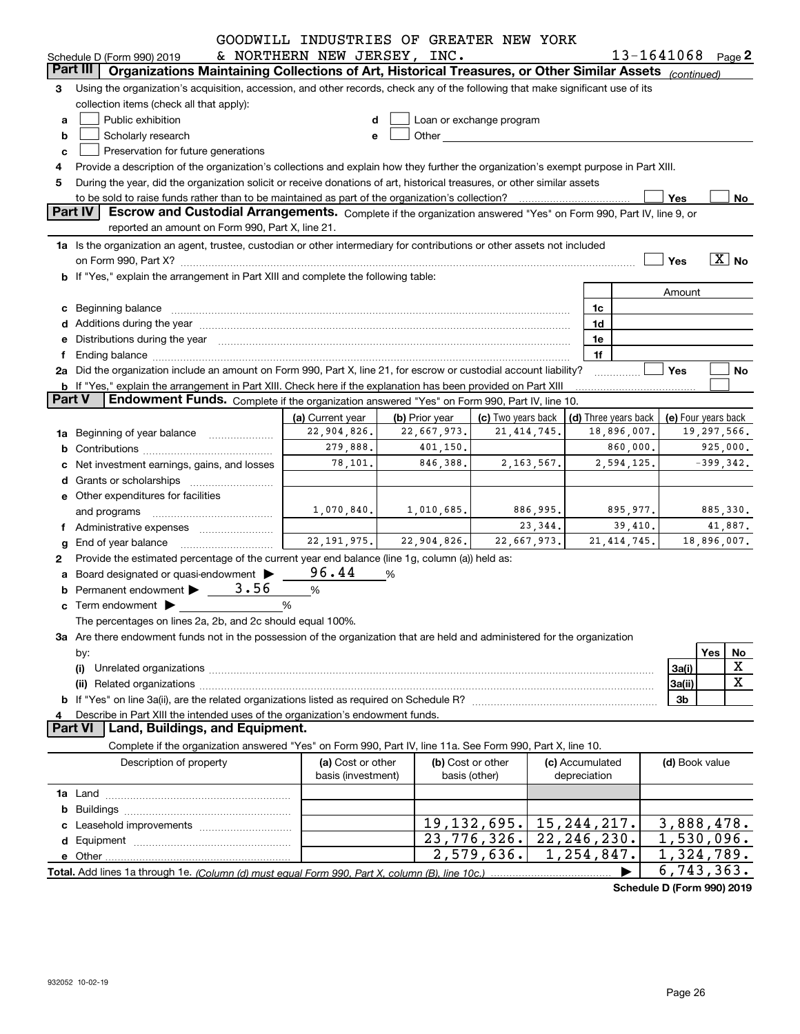|               |                                                                                                                                                                                                                                | GOODWILL INDUSTRIES OF GREATER NEW YORK |                                                                                                                                                                                                                                    |                                     |                 |    |                     |                          |                                                           |
|---------------|--------------------------------------------------------------------------------------------------------------------------------------------------------------------------------------------------------------------------------|-----------------------------------------|------------------------------------------------------------------------------------------------------------------------------------------------------------------------------------------------------------------------------------|-------------------------------------|-----------------|----|---------------------|--------------------------|-----------------------------------------------------------|
|               | Schedule D (Form 990) 2019                                                                                                                                                                                                     | & NORTHERN NEW JERSEY, INC.             |                                                                                                                                                                                                                                    |                                     |                 |    |                     |                          | 13-1641068 Page 2                                         |
|               | Organizations Maintaining Collections of Art, Historical Treasures, or Other Similar Assets (continued)<br><b>Part III</b>                                                                                                     |                                         |                                                                                                                                                                                                                                    |                                     |                 |    |                     |                          |                                                           |
| 3             | Using the organization's acquisition, accession, and other records, check any of the following that make significant use of its                                                                                                |                                         |                                                                                                                                                                                                                                    |                                     |                 |    |                     |                          |                                                           |
|               | collection items (check all that apply):                                                                                                                                                                                       |                                         |                                                                                                                                                                                                                                    |                                     |                 |    |                     |                          |                                                           |
| a             | Public exhibition                                                                                                                                                                                                              | d                                       |                                                                                                                                                                                                                                    | Loan or exchange program            |                 |    |                     |                          |                                                           |
| b             | Scholarly research                                                                                                                                                                                                             | e                                       | <b>Other Contract Contract Contract Contract Contract Contract Contract Contract Contract Contract Contract Contract Contract Contract Contract Contract Contract Contract Contract Contract Contract Contract Contract Contra</b> |                                     |                 |    |                     |                          |                                                           |
| c             | Preservation for future generations                                                                                                                                                                                            |                                         |                                                                                                                                                                                                                                    |                                     |                 |    |                     |                          |                                                           |
| 4             | Provide a description of the organization's collections and explain how they further the organization's exempt purpose in Part XIII.                                                                                           |                                         |                                                                                                                                                                                                                                    |                                     |                 |    |                     |                          |                                                           |
| 5             | During the year, did the organization solicit or receive donations of art, historical treasures, or other similar assets                                                                                                       |                                         |                                                                                                                                                                                                                                    |                                     |                 |    |                     |                          |                                                           |
|               | to be sold to raise funds rather than to be maintained as part of the organization's collection?                                                                                                                               |                                         |                                                                                                                                                                                                                                    |                                     |                 |    |                     | Yes                      | No                                                        |
|               | Part IV<br>Escrow and Custodial Arrangements. Complete if the organization answered "Yes" on Form 990, Part IV, line 9, or                                                                                                     |                                         |                                                                                                                                                                                                                                    |                                     |                 |    |                     |                          |                                                           |
|               | reported an amount on Form 990, Part X, line 21.                                                                                                                                                                               |                                         |                                                                                                                                                                                                                                    |                                     |                 |    |                     |                          |                                                           |
|               | 1a Is the organization an agent, trustee, custodian or other intermediary for contributions or other assets not included                                                                                                       |                                         |                                                                                                                                                                                                                                    |                                     |                 |    |                     |                          |                                                           |
|               | on Form 990, Part X? [11] The Content of the Content of Table 1 and Table 1 and Table 1 and Table 1 and Table 1                                                                                                                |                                         |                                                                                                                                                                                                                                    |                                     |                 |    |                     | Yes                      | $\boxed{\text{X}}$ No                                     |
|               | b If "Yes," explain the arrangement in Part XIII and complete the following table:                                                                                                                                             |                                         |                                                                                                                                                                                                                                    |                                     |                 |    |                     |                          |                                                           |
|               |                                                                                                                                                                                                                                |                                         |                                                                                                                                                                                                                                    |                                     |                 |    |                     | Amount                   |                                                           |
|               | c Beginning balance                                                                                                                                                                                                            |                                         |                                                                                                                                                                                                                                    |                                     |                 | 1c |                     |                          |                                                           |
|               |                                                                                                                                                                                                                                |                                         |                                                                                                                                                                                                                                    |                                     |                 | 1d |                     |                          |                                                           |
|               | e Distributions during the year manufactured and continuum and contact the year manufactured and contact the year manufactured and contact the year manufactured and contact the year manufactured and contact the year manufa |                                         |                                                                                                                                                                                                                                    |                                     |                 | 1e |                     |                          |                                                           |
| f             |                                                                                                                                                                                                                                |                                         |                                                                                                                                                                                                                                    |                                     |                 | 1f |                     |                          |                                                           |
|               | 2a Did the organization include an amount on Form 990, Part X, line 21, for escrow or custodial account liability?                                                                                                             |                                         |                                                                                                                                                                                                                                    |                                     |                 |    |                     | <b>Yes</b>               | No                                                        |
| <b>Part V</b> | b If "Yes," explain the arrangement in Part XIII. Check here if the explanation has been provided on Part XIII<br>Endowment Funds. Complete if the organization answered "Yes" on Form 990, Part IV, line 10.                  |                                         |                                                                                                                                                                                                                                    |                                     |                 |    |                     |                          |                                                           |
|               |                                                                                                                                                                                                                                |                                         |                                                                                                                                                                                                                                    |                                     |                 |    |                     |                          |                                                           |
|               |                                                                                                                                                                                                                                | (a) Current year<br>22,904,826.         | (b) Prior year<br>22,667,973.                                                                                                                                                                                                      | (c) Two years back<br>21, 414, 745. |                 |    | 18,896,007.         |                          | (d) Three years back   (e) Four years back<br>19,297,566. |
| 1a            | Beginning of year balance                                                                                                                                                                                                      | 279,888.                                | 401, 150.                                                                                                                                                                                                                          |                                     |                 |    | 860,000.            |                          | 925,000.                                                  |
|               |                                                                                                                                                                                                                                | 78,101.                                 | 846,388.                                                                                                                                                                                                                           | 2, 163, 567.                        |                 |    | 2,594,125.          |                          | $-399, 342.$                                              |
|               | Net investment earnings, gains, and losses                                                                                                                                                                                     |                                         |                                                                                                                                                                                                                                    |                                     |                 |    |                     |                          |                                                           |
|               |                                                                                                                                                                                                                                |                                         |                                                                                                                                                                                                                                    |                                     |                 |    |                     |                          |                                                           |
|               | e Other expenditures for facilities                                                                                                                                                                                            |                                         |                                                                                                                                                                                                                                    | 886,995.                            |                 |    |                     |                          | 885,330.                                                  |
|               | and programs                                                                                                                                                                                                                   |                                         | $1,070,840.$ $1,010,685.$                                                                                                                                                                                                          | 23, 344.                            |                 |    | 895,977.<br>39,410. |                          | 41,887.                                                   |
|               |                                                                                                                                                                                                                                |                                         | $22,191,975.$ $22,904,826.$                                                                                                                                                                                                        | 22,667,973.                         |                 |    | 21, 414, 745.       |                          | 18,896,007.                                               |
| g             | End of year balance                                                                                                                                                                                                            |                                         |                                                                                                                                                                                                                                    |                                     |                 |    |                     |                          |                                                           |
| 2             | Provide the estimated percentage of the current year end balance (line 1g, column (a)) held as:                                                                                                                                | 96.44                                   |                                                                                                                                                                                                                                    |                                     |                 |    |                     |                          |                                                           |
|               | a Board designated or quasi-endowment ><br>3.56                                                                                                                                                                                |                                         | %                                                                                                                                                                                                                                  |                                     |                 |    |                     |                          |                                                           |
| b             | Permanent endowment                                                                                                                                                                                                            | %                                       |                                                                                                                                                                                                                                    |                                     |                 |    |                     |                          |                                                           |
| c             |                                                                                                                                                                                                                                | %                                       |                                                                                                                                                                                                                                    |                                     |                 |    |                     |                          |                                                           |
|               | The percentages on lines 2a, 2b, and 2c should equal 100%.                                                                                                                                                                     |                                         |                                                                                                                                                                                                                                    |                                     |                 |    |                     |                          |                                                           |
|               | 3a Are there endowment funds not in the possession of the organization that are held and administered for the organization                                                                                                     |                                         |                                                                                                                                                                                                                                    |                                     |                 |    |                     |                          | Yes                                                       |
|               | by:                                                                                                                                                                                                                            |                                         |                                                                                                                                                                                                                                    |                                     |                 |    |                     |                          | No<br>X                                                   |
|               | (i)                                                                                                                                                                                                                            |                                         |                                                                                                                                                                                                                                    |                                     |                 |    |                     | 3a(i)                    | X                                                         |
|               | (ii)                                                                                                                                                                                                                           |                                         |                                                                                                                                                                                                                                    |                                     |                 |    |                     | 3a(ii)<br>3 <sub>b</sub> |                                                           |
| 4             | Describe in Part XIII the intended uses of the organization's endowment funds.                                                                                                                                                 |                                         |                                                                                                                                                                                                                                    |                                     |                 |    |                     |                          |                                                           |
|               | Land, Buildings, and Equipment.<br><b>Part VI</b>                                                                                                                                                                              |                                         |                                                                                                                                                                                                                                    |                                     |                 |    |                     |                          |                                                           |
|               | Complete if the organization answered "Yes" on Form 990, Part IV, line 11a. See Form 990, Part X, line 10.                                                                                                                     |                                         |                                                                                                                                                                                                                                    |                                     |                 |    |                     |                          |                                                           |
|               | Description of property                                                                                                                                                                                                        | (a) Cost or other                       |                                                                                                                                                                                                                                    | (b) Cost or other                   | (c) Accumulated |    |                     | (d) Book value           |                                                           |
|               |                                                                                                                                                                                                                                | basis (investment)                      |                                                                                                                                                                                                                                    | basis (other)                       | depreciation    |    |                     |                          |                                                           |
|               |                                                                                                                                                                                                                                |                                         |                                                                                                                                                                                                                                    |                                     |                 |    |                     |                          |                                                           |
|               |                                                                                                                                                                                                                                |                                         |                                                                                                                                                                                                                                    |                                     |                 |    |                     |                          |                                                           |
|               |                                                                                                                                                                                                                                |                                         |                                                                                                                                                                                                                                    | 19, 132, 695.                       | 15, 244, 217.   |    |                     |                          | 3,888,478.                                                |
|               |                                                                                                                                                                                                                                |                                         |                                                                                                                                                                                                                                    | 23, 776, 326.                       | 22, 246, 230.   |    |                     |                          | 1,530,096.                                                |
|               |                                                                                                                                                                                                                                |                                         |                                                                                                                                                                                                                                    | $\overline{2,579,636.}$             | 1, 254, 847.    |    |                     |                          | 1,324,789.                                                |
|               |                                                                                                                                                                                                                                |                                         |                                                                                                                                                                                                                                    |                                     |                 |    |                     |                          | 6, 743, 363.                                              |
|               |                                                                                                                                                                                                                                |                                         |                                                                                                                                                                                                                                    |                                     |                 |    |                     |                          |                                                           |

**Schedule D (Form 990) 2019**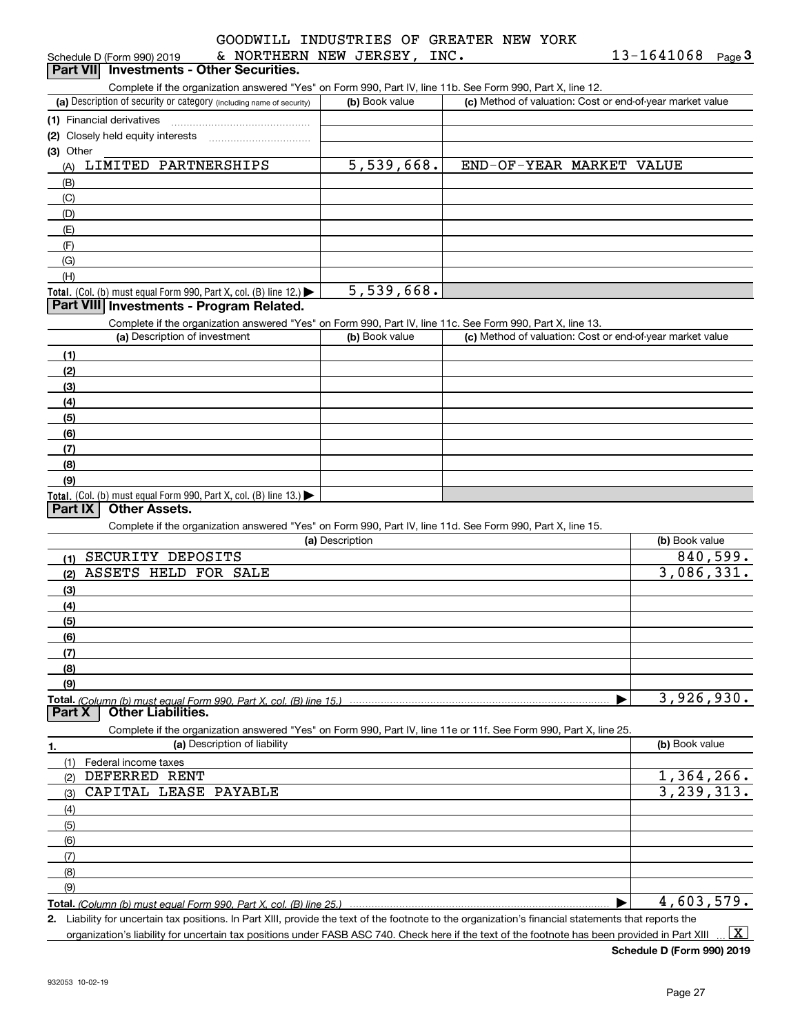| GOODWILL INDUSTRIES OF GREATER NEW YORK |  |  |  |
|-----------------------------------------|--|--|--|
| & NORTHERN NEW JERSEY, INC.             |  |  |  |

| criedale D (I OHII 990) ZUT9              | $\sim$ 11011111111 |  |
|-------------------------------------------|--------------------|--|
| Part VIII, Investments - Other Securities |                    |  |

ichedule D (Form 990) 2019 **6 NORTHERN NEW JERSEY , INC . Solution Beam 13-1641068** Page **3**<br>**Part VII Investments - Other Securities.**<br>Complete if the organization answered "Yes" on Form 990, Part IV, line 11b. See Form

| (a) Description of security or category (including name of security) | (b) Book value | (c) Method of valuation: Cost or end-of-year market value |
|----------------------------------------------------------------------|----------------|-----------------------------------------------------------|
| (1) Financial derivatives                                            |                |                                                           |
| (2) Closely held equity interests                                    |                |                                                           |
| $(3)$ Other                                                          |                |                                                           |
| LIMITED PARTNERSHIPS<br>(A)                                          | 5,539,668.     | END-OF-YEAR MARKET<br>VALUE                               |
| (B)                                                                  |                |                                                           |
| (C)                                                                  |                |                                                           |
| (D)                                                                  |                |                                                           |
| (E)                                                                  |                |                                                           |
| (F)                                                                  |                |                                                           |
| (G)                                                                  |                |                                                           |
| (H)                                                                  |                |                                                           |
| Total. (Col. (b) must equal Form 990, Part X, col. (B) line $12$ .)  | 5,539,668.     |                                                           |

#### **Part VIII Investments - Program Related.**

Complete if the organization answered "Yes" on Form 990, Part IV, line 11c. See Form 990, Part X, line 13.

| (a) Description of investment                                                          | (b) Book value | (c) Method of valuation: Cost or end-of-year market value |
|----------------------------------------------------------------------------------------|----------------|-----------------------------------------------------------|
| (1)                                                                                    |                |                                                           |
| (2)                                                                                    |                |                                                           |
| $\frac{1}{2}$                                                                          |                |                                                           |
| (4)                                                                                    |                |                                                           |
| (5)                                                                                    |                |                                                           |
| (6)                                                                                    |                |                                                           |
| (7)                                                                                    |                |                                                           |
| (8)                                                                                    |                |                                                           |
| (9)                                                                                    |                |                                                           |
| Total. (Col. (b) must equal Form 990, Part X, col. (B) line 13.) $\blacktriangleright$ |                |                                                           |

#### **Part IX Other Assets.**

Complete if the organization answered "Yes" on Form 990, Part IV, line 11d. See Form 990, Part X, line 15.

| (a) Description                                                                                                                                      | (b) Book value |
|------------------------------------------------------------------------------------------------------------------------------------------------------|----------------|
| SECURITY DEPOSITS<br>(1)                                                                                                                             | 840,599.       |
| ASSETS HELD FOR SALE<br>(2)                                                                                                                          | 3,086,331.     |
| (3)                                                                                                                                                  |                |
| (4)                                                                                                                                                  |                |
| (5)                                                                                                                                                  |                |
| (6)                                                                                                                                                  |                |
| (7)                                                                                                                                                  |                |
| (8)                                                                                                                                                  |                |
| (9)                                                                                                                                                  |                |
| Total. <i>(Column (b) must equal Form 990. Part X. col. (B) line 15.) </i>                                                                           | 3,926,930.     |
| <b>Other Liabilities.</b><br><b>Part X</b>                                                                                                           |                |
| Complete if the organization answered "Yes" on Form 990, Part IV, line 11e or 11f. See Form 990, Part X, line 25.                                    |                |
| (a) Description of liability<br>1.                                                                                                                   | (b) Book value |
| (1)<br>Federal income taxes                                                                                                                          |                |
| DEFERRED RENT<br>(2)                                                                                                                                 | 1,364,266.     |
| CAPITAL LEASE<br>PAYABLE<br>(3)                                                                                                                      | 3, 239, 313.   |
| (4)                                                                                                                                                  |                |
| (5)                                                                                                                                                  |                |
| (6)                                                                                                                                                  |                |
| (7)                                                                                                                                                  |                |
| (8)                                                                                                                                                  |                |
| (9)                                                                                                                                                  |                |
| <b>Total.</b> (Column (b) must equal Form 990, Part X, col. (B) line 25.)                                                                            | 4,603,579.     |
| 2. Liability for uncertain tax positions. In Part XIII, provide the text of the footnote to the organization's financial statements that reports the |                |

organization's liability for uncertain tax positions under FASB ASC 740. Check here if the text of the footnote has been provided in Part XIII  $\boxed{\text{X}}$ 

**Schedule D (Form 990) 2019**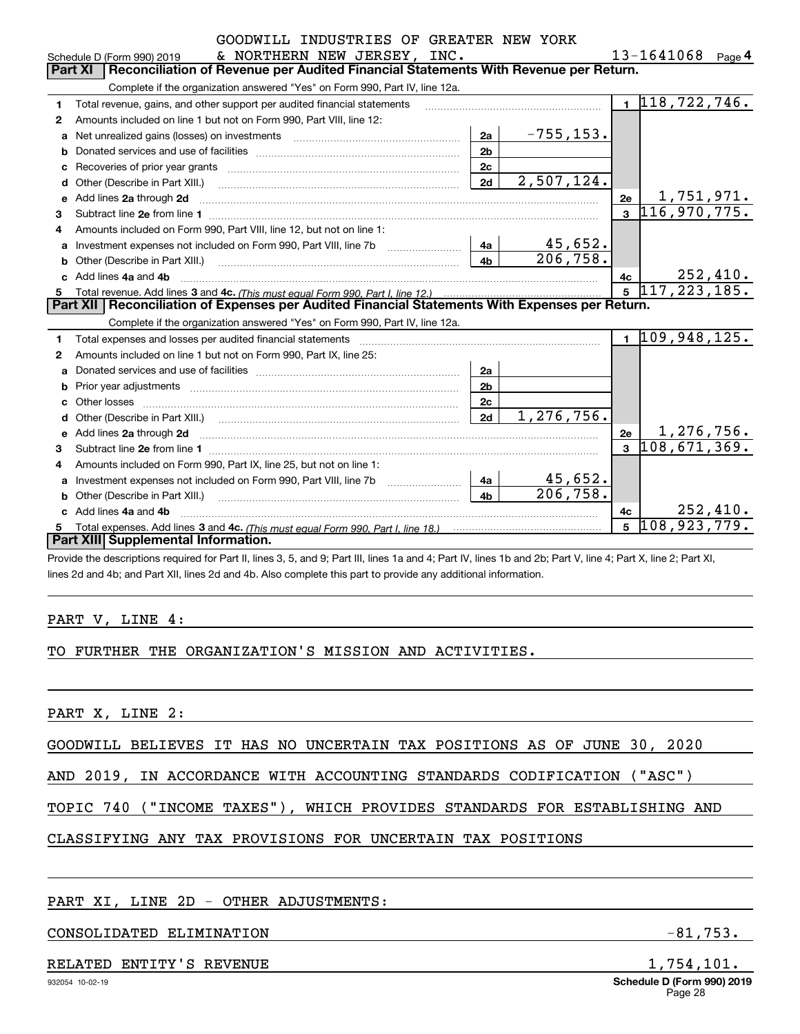|    | GOODWILL INDUSIRIES OF GREATER NEW YORK<br>& NORTHERN NEW JERSEY, INC.<br>Schedule D (Form 990) 2019                                                                                                  |                |                          |                | 13-1641068 Page 4                 |
|----|-------------------------------------------------------------------------------------------------------------------------------------------------------------------------------------------------------|----------------|--------------------------|----------------|-----------------------------------|
|    | Reconciliation of Revenue per Audited Financial Statements With Revenue per Return.<br>Part XI                                                                                                        |                |                          |                |                                   |
|    | Complete if the organization answered "Yes" on Form 990, Part IV, line 12a.                                                                                                                           |                |                          |                |                                   |
| 1  | Total revenue, gains, and other support per audited financial statements                                                                                                                              |                |                          |                | $1 \vert 118, 722, 746.$          |
| 2  | Amounts included on line 1 but not on Form 990, Part VIII, line 12:                                                                                                                                   |                |                          |                |                                   |
| a  | Net unrealized gains (losses) on investments [11] matter contracts and the unrealized gains (losses) on investments                                                                                   | 2a             | $-755, 153.$             |                |                                   |
| b  |                                                                                                                                                                                                       | 2 <sub>b</sub> |                          |                |                                   |
| с  |                                                                                                                                                                                                       | 2c             |                          |                |                                   |
| d  | Other (Describe in Part XIII.)                                                                                                                                                                        | 2d             | $\overline{2,507,124}$ . |                |                                   |
| е  | Add lines 2a through 2d                                                                                                                                                                               |                |                          | 2e             | $\frac{1,751,971.}{116,970,775.}$ |
| 3  |                                                                                                                                                                                                       |                |                          | $\mathbf{R}$   |                                   |
| 4  | Amounts included on Form 990, Part VIII, line 12, but not on line 1:                                                                                                                                  |                |                          |                |                                   |
| a  |                                                                                                                                                                                                       | 4a             | 45,652.                  |                |                                   |
| b  | Other (Describe in Part XIII.) [100] [100] [100] [100] [100] [100] [100] [100] [100] [100] [100] [100] [100] [                                                                                        | 4 <sub>b</sub> | $\overline{206}$ , 758.  |                |                                   |
|    | c Add lines 4a and 4b                                                                                                                                                                                 |                |                          | 4c             | 252,410.                          |
| 5  |                                                                                                                                                                                                       |                |                          | 5 <sup>1</sup> | 117, 223, 185.                    |
|    |                                                                                                                                                                                                       |                |                          |                |                                   |
|    | Part XII   Reconciliation of Expenses per Audited Financial Statements With Expenses per Return.                                                                                                      |                |                          |                |                                   |
|    | Complete if the organization answered "Yes" on Form 990, Part IV, line 12a.                                                                                                                           |                |                          |                |                                   |
| 1  |                                                                                                                                                                                                       |                |                          |                | $1\vert 109, 948, 125.$           |
| 2  | Amounts included on line 1 but not on Form 990, Part IX, line 25:                                                                                                                                     |                |                          |                |                                   |
| a  |                                                                                                                                                                                                       | 2a             |                          |                |                                   |
| b  | Prior year adjustments <i>www.www.www.www.www.www.www.www.www.</i> ww.                                                                                                                                | 2 <sub>b</sub> |                          |                |                                   |
| c  |                                                                                                                                                                                                       | 2c             |                          |                |                                   |
| d  |                                                                                                                                                                                                       | 2d             | 1, 276, 756.             |                |                                   |
| е  | Add lines 2a through 2d                                                                                                                                                                               |                |                          | 2e             | <u>1,276,756.</u>                 |
| 3  |                                                                                                                                                                                                       |                |                          | $\mathbf{a}$   | 108,671,369.                      |
| 4  | Amounts included on Form 990, Part IX, line 25, but not on line 1:                                                                                                                                    |                |                          |                |                                   |
| a  |                                                                                                                                                                                                       | 4a             | 45,652.                  |                |                                   |
| b  |                                                                                                                                                                                                       | 4 <sub>h</sub> | 206, 758.                |                |                                   |
| c. | Add lines 4a and 4b                                                                                                                                                                                   |                |                          | 4c             | 252,410.                          |
| 5  |                                                                                                                                                                                                       |                |                          | 5              | 108,923,779.                      |
|    | Part XIII Supplemental Information.<br>Provide the descriptions required for Part II, lines 3, 5, and 9; Part III, lines 1a and 4; Part IV, lines 1b and 2b; Part V, line 4; Part X, line 2; Part XI, |                |                          |                |                                   |

GOODWILL INDUSTRIAS

lines 2d and 4b; and Part XII, lines 2d and 4b. Also complete this part to provide any additional information.

#### PART V, LINE 4:

#### TO FURTHER THE ORGANIZATION'S MISSION AND ACTIVITIES.

PART X, LINE 2:

GOODWILL BELIEVES IT HAS NO UNCERTAIN TAX POSITIONS AS OF JUNE 30, 2020

AND 2019, IN ACCORDANCE WITH ACCOUNTING STANDARDS CODIFICATION ("ASC")

# TOPIC 740 ("INCOME TAXES"), WHICH PROVIDES STANDARDS FOR ESTABLISHING AND

# CLASSIFYING ANY TAX PROVISIONS FOR UNCERTAIN TAX POSITIONS

#### PART XI, LINE 2D - OTHER ADJUSTMENTS:

#### CONSOLIDATED ELIMINATION  $-81,753$ .

#### RELATED ENTITY'S REVENUE **1,754,101.**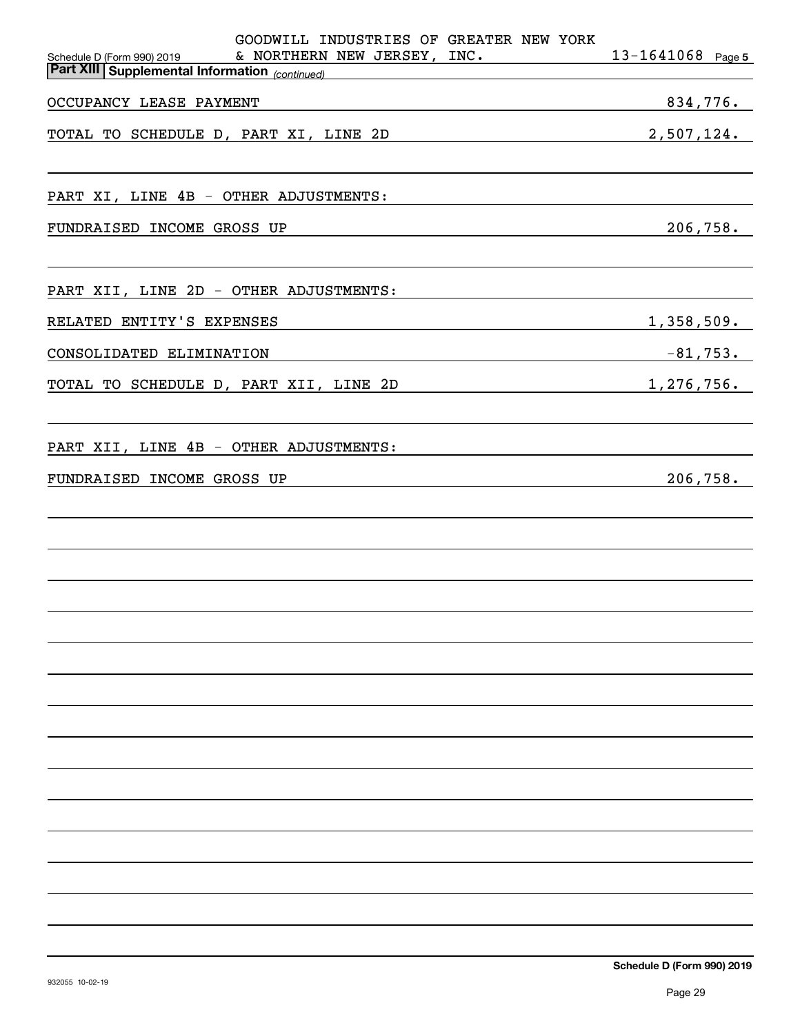| GOODWILL INDUSTRIES OF GREATER NEW YORK<br>& NORTHERN NEW JERSEY, INC.<br>Schedule D (Form 990) 2019                                                                                                                                                        | $13 - 1641068$ Page 5 |
|-------------------------------------------------------------------------------------------------------------------------------------------------------------------------------------------------------------------------------------------------------------|-----------------------|
| <b>Part XIII Supplemental Information</b> (continued)                                                                                                                                                                                                       |                       |
| OCCUPANCY LEASE PAYMENT<br><u> 1989 - Johann Stoff, Amerikaansk politiker († 1908)</u>                                                                                                                                                                      | 834,776.              |
| 2,507,124.<br>TOTAL TO SCHEDULE D, PART XI, LINE 2D                                                                                                                                                                                                         |                       |
| PART XI, LINE 4B - OTHER ADJUSTMENTS:                                                                                                                                                                                                                       |                       |
| FUNDRAISED INCOME GROSS UP<br><u> 1989 - Johann Stein, mars an deutscher Stein und der Stein und der Stein und der Stein und der Stein und der</u>                                                                                                          | 206,758.              |
| PART XII, LINE 2D - OTHER ADJUSTMENTS:                                                                                                                                                                                                                      |                       |
| RELATED ENTITY'S EXPENSES                                                                                                                                                                                                                                   | 1,358,509.            |
| CONSOLIDATED ELIMINATION                                                                                                                                                                                                                                    |                       |
| $1,276,756$ .<br>TOTAL TO SCHEDULE D, PART XII, LINE 2D                                                                                                                                                                                                     |                       |
| PART XII, LINE 4B - OTHER ADJUSTMENTS:                                                                                                                                                                                                                      |                       |
| FUNDRAISED INCOME GROSS UP<br>the control of the control of the control of the control of the control of the control of the control of the control of the control of the control of the control of the control of the control of the control of the control | 206,758.              |
|                                                                                                                                                                                                                                                             |                       |
|                                                                                                                                                                                                                                                             |                       |
|                                                                                                                                                                                                                                                             |                       |
|                                                                                                                                                                                                                                                             |                       |
|                                                                                                                                                                                                                                                             |                       |
|                                                                                                                                                                                                                                                             |                       |
|                                                                                                                                                                                                                                                             |                       |
|                                                                                                                                                                                                                                                             |                       |
|                                                                                                                                                                                                                                                             |                       |
|                                                                                                                                                                                                                                                             |                       |
|                                                                                                                                                                                                                                                             |                       |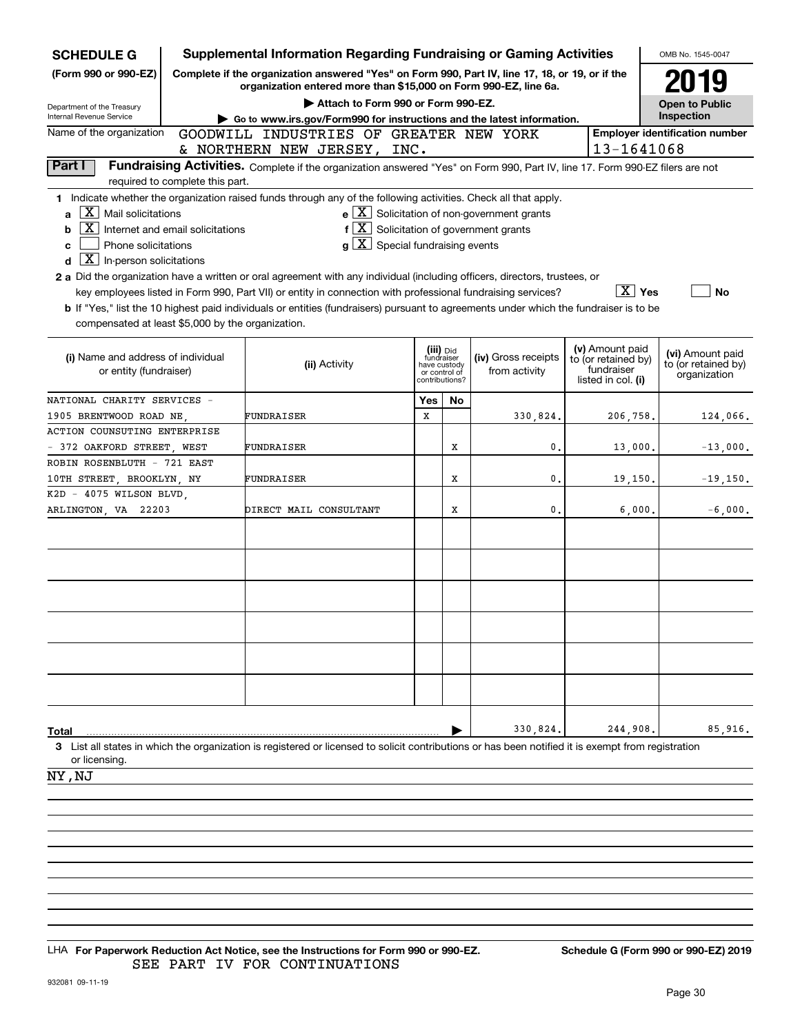| <b>SCHEDULE G</b>                                                           |                                  | <b>Supplemental Information Regarding Fundraising or Gaming Activities</b>                                                                                          |                         |                                                 |                                                       |                                  | OMB No. 1545-0047                       |
|-----------------------------------------------------------------------------|----------------------------------|---------------------------------------------------------------------------------------------------------------------------------------------------------------------|-------------------------|-------------------------------------------------|-------------------------------------------------------|----------------------------------|-----------------------------------------|
| (Form 990 or 990-EZ)                                                        |                                  | Complete if the organization answered "Yes" on Form 990, Part IV, line 17, 18, or 19, or if the<br>organization entered more than \$15,000 on Form 990-EZ, line 6a. |                         | 2019                                            |                                                       |                                  |                                         |
| Department of the Treasury                                                  |                                  | Attach to Form 990 or Form 990-EZ.                                                                                                                                  |                         |                                                 |                                                       |                                  | <b>Open to Public</b>                   |
| Internal Revenue Service                                                    |                                  | Go to www.irs.gov/Form990 for instructions and the latest information.                                                                                              |                         |                                                 |                                                       |                                  | Inspection                              |
| Name of the organization                                                    |                                  | GOODWILL INDUSTRIES OF GREATER NEW YORK                                                                                                                             |                         |                                                 |                                                       |                                  | <b>Employer identification number</b>   |
|                                                                             |                                  | & NORTHERN NEW JERSEY, INC.                                                                                                                                         |                         |                                                 |                                                       | 13-1641068                       |                                         |
| Part I                                                                      |                                  | Fundraising Activities. Complete if the organization answered "Yes" on Form 990, Part IV, line 17. Form 990-EZ filers are not                                       |                         |                                                 |                                                       |                                  |                                         |
|                                                                             | required to complete this part.  | 1 Indicate whether the organization raised funds through any of the following activities. Check all that apply.                                                     |                         |                                                 |                                                       |                                  |                                         |
| $\mathbf{X}$<br>Mail solicitations<br>a                                     |                                  |                                                                                                                                                                     |                         |                                                 | $e$ $\boxed{X}$ Solicitation of non-government grants |                                  |                                         |
| X.<br>b                                                                     | Internet and email solicitations | $f\left[\overline{X}\right]$ Solicitation of government grants                                                                                                      |                         |                                                 |                                                       |                                  |                                         |
| Phone solicitations<br>c<br>$\boxed{\text{X}}$ In-person solicitations<br>d |                                  | $g\mid X$ Special fundraising events                                                                                                                                |                         |                                                 |                                                       |                                  |                                         |
|                                                                             |                                  | 2 a Did the organization have a written or oral agreement with any individual (including officers, directors, trustees, or                                          |                         |                                                 |                                                       |                                  |                                         |
|                                                                             |                                  | key employees listed in Form 990, Part VII) or entity in connection with professional fundraising services?                                                         |                         |                                                 |                                                       | $\boxed{\text{X}}$ Yes           | <b>No</b>                               |
|                                                                             |                                  | b If "Yes," list the 10 highest paid individuals or entities (fundraisers) pursuant to agreements under which the fundraiser is to be                               |                         |                                                 |                                                       |                                  |                                         |
| compensated at least \$5,000 by the organization.                           |                                  |                                                                                                                                                                     |                         |                                                 |                                                       |                                  |                                         |
|                                                                             |                                  |                                                                                                                                                                     |                         |                                                 |                                                       | (v) Amount paid                  |                                         |
| (i) Name and address of individual                                          |                                  | (ii) Activity                                                                                                                                                       | (iii) Did<br>fundraiser |                                                 | (iv) Gross receipts                                   | to (or retained by)              | (vi) Amount paid<br>to (or retained by) |
| or entity (fundraiser)                                                      |                                  |                                                                                                                                                                     |                         | have custody<br>or control of<br>contributions? | from activity                                         | fundraiser<br>listed in col. (i) | organization                            |
|                                                                             |                                  |                                                                                                                                                                     |                         |                                                 |                                                       |                                  |                                         |
| NATIONAL CHARITY SERVICES -                                                 |                                  |                                                                                                                                                                     | Yes                     | <b>No</b>                                       |                                                       |                                  |                                         |
| 1905 BRENTWOOD ROAD NE                                                      |                                  | FUNDRAISER                                                                                                                                                          | X                       |                                                 | 330,824,                                              | 206,758.                         | 124,066.                                |
| ACTION COUNSUTING ENTERPRISE                                                |                                  |                                                                                                                                                                     |                         | x                                               | 0.                                                    |                                  |                                         |
| - 372 OAKFORD STREET, WEST<br>ROBIN ROSENBLUTH - 721 EAST                   |                                  | FUNDRAISER                                                                                                                                                          |                         |                                                 |                                                       | 13,000.                          | $-13,000.$                              |
| 10TH STREET, BROOKLYN, NY                                                   |                                  | FUNDRAISER                                                                                                                                                          |                         | x                                               | 0.                                                    | 19,150.                          | $-19,150.$                              |
| K2D - 4075 WILSON BLVD,                                                     |                                  |                                                                                                                                                                     |                         |                                                 |                                                       |                                  |                                         |
| ARLINGTON, VA 22203                                                         |                                  | DIRECT MAIL CONSULTANT                                                                                                                                              |                         | X                                               | 0.                                                    | 6,000.                           | $-6,000.$                               |
|                                                                             |                                  |                                                                                                                                                                     |                         |                                                 |                                                       |                                  |                                         |
|                                                                             |                                  |                                                                                                                                                                     |                         |                                                 |                                                       |                                  |                                         |
|                                                                             |                                  |                                                                                                                                                                     |                         |                                                 |                                                       |                                  |                                         |
|                                                                             |                                  |                                                                                                                                                                     |                         |                                                 |                                                       |                                  |                                         |
|                                                                             |                                  |                                                                                                                                                                     |                         |                                                 |                                                       |                                  |                                         |
|                                                                             |                                  |                                                                                                                                                                     |                         |                                                 |                                                       |                                  |                                         |
|                                                                             |                                  |                                                                                                                                                                     |                         |                                                 |                                                       |                                  |                                         |
|                                                                             |                                  |                                                                                                                                                                     |                         |                                                 |                                                       |                                  |                                         |
|                                                                             |                                  |                                                                                                                                                                     |                         |                                                 |                                                       |                                  |                                         |
|                                                                             |                                  |                                                                                                                                                                     |                         |                                                 |                                                       |                                  |                                         |
|                                                                             |                                  |                                                                                                                                                                     |                         |                                                 |                                                       |                                  |                                         |
|                                                                             |                                  |                                                                                                                                                                     |                         |                                                 |                                                       |                                  |                                         |
| Total                                                                       |                                  |                                                                                                                                                                     |                         |                                                 | 330,824                                               | 244,908,                         | 85,916.                                 |
| or licensing.                                                               |                                  | 3 List all states in which the organization is registered or licensed to solicit contributions or has been notified it is exempt from registration                  |                         |                                                 |                                                       |                                  |                                         |
| NY , NJ                                                                     |                                  |                                                                                                                                                                     |                         |                                                 |                                                       |                                  |                                         |
|                                                                             |                                  |                                                                                                                                                                     |                         |                                                 |                                                       |                                  |                                         |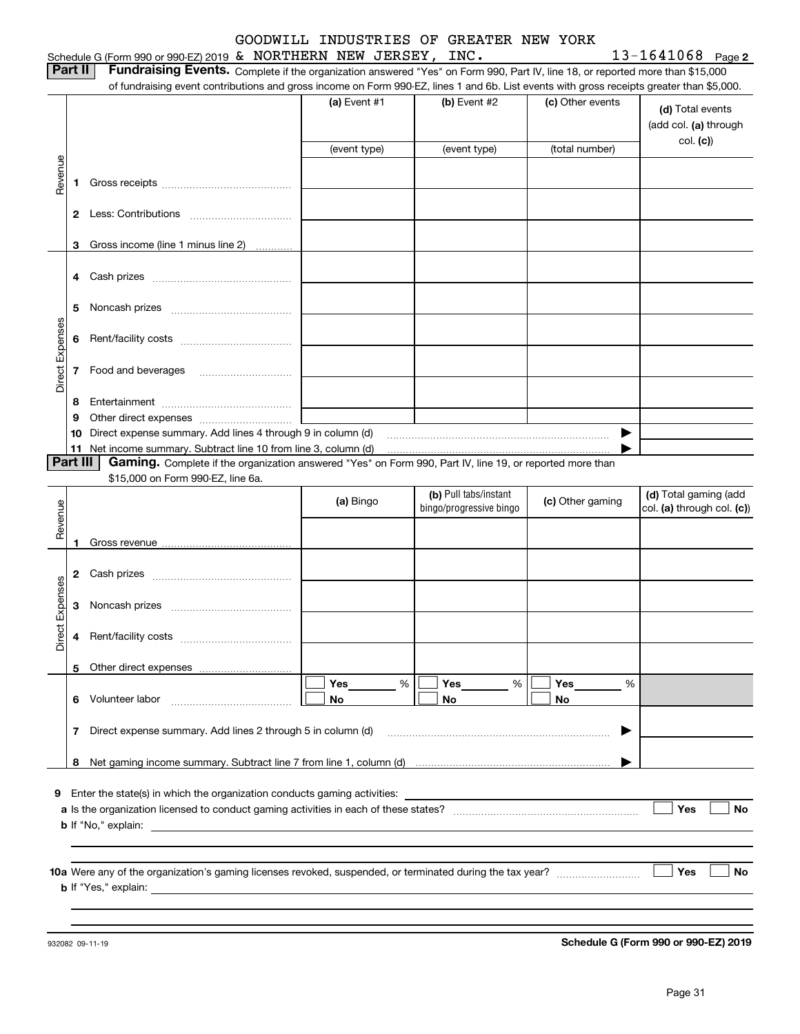#### Schedule G (Form 990 or 990-EZ) 2019 Page & NORTHERN NEW JERSEY, INC. 13-1641068 GOODWILL INDUSTRIES OF GREATER NEW YORK

|  |  |  | $13 - 1641068$ Page 2 |
|--|--|--|-----------------------|
|--|--|--|-----------------------|

**Part II Fundraising Events.** Complete if the organization answered "Yes" on Form 990, Part IV, line 18, or reported more than \$15,000<br>15.000 of fundraising event contributions and gross income on Form 990-EZ. lines 1 an

|                 |    | of fundraising event contributions and gross income on Form 990-EZ, lines 1 and 6b. List events with gross receipts greater than \$5,000. |                |                         |                  |                                           |  |  |  |  |  |  |  |
|-----------------|----|-------------------------------------------------------------------------------------------------------------------------------------------|----------------|-------------------------|------------------|-------------------------------------------|--|--|--|--|--|--|--|
|                 |    |                                                                                                                                           | (a) Event $#1$ | $(b)$ Event #2          | (c) Other events | (d) Total events<br>(add col. (a) through |  |  |  |  |  |  |  |
|                 |    |                                                                                                                                           | (event type)   | (event type)            | (total number)   | col. (c)                                  |  |  |  |  |  |  |  |
|                 |    |                                                                                                                                           |                |                         |                  |                                           |  |  |  |  |  |  |  |
| Revenue         |    |                                                                                                                                           |                |                         |                  |                                           |  |  |  |  |  |  |  |
|                 | 1  |                                                                                                                                           |                |                         |                  |                                           |  |  |  |  |  |  |  |
|                 |    |                                                                                                                                           |                |                         |                  |                                           |  |  |  |  |  |  |  |
|                 |    |                                                                                                                                           |                |                         |                  |                                           |  |  |  |  |  |  |  |
|                 | 3  | Gross income (line 1 minus line 2)                                                                                                        |                |                         |                  |                                           |  |  |  |  |  |  |  |
|                 |    |                                                                                                                                           |                |                         |                  |                                           |  |  |  |  |  |  |  |
|                 | 4  |                                                                                                                                           |                |                         |                  |                                           |  |  |  |  |  |  |  |
|                 |    |                                                                                                                                           |                |                         |                  |                                           |  |  |  |  |  |  |  |
|                 | 5  |                                                                                                                                           |                |                         |                  |                                           |  |  |  |  |  |  |  |
|                 |    |                                                                                                                                           |                |                         |                  |                                           |  |  |  |  |  |  |  |
| Direct Expenses | 6  |                                                                                                                                           |                |                         |                  |                                           |  |  |  |  |  |  |  |
|                 |    |                                                                                                                                           |                |                         |                  |                                           |  |  |  |  |  |  |  |
|                 | 7  | Food and beverages                                                                                                                        |                |                         |                  |                                           |  |  |  |  |  |  |  |
|                 |    |                                                                                                                                           |                |                         |                  |                                           |  |  |  |  |  |  |  |
|                 | 8  |                                                                                                                                           |                |                         |                  |                                           |  |  |  |  |  |  |  |
|                 | 9  |                                                                                                                                           |                |                         |                  |                                           |  |  |  |  |  |  |  |
|                 | 10 | Direct expense summary. Add lines 4 through 9 in column (d)                                                                               |                |                         | ▶                |                                           |  |  |  |  |  |  |  |
|                 | 11 |                                                                                                                                           |                |                         |                  |                                           |  |  |  |  |  |  |  |
| Part III        |    | Gaming. Complete if the organization answered "Yes" on Form 990, Part IV, line 19, or reported more than                                  |                |                         |                  |                                           |  |  |  |  |  |  |  |
|                 |    | \$15,000 on Form 990-EZ, line 6a.                                                                                                         |                |                         |                  |                                           |  |  |  |  |  |  |  |
|                 |    |                                                                                                                                           | (a) Bingo      | (b) Pull tabs/instant   | (c) Other gaming | (d) Total gaming (add                     |  |  |  |  |  |  |  |
| Revenue         |    |                                                                                                                                           |                | bingo/progressive bingo |                  | col. (a) through col. (c))                |  |  |  |  |  |  |  |
|                 |    |                                                                                                                                           |                |                         |                  |                                           |  |  |  |  |  |  |  |
|                 | 1  |                                                                                                                                           |                |                         |                  |                                           |  |  |  |  |  |  |  |
|                 |    |                                                                                                                                           |                |                         |                  |                                           |  |  |  |  |  |  |  |
|                 | 2  | Cash prizes [111] Cash prizes [11] Cash prizes [11] Cash prizes [11] Casar Division (12] Orange Division (12] O                           |                |                         |                  |                                           |  |  |  |  |  |  |  |
| Direct Expenses |    |                                                                                                                                           |                |                         |                  |                                           |  |  |  |  |  |  |  |
|                 | 3  |                                                                                                                                           |                |                         |                  |                                           |  |  |  |  |  |  |  |
|                 |    |                                                                                                                                           |                |                         |                  |                                           |  |  |  |  |  |  |  |
|                 | 4  |                                                                                                                                           |                |                         |                  |                                           |  |  |  |  |  |  |  |
|                 |    |                                                                                                                                           |                |                         |                  |                                           |  |  |  |  |  |  |  |
|                 |    | 5 Other direct expenses                                                                                                                   |                |                         |                  |                                           |  |  |  |  |  |  |  |
|                 |    |                                                                                                                                           | %<br>Yes       | Yes<br>%                | Yes<br>%         |                                           |  |  |  |  |  |  |  |
|                 |    |                                                                                                                                           |                |                         |                  |                                           |  |  |  |  |  |  |  |
|                 | 6. |                                                                                                                                           |                |                         |                  |                                           |  |  |  |  |  |  |  |
|                 |    | Volunteer labor                                                                                                                           | No             | No                      | No               |                                           |  |  |  |  |  |  |  |
|                 | 7  | Direct expense summary. Add lines 2 through 5 in column (d)                                                                               |                |                         | ▶                |                                           |  |  |  |  |  |  |  |
|                 |    |                                                                                                                                           |                |                         |                  |                                           |  |  |  |  |  |  |  |
|                 |    |                                                                                                                                           |                |                         |                  |                                           |  |  |  |  |  |  |  |
|                 |    |                                                                                                                                           |                |                         |                  |                                           |  |  |  |  |  |  |  |
|                 |    | 9 Enter the state(s) in which the organization conducts gaming activities:                                                                |                |                         |                  |                                           |  |  |  |  |  |  |  |
|                 |    |                                                                                                                                           |                |                         |                  | Yes<br>No                                 |  |  |  |  |  |  |  |
|                 |    |                                                                                                                                           |                |                         |                  |                                           |  |  |  |  |  |  |  |
|                 |    |                                                                                                                                           |                |                         |                  |                                           |  |  |  |  |  |  |  |
|                 |    |                                                                                                                                           |                |                         |                  |                                           |  |  |  |  |  |  |  |
|                 |    |                                                                                                                                           |                |                         |                  | Yes<br>No                                 |  |  |  |  |  |  |  |
|                 |    |                                                                                                                                           |                |                         |                  |                                           |  |  |  |  |  |  |  |

932082 09-11-19

**Schedule G (Form 990 or 990-EZ) 2019**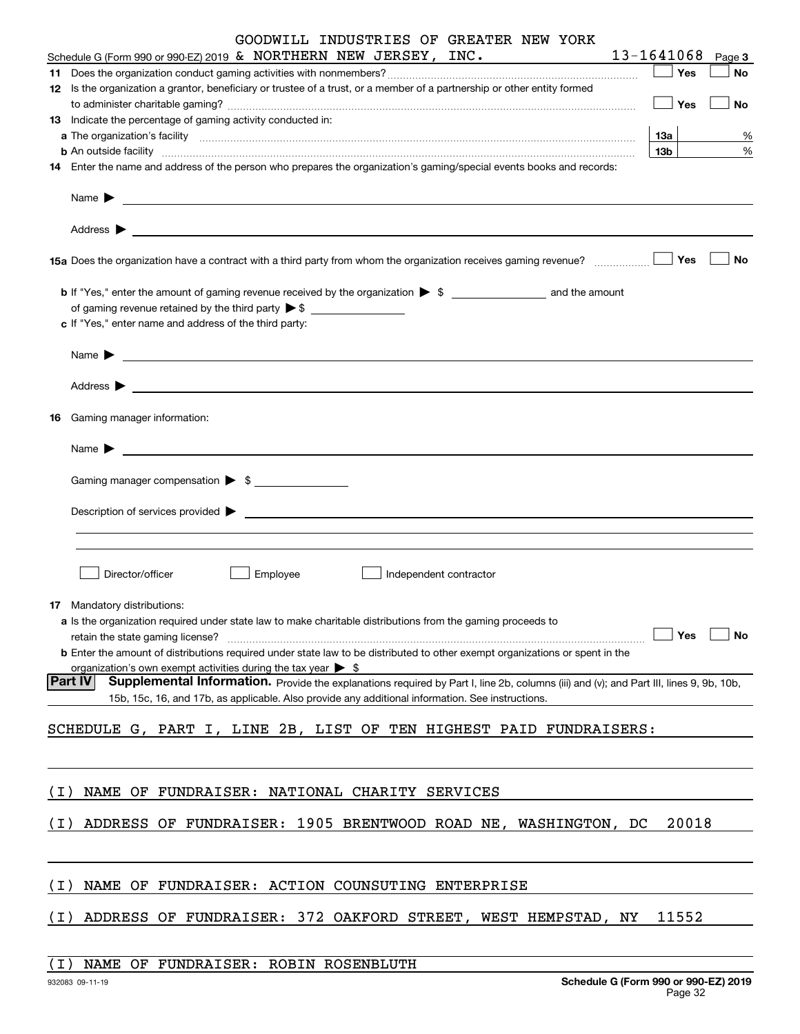|       | GOODWILL INDUSTRIES OF GREATER NEW YORK                                                                                                                                                                                                                                                                                                                                                                               |    |            |            |       |        |    |
|-------|-----------------------------------------------------------------------------------------------------------------------------------------------------------------------------------------------------------------------------------------------------------------------------------------------------------------------------------------------------------------------------------------------------------------------|----|------------|------------|-------|--------|----|
|       | Schedule G (Form 990 or 990-EZ) 2019 & NORTHERN NEW JERSEY, INC.                                                                                                                                                                                                                                                                                                                                                      |    | 13-1641068 |            |       | Page 3 |    |
| 11    |                                                                                                                                                                                                                                                                                                                                                                                                                       |    |            |            | Yes   |        | No |
|       | 12 Is the organization a grantor, beneficiary or trustee of a trust, or a member of a partnership or other entity formed                                                                                                                                                                                                                                                                                              |    |            |            | Yes   |        | No |
|       | 13 Indicate the percentage of gaming activity conducted in:                                                                                                                                                                                                                                                                                                                                                           |    |            |            |       |        |    |
|       |                                                                                                                                                                                                                                                                                                                                                                                                                       |    |            | <b>13a</b> |       |        | %  |
|       | <b>b</b> An outside facility <b>contained a contained a contained a contained a contained a contained a contained a contained a contact a contact a contact a contact a contact a contact a contact a contact a contact a contact a c</b>                                                                                                                                                                             |    |            | 13b        |       |        | %  |
|       | 14 Enter the name and address of the person who prepares the organization's gaming/special events books and records:                                                                                                                                                                                                                                                                                                  |    |            |            |       |        |    |
|       | Name $\blacktriangleright$ $\frac{1}{\sqrt{1-\frac{1}{2}}\sqrt{1-\frac{1}{2}}\sqrt{1-\frac{1}{2}}\sqrt{1-\frac{1}{2}}\sqrt{1-\frac{1}{2}}\sqrt{1-\frac{1}{2}}\sqrt{1-\frac{1}{2}}\sqrt{1-\frac{1}{2}}\sqrt{1-\frac{1}{2}}\sqrt{1-\frac{1}{2}}\sqrt{1-\frac{1}{2}}\sqrt{1-\frac{1}{2}}\sqrt{1-\frac{1}{2}}\sqrt{1-\frac{1}{2}}\sqrt{1-\frac{1}{2}}\sqrt{1-\frac{1}{2}}\sqrt{1-\frac{1}{2}}\sqrt{1-\frac{1}{2}}\sqrt{1$ |    |            |            |       |        |    |
|       |                                                                                                                                                                                                                                                                                                                                                                                                                       |    |            |            |       |        |    |
|       |                                                                                                                                                                                                                                                                                                                                                                                                                       |    |            |            | Yes   |        | No |
|       |                                                                                                                                                                                                                                                                                                                                                                                                                       |    |            |            |       |        |    |
|       | of gaming revenue retained by the third party $\triangleright$ \$                                                                                                                                                                                                                                                                                                                                                     |    |            |            |       |        |    |
|       | c If "Yes," enter name and address of the third party:                                                                                                                                                                                                                                                                                                                                                                |    |            |            |       |        |    |
|       | Name $\sum_{n=1}^{\infty}$                                                                                                                                                                                                                                                                                                                                                                                            |    |            |            |       |        |    |
|       |                                                                                                                                                                                                                                                                                                                                                                                                                       |    |            |            |       |        |    |
| 16    | Gaming manager information:                                                                                                                                                                                                                                                                                                                                                                                           |    |            |            |       |        |    |
|       | $Name \rightarrow$                                                                                                                                                                                                                                                                                                                                                                                                    |    |            |            |       |        |    |
|       |                                                                                                                                                                                                                                                                                                                                                                                                                       |    |            |            |       |        |    |
|       | Gaming manager compensation > \$                                                                                                                                                                                                                                                                                                                                                                                      |    |            |            |       |        |    |
|       | $Description of services provided \triangleright$                                                                                                                                                                                                                                                                                                                                                                     |    |            |            |       |        |    |
|       |                                                                                                                                                                                                                                                                                                                                                                                                                       |    |            |            |       |        |    |
|       | Director/officer<br>Employee<br>Independent contractor                                                                                                                                                                                                                                                                                                                                                                |    |            |            |       |        |    |
|       |                                                                                                                                                                                                                                                                                                                                                                                                                       |    |            |            |       |        |    |
|       | <b>17</b> Mandatory distributions:                                                                                                                                                                                                                                                                                                                                                                                    |    |            |            |       |        |    |
|       | a Is the organization required under state law to make charitable distributions from the gaming proceeds to                                                                                                                                                                                                                                                                                                           |    |            |            | Yes   |        | No |
|       | retain the state gaming license?<br><b>b</b> Enter the amount of distributions required under state law to be distributed to other exempt organizations or spent in the                                                                                                                                                                                                                                               |    |            |            |       |        |    |
|       | organization's own exempt activities during the tax year $\triangleright$ \$                                                                                                                                                                                                                                                                                                                                          |    |            |            |       |        |    |
|       | <b>Part IV</b><br>Supplemental Information. Provide the explanations required by Part I, line 2b, columns (iii) and (v); and Part III, lines 9, 9b, 10b,                                                                                                                                                                                                                                                              |    |            |            |       |        |    |
|       | 15b, 15c, 16, and 17b, as applicable. Also provide any additional information. See instructions.                                                                                                                                                                                                                                                                                                                      |    |            |            |       |        |    |
|       | SCHEDULE G, PART I, LINE 2B, LIST OF TEN HIGHEST PAID FUNDRAISERS:                                                                                                                                                                                                                                                                                                                                                    |    |            |            |       |        |    |
|       |                                                                                                                                                                                                                                                                                                                                                                                                                       |    |            |            |       |        |    |
|       |                                                                                                                                                                                                                                                                                                                                                                                                                       |    |            |            |       |        |    |
| (I)   | NAME OF FUNDRAISER: NATIONAL CHARITY SERVICES                                                                                                                                                                                                                                                                                                                                                                         |    |            |            |       |        |    |
| (I)   | ADDRESS OF FUNDRAISER: 1905 BRENTWOOD ROAD NE, WASHINGTON, DC                                                                                                                                                                                                                                                                                                                                                         |    |            |            | 20018 |        |    |
|       |                                                                                                                                                                                                                                                                                                                                                                                                                       |    |            |            |       |        |    |
|       |                                                                                                                                                                                                                                                                                                                                                                                                                       |    |            |            |       |        |    |
| ( I ) | NAME OF FUNDRAISER: ACTION COUNSUTING ENTERPRISE                                                                                                                                                                                                                                                                                                                                                                      |    |            |            |       |        |    |
| (I)   | ADDRESS OF FUNDRAISER: 372 OAKFORD STREET, WEST HEMPSTAD,                                                                                                                                                                                                                                                                                                                                                             | ΝY |            |            | 11552 |        |    |
|       |                                                                                                                                                                                                                                                                                                                                                                                                                       |    |            |            |       |        |    |

(I) NAME OF FUNDRAISER: ROBIN ROSENBLUTH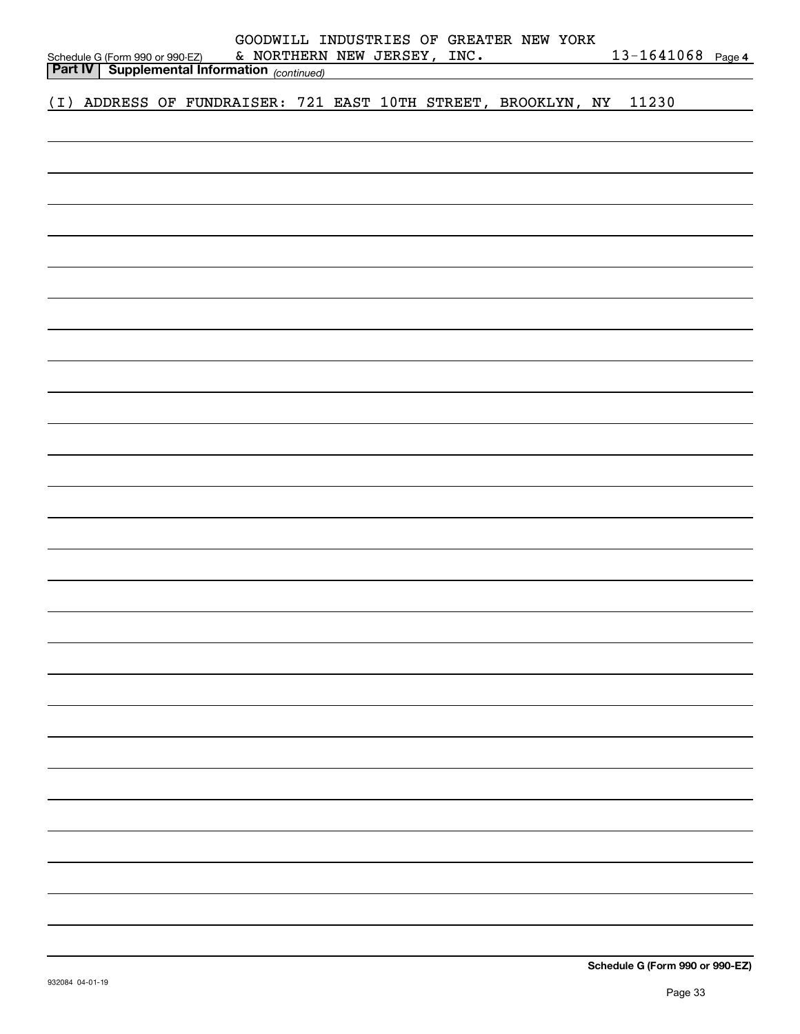|     | GOODWILL INDUSTRIES OF GREATER NEW YORK             |  |  |  |  |  |  |                             |                                                           |  |                   |  |
|-----|-----------------------------------------------------|--|--|--|--|--|--|-----------------------------|-----------------------------------------------------------|--|-------------------|--|
|     | Schedule G (Form 990 or 990-EZ)                     |  |  |  |  |  |  | & NORTHERN NEW JERSEY, INC. |                                                           |  | 13-1641068 Page 4 |  |
|     | <b>Part IV Supplemental Information</b> (continued) |  |  |  |  |  |  |                             |                                                           |  |                   |  |
| (I) |                                                     |  |  |  |  |  |  |                             | ADDRESS OF FUNDRAISER: 721 EAST 10TH STREET, BROOKLYN, NY |  | 11230             |  |
|     |                                                     |  |  |  |  |  |  |                             |                                                           |  |                   |  |
|     |                                                     |  |  |  |  |  |  |                             |                                                           |  |                   |  |
|     |                                                     |  |  |  |  |  |  |                             |                                                           |  |                   |  |
|     |                                                     |  |  |  |  |  |  |                             |                                                           |  |                   |  |
|     |                                                     |  |  |  |  |  |  |                             |                                                           |  |                   |  |
|     |                                                     |  |  |  |  |  |  |                             |                                                           |  |                   |  |
|     |                                                     |  |  |  |  |  |  |                             |                                                           |  |                   |  |
|     |                                                     |  |  |  |  |  |  |                             |                                                           |  |                   |  |
|     |                                                     |  |  |  |  |  |  |                             |                                                           |  |                   |  |
|     |                                                     |  |  |  |  |  |  |                             |                                                           |  |                   |  |
|     |                                                     |  |  |  |  |  |  |                             |                                                           |  |                   |  |
|     |                                                     |  |  |  |  |  |  |                             |                                                           |  |                   |  |
|     |                                                     |  |  |  |  |  |  |                             |                                                           |  |                   |  |
|     |                                                     |  |  |  |  |  |  |                             |                                                           |  |                   |  |
|     |                                                     |  |  |  |  |  |  |                             |                                                           |  |                   |  |
|     |                                                     |  |  |  |  |  |  |                             |                                                           |  |                   |  |
|     |                                                     |  |  |  |  |  |  |                             |                                                           |  |                   |  |
|     |                                                     |  |  |  |  |  |  |                             |                                                           |  |                   |  |
|     |                                                     |  |  |  |  |  |  |                             |                                                           |  |                   |  |
|     |                                                     |  |  |  |  |  |  |                             |                                                           |  |                   |  |
|     |                                                     |  |  |  |  |  |  |                             |                                                           |  |                   |  |
|     |                                                     |  |  |  |  |  |  |                             |                                                           |  |                   |  |
|     |                                                     |  |  |  |  |  |  |                             |                                                           |  |                   |  |
|     |                                                     |  |  |  |  |  |  |                             |                                                           |  |                   |  |
|     |                                                     |  |  |  |  |  |  |                             |                                                           |  |                   |  |
|     |                                                     |  |  |  |  |  |  |                             |                                                           |  |                   |  |
|     |                                                     |  |  |  |  |  |  |                             |                                                           |  |                   |  |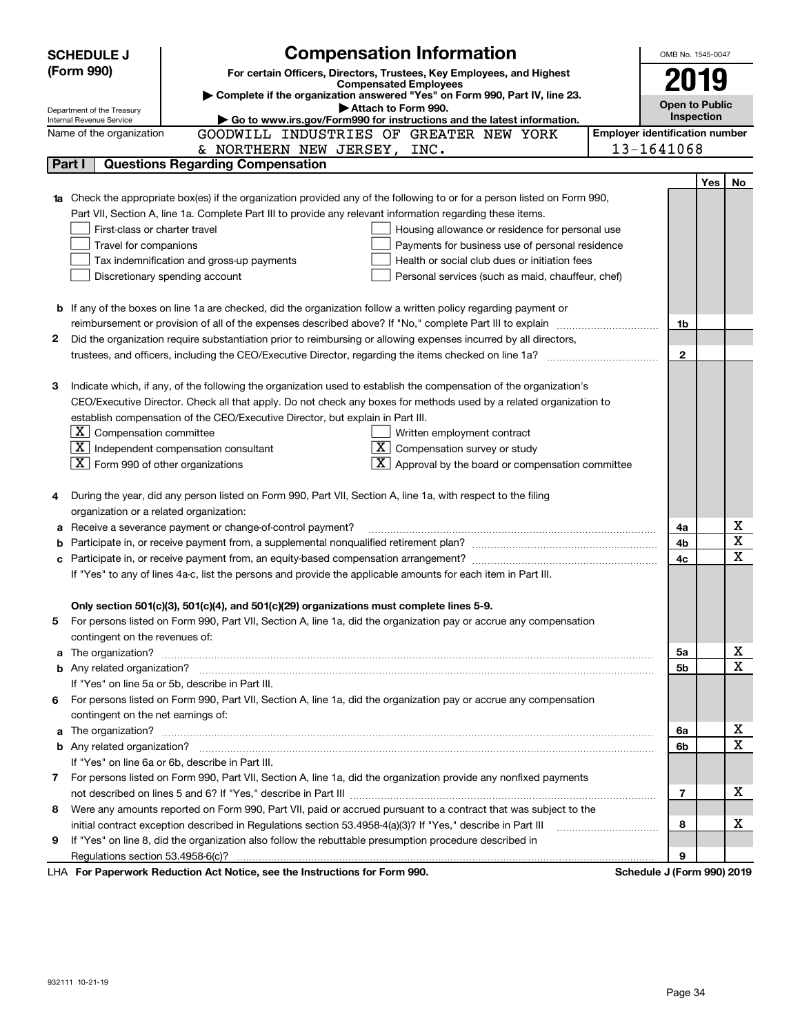|   | <b>Compensation Information</b><br><b>SCHEDULE J</b>                                                                             |                                       | OMB No. 1545-0047          |            |                         |
|---|----------------------------------------------------------------------------------------------------------------------------------|---------------------------------------|----------------------------|------------|-------------------------|
|   | (Form 990)<br>For certain Officers, Directors, Trustees, Key Employees, and Highest                                              |                                       |                            |            |                         |
|   | <b>Compensated Employees</b>                                                                                                     |                                       | 2019                       |            |                         |
|   | Complete if the organization answered "Yes" on Form 990, Part IV, line 23.<br>Attach to Form 990.                                |                                       | <b>Open to Public</b>      |            |                         |
|   | Department of the Treasury<br>Go to www.irs.gov/Form990 for instructions and the latest information.<br>Internal Revenue Service |                                       | Inspection                 |            |                         |
|   | GOODWILL INDUSTRIES OF GREATER NEW YORK<br>Name of the organization                                                              | <b>Employer identification number</b> |                            |            |                         |
|   | & NORTHERN NEW JERSEY, INC.                                                                                                      | 13-1641068                            |                            |            |                         |
|   | <b>Questions Regarding Compensation</b><br>Part I                                                                                |                                       |                            |            |                         |
|   |                                                                                                                                  |                                       |                            | <b>Yes</b> | No                      |
|   | 1a Check the appropriate box(es) if the organization provided any of the following to or for a person listed on Form 990,        |                                       |                            |            |                         |
|   | Part VII, Section A, line 1a. Complete Part III to provide any relevant information regarding these items.                       |                                       |                            |            |                         |
|   | First-class or charter travel<br>Housing allowance or residence for personal use                                                 |                                       |                            |            |                         |
|   | Travel for companions<br>Payments for business use of personal residence                                                         |                                       |                            |            |                         |
|   | Tax indemnification and gross-up payments<br>Health or social club dues or initiation fees                                       |                                       |                            |            |                         |
|   | Discretionary spending account<br>Personal services (such as maid, chauffeur, chef)                                              |                                       |                            |            |                         |
|   |                                                                                                                                  |                                       |                            |            |                         |
|   | <b>b</b> If any of the boxes on line 1a are checked, did the organization follow a written policy regarding payment or           |                                       |                            |            |                         |
|   |                                                                                                                                  |                                       | 1b                         |            |                         |
| 2 | Did the organization require substantiation prior to reimbursing or allowing expenses incurred by all directors,                 |                                       |                            |            |                         |
|   | trustees, and officers, including the CEO/Executive Director, regarding the items checked on line 1a?                            |                                       | $\mathbf{2}$               |            |                         |
|   |                                                                                                                                  |                                       |                            |            |                         |
| З | Indicate which, if any, of the following the organization used to establish the compensation of the organization's               |                                       |                            |            |                         |
|   | CEO/Executive Director. Check all that apply. Do not check any boxes for methods used by a related organization to               |                                       |                            |            |                         |
|   | establish compensation of the CEO/Executive Director, but explain in Part III.                                                   |                                       |                            |            |                         |
|   | $X$ Compensation committee<br>Written employment contract                                                                        |                                       |                            |            |                         |
|   | $\boxed{\text{X}}$ Independent compensation consultant<br>$ \mathbf{X} $ Compensation survey or study                            |                                       |                            |            |                         |
|   | $X$ Form 990 of other organizations<br>$\lfloor x \rfloor$ Approval by the board or compensation committee                       |                                       |                            |            |                         |
|   |                                                                                                                                  |                                       |                            |            |                         |
|   | During the year, did any person listed on Form 990, Part VII, Section A, line 1a, with respect to the filing                     |                                       |                            |            |                         |
|   | organization or a related organization:                                                                                          |                                       |                            |            |                         |
| а | Receive a severance payment or change-of-control payment?                                                                        |                                       | 4a                         |            | х                       |
|   |                                                                                                                                  |                                       | 4b                         |            | $\overline{\mathbf{x}}$ |
| c |                                                                                                                                  |                                       | 4c                         |            | $\mathbf x$             |
|   | If "Yes" to any of lines 4a-c, list the persons and provide the applicable amounts for each item in Part III.                    |                                       |                            |            |                         |
|   |                                                                                                                                  |                                       |                            |            |                         |
|   | Only section 501(c)(3), 501(c)(4), and 501(c)(29) organizations must complete lines 5-9.                                         |                                       |                            |            |                         |
|   | For persons listed on Form 990, Part VII, Section A, line 1a, did the organization pay or accrue any compensation                |                                       |                            |            |                         |
|   | contingent on the revenues of:                                                                                                   |                                       |                            |            |                         |
| a |                                                                                                                                  |                                       | 5a                         |            | х                       |
|   |                                                                                                                                  |                                       | 5b                         |            | $\mathbf x$             |
|   | If "Yes" on line 5a or 5b, describe in Part III.                                                                                 |                                       |                            |            |                         |
| 6 | For persons listed on Form 990, Part VII, Section A, line 1a, did the organization pay or accrue any compensation                |                                       |                            |            |                         |
|   | contingent on the net earnings of:                                                                                               |                                       |                            |            |                         |
| a |                                                                                                                                  |                                       | 6a                         |            | х                       |
|   |                                                                                                                                  |                                       | 6b                         |            | $\mathbf x$             |
|   | If "Yes" on line 6a or 6b, describe in Part III.                                                                                 |                                       |                            |            |                         |
|   | 7 For persons listed on Form 990, Part VII, Section A, line 1a, did the organization provide any nonfixed payments               |                                       |                            |            |                         |
|   |                                                                                                                                  |                                       | 7                          |            | x                       |
| 8 | Were any amounts reported on Form 990, Part VII, paid or accrued pursuant to a contract that was subject to the                  |                                       |                            |            |                         |
|   | initial contract exception described in Regulations section 53.4958-4(a)(3)? If "Yes," describe in Part III                      |                                       | 8                          |            | х                       |
| 9 | If "Yes" on line 8, did the organization also follow the rebuttable presumption procedure described in                           |                                       |                            |            |                         |
|   |                                                                                                                                  |                                       | 9                          |            |                         |
|   | LHA For Paperwork Reduction Act Notice, see the Instructions for Form 990.                                                       |                                       | Schedule J (Form 990) 2019 |            |                         |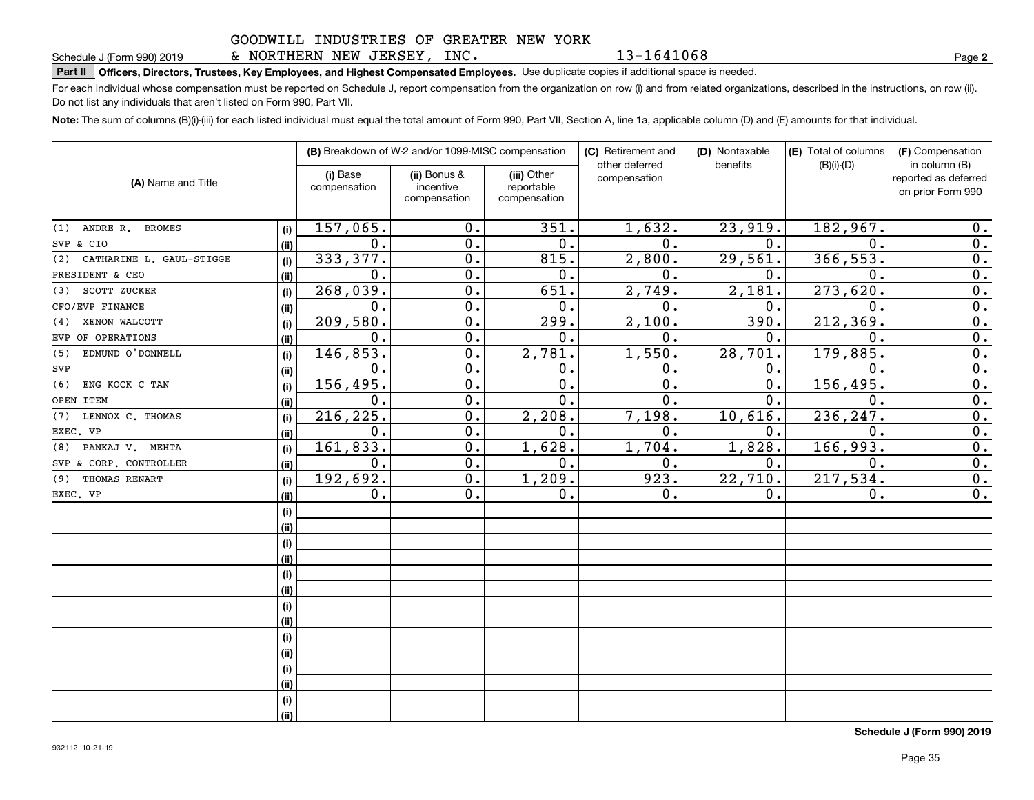& NORTHERN NEW JERSEY, INC.

13-1641068

**2**

# **Part II Officers, Directors, Trustees, Key Employees, and Highest Compensated Employees.**  Schedule J (Form 990) 2019 Page Use duplicate copies if additional space is needed.

For each individual whose compensation must be reported on Schedule J, report compensation from the organization on row (i) and from related organizations, described in the instructions, on row (ii). Do not list any individuals that aren't listed on Form 990, Part VII.

**Note:**  The sum of columns (B)(i)-(iii) for each listed individual must equal the total amount of Form 990, Part VII, Section A, line 1a, applicable column (D) and (E) amounts for that individual.

|                                 |      |                          | (B) Breakdown of W-2 and/or 1099-MISC compensation |                                           | (C) Retirement and<br>other deferred | (D) Nontaxable<br>benefits | (E) Total of columns<br>$(B)(i)-(D)$ | (F) Compensation<br>in column (B)         |
|---------------------------------|------|--------------------------|----------------------------------------------------|-------------------------------------------|--------------------------------------|----------------------------|--------------------------------------|-------------------------------------------|
| (A) Name and Title              |      | (i) Base<br>compensation | (ii) Bonus &<br>incentive<br>compensation          | (iii) Other<br>reportable<br>compensation | compensation                         |                            |                                      | reported as deferred<br>on prior Form 990 |
| ANDRE R. BROMES<br>(1)          | (i)  | 157,065.                 | 0.                                                 | 351.                                      | 1,632.                               | 23,919.                    | 182,967.                             | 0.                                        |
| SVP & CIO                       | (ii) | $\mathbf 0$ .            | 0.                                                 | 0.                                        | 0.                                   | 0.                         | $\mathbf 0$ .                        | 0.                                        |
| CATHARINE L. GAUL-STIGGE<br>(2) | (i)  | 333,377.                 | 0.                                                 | 815.                                      | 2,800.                               | 29,561.                    | 366,553.                             | 0.                                        |
| PRESIDENT & CEO                 | (ii) | $\mathbf{0}$ .           | $\overline{0}$ .                                   | 0.                                        | $\mathbf{0}$ .                       | 0.                         | $\mathbf{0}$                         | $\overline{0}$ .                          |
| SCOTT ZUCKER<br>(3)             | (i)  | 268,039.                 | $\overline{0}$ .                                   | 651.                                      | 2,749.                               | 2,181.                     | 273,620                              | $\overline{0}$ .                          |
| CFO/EVP FINANCE                 | (ii) | $\mathbf 0$ .            | $\overline{0}$ .                                   | 0.                                        | $\mathbf 0$ .                        | 0.                         | 0                                    | $\overline{0}$ .                          |
| XENON WALCOTT<br>(4)            | (i)  | 209,580.                 | $\mathbf 0$ .                                      | 299.                                      | 2,100.                               | 390.                       | 212, 369                             | $\overline{0}$ .                          |
| EVP OF OPERATIONS               | (ii) | $\mathbf 0$ .            | $\mathbf 0$ .                                      | 0.                                        | $\mathbf 0$ .                        | $\mathbf 0$ .              | $\mathbf 0$ .                        | $\overline{0}$ .                          |
| EDMUND O'DONNELL<br>(5)         | (i)  | 146,853.                 | $\mathbf 0$ .                                      | 2,781.                                    | 1,550.                               | 28,701.                    | 179,885.                             | $\overline{0}$ .                          |
| SVP                             | (ii) | $\mathbf 0$ .            | 0.                                                 | 0.                                        | $\mathbf 0$ .                        | 0.                         | 0.                                   | $\overline{0}$ .                          |
| (6)<br>ENG KOCK C TAN           | (i)  | 156,495.                 | $\overline{0}$ .                                   | $\overline{0}$ .                          | $\overline{0}$ .                     | $\overline{0}$ .           | 156, 495.                            | $\overline{0}$ .                          |
| OPEN ITEM                       | (ii) | $\mathbf 0$ .            | $\overline{0}$ .                                   | $\overline{0}$ .                          | $\overline{0}$ .                     | $\overline{0}$ .           | $\mathbf 0$ .                        | $\overline{0}$ .                          |
| LENNOX C. THOMAS<br>(7)         | (i)  | 216, 225.                | $\overline{0}$ .                                   | 2,208.                                    | 7,198.                               | 10,616.                    | 236,247.                             | $\overline{0}$ .                          |
| EXEC. VP                        | (ii) | $\mathbf 0$ .            | 0.                                                 | 0.                                        | 0.                                   | 0.                         | $\mathbf 0$ .                        | $\overline{0}$ .                          |
| PANKAJ V. MEHTA<br>(8)          | (i)  | 161,833.                 | 0.                                                 | 1,628.                                    | 1,704.                               | 1,828.                     | 166,993.                             | $\overline{0}$ .                          |
| SVP & CORP. CONTROLLER          | (ii) | 0.                       | 0.                                                 | 0.                                        | 0.                                   | 0.                         | 0.                                   | 0.                                        |
| THOMAS RENART<br>(9)            | (i)  | 192,692.                 | 0.                                                 | 1,209.                                    | 923.                                 | 22,710.                    | 217,534.                             | 0.                                        |
| EXEC. VP                        | (ii) | 0.                       | 0.                                                 | 0.                                        | 0.                                   | 0.                         | $\mathbf 0$ .                        | 0.                                        |
|                                 | (i)  |                          |                                                    |                                           |                                      |                            |                                      |                                           |
|                                 | (ii) |                          |                                                    |                                           |                                      |                            |                                      |                                           |
|                                 | (i)  |                          |                                                    |                                           |                                      |                            |                                      |                                           |
|                                 | (ii) |                          |                                                    |                                           |                                      |                            |                                      |                                           |
|                                 | (i)  |                          |                                                    |                                           |                                      |                            |                                      |                                           |
|                                 | (i)  |                          |                                                    |                                           |                                      |                            |                                      |                                           |
|                                 | (i)  |                          |                                                    |                                           |                                      |                            |                                      |                                           |
|                                 | (ii) |                          |                                                    |                                           |                                      |                            |                                      |                                           |
|                                 | (i)  |                          |                                                    |                                           |                                      |                            |                                      |                                           |
|                                 | (ii) |                          |                                                    |                                           |                                      |                            |                                      |                                           |
|                                 | (i)  |                          |                                                    |                                           |                                      |                            |                                      |                                           |
|                                 | (ii) |                          |                                                    |                                           |                                      |                            |                                      |                                           |
|                                 | (i)  |                          |                                                    |                                           |                                      |                            |                                      |                                           |
|                                 | (ii) |                          |                                                    |                                           |                                      |                            |                                      |                                           |

**Schedule J (Form 990) 2019**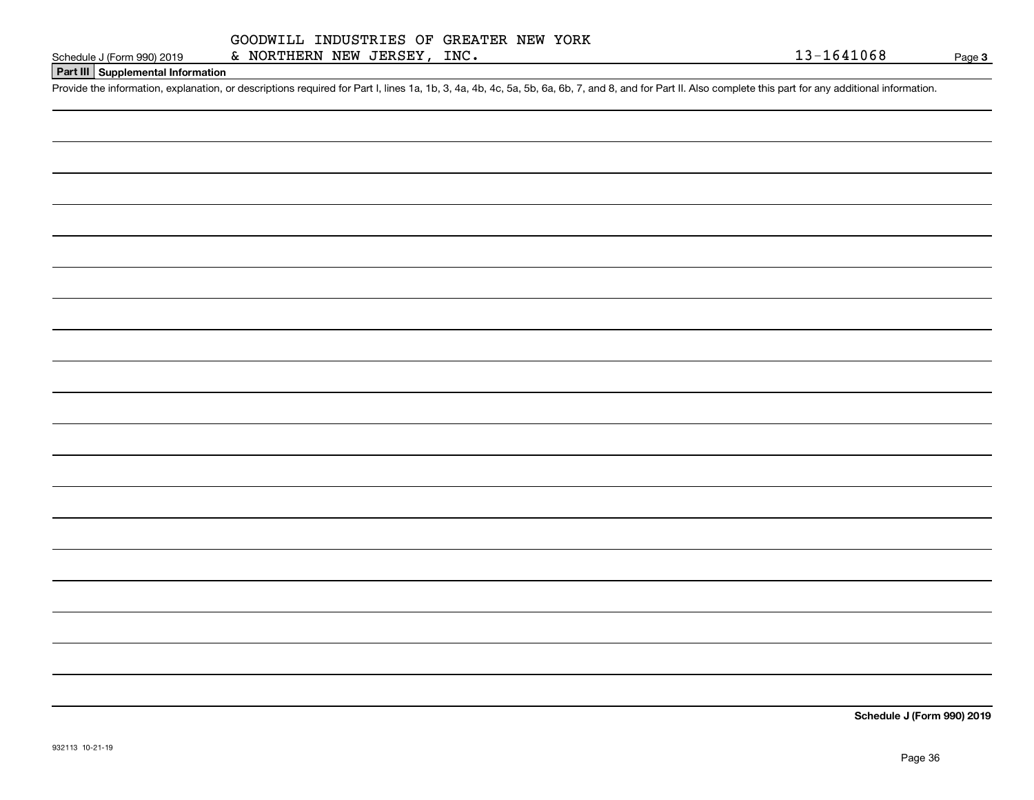#### **Part III Supplemental Information**

Schedule J (Form 990) 2019 & NORTHERN NEW JERSEY, INC.<br>Part III Supplemental Information<br>Provide the information, explanation, or descriptions required for Part I, lines 1a, 1b, 3, 4a, 4b, 4c, 5a, 5b, 6a, 6b, 7, and 8, an

**Schedule J (Form 990) 2019**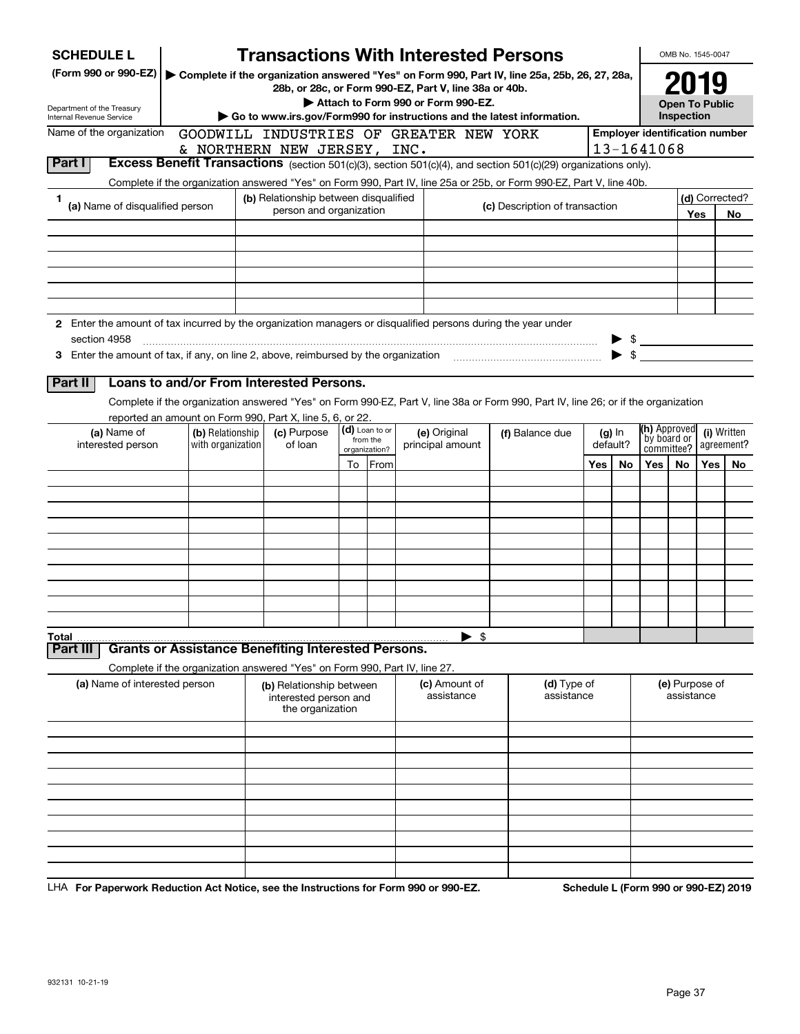| <b>SCHEDULE L</b>                                                                                             |                  | <b>Transactions With Interested Persons</b>                                |                           |                                    |                                                                                                                                    |     |                      |                                       | OMB No. 1545-0047     |     |                |
|---------------------------------------------------------------------------------------------------------------|------------------|----------------------------------------------------------------------------|---------------------------|------------------------------------|------------------------------------------------------------------------------------------------------------------------------------|-----|----------------------|---------------------------------------|-----------------------|-----|----------------|
| (Form 990 or 990-EZ)                                                                                          |                  | 28b, or 28c, or Form 990-EZ, Part V, line 38a or 40b.                      |                           |                                    | Complete if the organization answered "Yes" on Form 990, Part IV, line 25a, 25b, 26, 27, 28a,                                      |     |                      |                                       | 2019                  |     |                |
|                                                                                                               |                  |                                                                            |                           | Attach to Form 990 or Form 990-EZ. |                                                                                                                                    |     |                      |                                       | <b>Open To Public</b> |     |                |
| Department of the Treasury<br>Internal Revenue Service                                                        |                  |                                                                            |                           |                                    | Go to www.irs.gov/Form990 for instructions and the latest information.                                                             |     |                      |                                       | Inspection            |     |                |
| Name of the organization                                                                                      |                  | GOODWILL INDUSTRIES OF GREATER NEW YORK                                    |                           |                                    |                                                                                                                                    |     |                      | <b>Employer identification number</b> |                       |     |                |
|                                                                                                               |                  | & NORTHERN NEW JERSEY, INC.                                                |                           |                                    |                                                                                                                                    |     |                      | 13-1641068                            |                       |     |                |
| Part I                                                                                                        |                  |                                                                            |                           |                                    | Excess Benefit Transactions (section 501(c)(3), section 501(c)(4), and section 501(c)(29) organizations only).                     |     |                      |                                       |                       |     |                |
|                                                                                                               |                  |                                                                            |                           |                                    | Complete if the organization answered "Yes" on Form 990, Part IV, line 25a or 25b, or Form 990-EZ, Part V, line 40b.               |     |                      |                                       |                       |     |                |
| 1<br>(a) Name of disqualified person                                                                          |                  | (b) Relationship between disqualified<br>person and organization           |                           |                                    | (c) Description of transaction                                                                                                     |     |                      |                                       |                       |     | (d) Corrected? |
|                                                                                                               |                  |                                                                            |                           |                                    |                                                                                                                                    |     |                      |                                       |                       | Yes | No             |
|                                                                                                               |                  |                                                                            |                           |                                    |                                                                                                                                    |     |                      |                                       |                       |     |                |
|                                                                                                               |                  |                                                                            |                           |                                    |                                                                                                                                    |     |                      |                                       |                       |     |                |
|                                                                                                               |                  |                                                                            |                           |                                    |                                                                                                                                    |     |                      |                                       |                       |     |                |
|                                                                                                               |                  |                                                                            |                           |                                    |                                                                                                                                    |     |                      |                                       |                       |     |                |
|                                                                                                               |                  |                                                                            |                           |                                    |                                                                                                                                    |     |                      |                                       |                       |     |                |
| 2 Enter the amount of tax incurred by the organization managers or disqualified persons during the year under |                  |                                                                            |                           |                                    |                                                                                                                                    |     |                      |                                       |                       |     |                |
| section 4958                                                                                                  |                  |                                                                            |                           |                                    |                                                                                                                                    |     | - \$                 |                                       |                       |     |                |
| 3 Enter the amount of tax, if any, on line 2, above, reimbursed by the organization                           |                  |                                                                            |                           |                                    |                                                                                                                                    |     | \$                   |                                       |                       |     |                |
|                                                                                                               |                  | Loans to and/or From Interested Persons.                                   |                           |                                    |                                                                                                                                    |     |                      |                                       |                       |     |                |
| Part II                                                                                                       |                  |                                                                            |                           |                                    |                                                                                                                                    |     |                      |                                       |                       |     |                |
|                                                                                                               |                  |                                                                            |                           |                                    | Complete if the organization answered "Yes" on Form 990-EZ, Part V, line 38a or Form 990, Part IV, line 26; or if the organization |     |                      |                                       |                       |     |                |
| (a) Name of                                                                                                   | (b) Relationship | reported an amount on Form 990, Part X, line 5, 6, or 22.<br>(c) Purpose   | (d) Loan to or            | (e) Original                       |                                                                                                                                    |     |                      | <b>(h)</b> Approved                   |                       |     | (i) Written    |
| with organization<br>interested person                                                                        |                  | of loan                                                                    | from the<br>organization? | principal amount                   | (f) Balance due                                                                                                                    |     | $(g)$ In<br>default? | by board or<br>committee?             |                       |     | agreement?     |
|                                                                                                               |                  |                                                                            | To From                   |                                    |                                                                                                                                    | Yes | No                   | Yes $ $                               | <b>No</b>             | Yes | No             |
|                                                                                                               |                  |                                                                            |                           |                                    |                                                                                                                                    |     |                      |                                       |                       |     |                |
|                                                                                                               |                  |                                                                            |                           |                                    |                                                                                                                                    |     |                      |                                       |                       |     |                |
|                                                                                                               |                  |                                                                            |                           |                                    |                                                                                                                                    |     |                      |                                       |                       |     |                |
|                                                                                                               |                  |                                                                            |                           |                                    |                                                                                                                                    |     |                      |                                       |                       |     |                |
|                                                                                                               |                  |                                                                            |                           |                                    |                                                                                                                                    |     |                      |                                       |                       |     |                |
|                                                                                                               |                  |                                                                            |                           |                                    |                                                                                                                                    |     |                      |                                       |                       |     |                |
|                                                                                                               |                  |                                                                            |                           |                                    |                                                                                                                                    |     |                      |                                       |                       |     |                |
|                                                                                                               |                  |                                                                            |                           |                                    |                                                                                                                                    |     |                      |                                       |                       |     |                |
|                                                                                                               |                  |                                                                            |                           |                                    |                                                                                                                                    |     |                      |                                       |                       |     |                |
|                                                                                                               |                  |                                                                            |                           |                                    |                                                                                                                                    |     |                      |                                       |                       |     |                |
| Total<br>Part III                                                                                             |                  | <b>Grants or Assistance Benefiting Interested Persons.</b>                 |                           | $\blacktriangleright$ \$           |                                                                                                                                    |     |                      |                                       |                       |     |                |
|                                                                                                               |                  | Complete if the organization answered "Yes" on Form 990, Part IV, line 27. |                           |                                    |                                                                                                                                    |     |                      |                                       |                       |     |                |
| (a) Name of interested person                                                                                 |                  | (b) Relationship between                                                   |                           | (c) Amount of                      | (d) Type of                                                                                                                        |     |                      |                                       | (e) Purpose of        |     |                |
|                                                                                                               |                  | interested person and                                                      |                           | assistance                         | assistance                                                                                                                         |     |                      |                                       | assistance            |     |                |
|                                                                                                               |                  | the organization                                                           |                           |                                    |                                                                                                                                    |     |                      |                                       |                       |     |                |
|                                                                                                               |                  |                                                                            |                           |                                    |                                                                                                                                    |     |                      |                                       |                       |     |                |
|                                                                                                               |                  |                                                                            |                           |                                    |                                                                                                                                    |     |                      |                                       |                       |     |                |
|                                                                                                               |                  |                                                                            |                           |                                    |                                                                                                                                    |     |                      |                                       |                       |     |                |
|                                                                                                               |                  |                                                                            |                           |                                    |                                                                                                                                    |     |                      |                                       |                       |     |                |
|                                                                                                               |                  |                                                                            |                           |                                    |                                                                                                                                    |     |                      |                                       |                       |     |                |
|                                                                                                               |                  |                                                                            |                           |                                    |                                                                                                                                    |     |                      |                                       |                       |     |                |
|                                                                                                               |                  |                                                                            |                           |                                    |                                                                                                                                    |     |                      |                                       |                       |     |                |
|                                                                                                               |                  |                                                                            |                           |                                    |                                                                                                                                    |     |                      |                                       |                       |     |                |
|                                                                                                               |                  |                                                                            |                           |                                    |                                                                                                                                    |     |                      |                                       |                       |     |                |
|                                                                                                               |                  |                                                                            |                           |                                    |                                                                                                                                    |     |                      |                                       |                       |     |                |

LHA For Paperwork Reduction Act Notice, see the Instructions for Form 990 or 990-EZ. Schedule L (Form 990 or 990-EZ) 2019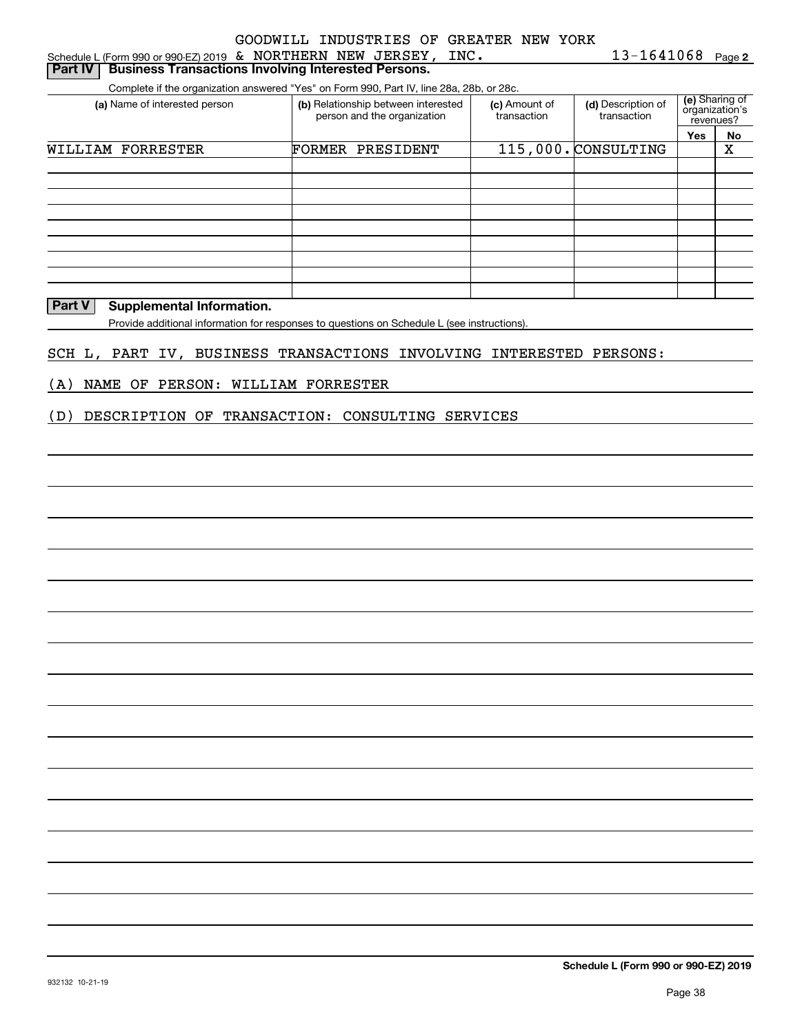| Schedule L (Form 990 or 990-EZ) 2019 & NORTHERN NEW JERSEY,                              | $\_$ INC .                                                         |                              | 13-1641068                        |                                               | Page 2 |
|------------------------------------------------------------------------------------------|--------------------------------------------------------------------|------------------------------|-----------------------------------|-----------------------------------------------|--------|
| <b>Business Transactions Involving Interested Persons.</b><br><b>Part IV</b>             |                                                                    |                              |                                   |                                               |        |
| Complete if the organization answered "Yes" on Form 990, Part IV, line 28a, 28b, or 28c. |                                                                    |                              |                                   |                                               |        |
| (a) Name of interested person                                                            | (b) Relationship between interested<br>person and the organization | (c) Amount of<br>transaction | (d) Description of<br>transaction | (e) Sharing of<br>organization's<br>revenues? |        |
|                                                                                          |                                                                    |                              |                                   | Yes                                           | No     |
| WILLIAM FORRESTER                                                                        | <b>FORMER PRESIDENT</b>                                            |                              | 115,000. CONSULTING               |                                               | х      |
|                                                                                          |                                                                    |                              |                                   |                                               |        |
|                                                                                          |                                                                    |                              |                                   |                                               |        |
|                                                                                          |                                                                    |                              |                                   |                                               |        |

**Part V** Supplemental Information.

Provide additional information for responses to questions on Schedule L (see instructions).

SCH L, PART IV, BUSINESS TRANSACTIONS INVOLVING INTERESTED PERSONS:

(A) NAME OF PERSON: WILLIAM FORRESTER

(D) DESCRIPTION OF TRANSACTION: CONSULTING SERVICES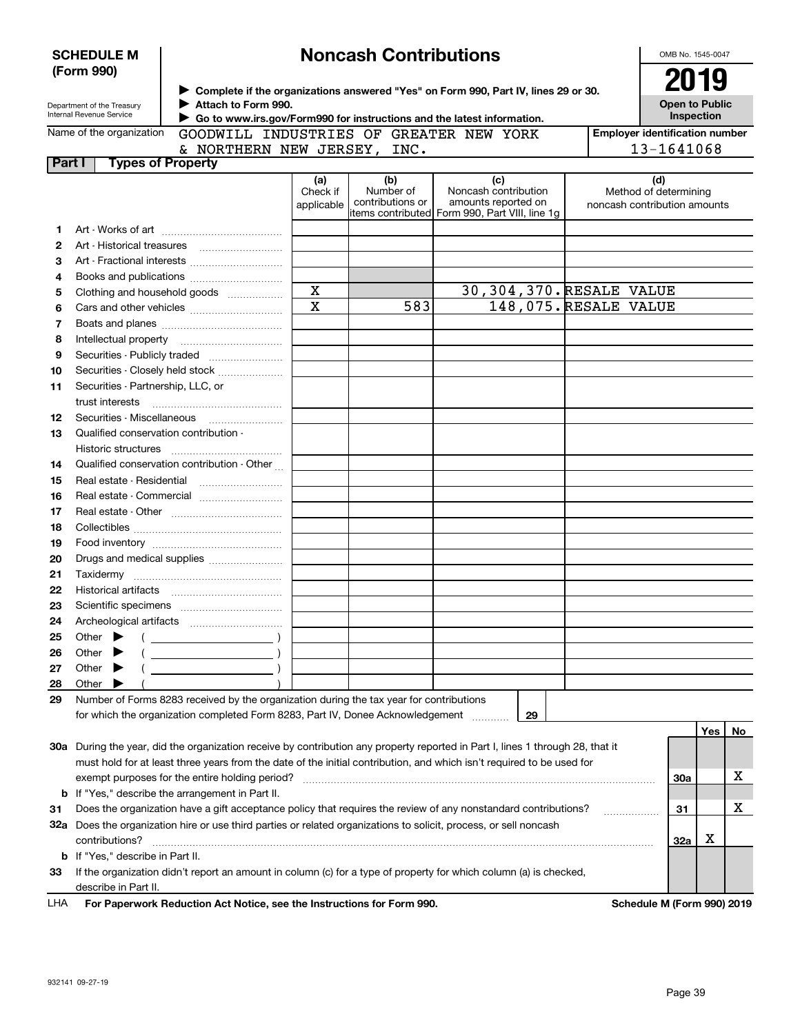|              | <b>SCHEDULE M</b><br>(Form 990)                                                                                   |                                                                                               |                               | <b>Noncash Contributions</b>         |                                                                                                                                |  | OMB No. 1545-0047                                            |  |
|--------------|-------------------------------------------------------------------------------------------------------------------|-----------------------------------------------------------------------------------------------|-------------------------------|--------------------------------------|--------------------------------------------------------------------------------------------------------------------------------|--|--------------------------------------------------------------|--|
|              | Department of the Treasury<br>Internal Revenue Service                                                            | Attach to Form 990.<br>Go to www.irs.gov/Form990 for instructions and the latest information. |                               |                                      | ▶ Complete if the organizations answered "Yes" on Form 990, Part IV, lines 29 or 30.                                           |  | 2019<br><b>Open to Public</b><br>Inspection                  |  |
|              | Name of the organization                                                                                          | GOODWILL INDUSTRIES OF GREATER NEW YORK                                                       |                               |                                      |                                                                                                                                |  | <b>Employer identification number</b>                        |  |
|              |                                                                                                                   | & NORTHERN NEW JERSEY, INC.                                                                   |                               | 13-1641068                           |                                                                                                                                |  |                                                              |  |
| Part I       | <b>Types of Property</b>                                                                                          |                                                                                               |                               |                                      |                                                                                                                                |  |                                                              |  |
|              |                                                                                                                   |                                                                                               | (a)<br>Check if<br>applicable | (b)<br>Number of<br>contributions or | (c)<br>Noncash contribution<br>amounts reported on<br>items contributed Form 990, Part VIII, line 1q                           |  | (d)<br>Method of determining<br>noncash contribution amounts |  |
| 1            |                                                                                                                   |                                                                                               |                               |                                      |                                                                                                                                |  |                                                              |  |
| $\mathbf{2}$ |                                                                                                                   |                                                                                               |                               |                                      |                                                                                                                                |  |                                                              |  |
| 3            |                                                                                                                   | Art - Fractional interests                                                                    |                               |                                      |                                                                                                                                |  |                                                              |  |
| 4            |                                                                                                                   |                                                                                               |                               |                                      |                                                                                                                                |  |                                                              |  |
| 5            |                                                                                                                   | Clothing and household goods                                                                  | $\mathbf X$                   |                                      | 30,304,370. RESALE VALUE                                                                                                       |  |                                                              |  |
| 6            |                                                                                                                   |                                                                                               | $\overline{\mathbf{x}}$       | 583                                  | 148,075.RESALE VALUE                                                                                                           |  |                                                              |  |
| 7            |                                                                                                                   |                                                                                               |                               |                                      |                                                                                                                                |  |                                                              |  |
| 8            |                                                                                                                   |                                                                                               |                               |                                      |                                                                                                                                |  |                                                              |  |
| 9            |                                                                                                                   | Securities - Publicly traded                                                                  |                               |                                      |                                                                                                                                |  |                                                              |  |
| 10           |                                                                                                                   | Securities - Closely held stock                                                               |                               |                                      |                                                                                                                                |  |                                                              |  |
| 11           | Securities - Partnership, LLC, or                                                                                 |                                                                                               |                               |                                      |                                                                                                                                |  |                                                              |  |
|              | trust interests                                                                                                   |                                                                                               |                               |                                      |                                                                                                                                |  |                                                              |  |
| 12           | Securities - Miscellaneous                                                                                        |                                                                                               |                               |                                      |                                                                                                                                |  |                                                              |  |
| 13           | Qualified conservation contribution -                                                                             |                                                                                               |                               |                                      |                                                                                                                                |  |                                                              |  |
|              | Historic structures                                                                                               |                                                                                               |                               |                                      |                                                                                                                                |  |                                                              |  |
| 14           |                                                                                                                   | Qualified conservation contribution - Other                                                   |                               |                                      |                                                                                                                                |  |                                                              |  |
| 15           |                                                                                                                   |                                                                                               |                               |                                      |                                                                                                                                |  |                                                              |  |
|              |                                                                                                                   |                                                                                               |                               |                                      |                                                                                                                                |  |                                                              |  |
| 16           |                                                                                                                   | Real estate - Commercial                                                                      |                               |                                      |                                                                                                                                |  |                                                              |  |
| 17           |                                                                                                                   |                                                                                               |                               |                                      |                                                                                                                                |  |                                                              |  |
| 18           |                                                                                                                   |                                                                                               |                               |                                      |                                                                                                                                |  |                                                              |  |
| 19           |                                                                                                                   |                                                                                               |                               |                                      |                                                                                                                                |  |                                                              |  |
| 20           |                                                                                                                   | Drugs and medical supplies                                                                    |                               |                                      |                                                                                                                                |  |                                                              |  |
| 21           |                                                                                                                   |                                                                                               |                               |                                      |                                                                                                                                |  |                                                              |  |
| 22           |                                                                                                                   |                                                                                               |                               |                                      |                                                                                                                                |  |                                                              |  |
| 23           |                                                                                                                   |                                                                                               |                               |                                      |                                                                                                                                |  |                                                              |  |
| 24           |                                                                                                                   |                                                                                               |                               |                                      |                                                                                                                                |  |                                                              |  |
| 25           | Other                                                                                                             |                                                                                               |                               |                                      |                                                                                                                                |  |                                                              |  |
| 26           | Other                                                                                                             |                                                                                               |                               |                                      |                                                                                                                                |  |                                                              |  |
| 27           | Other                                                                                                             |                                                                                               |                               |                                      |                                                                                                                                |  |                                                              |  |
| 28           | Other                                                                                                             |                                                                                               |                               |                                      |                                                                                                                                |  |                                                              |  |
| 29           |                                                                                                                   | Number of Forms 8283 received by the organization during the tax year for contributions       |                               |                                      |                                                                                                                                |  |                                                              |  |
|              |                                                                                                                   | for which the organization completed Form 8283, Part IV, Donee Acknowledgement                |                               |                                      | 29                                                                                                                             |  |                                                              |  |
|              |                                                                                                                   |                                                                                               |                               |                                      |                                                                                                                                |  | Yes<br>No                                                    |  |
|              |                                                                                                                   |                                                                                               |                               |                                      | 30a During the year, did the organization receive by contribution any property reported in Part I, lines 1 through 28, that it |  |                                                              |  |
|              |                                                                                                                   |                                                                                               |                               |                                      | must hold for at least three years from the date of the initial contribution, and which isn't required to be used for          |  |                                                              |  |
|              |                                                                                                                   | exempt purposes for the entire holding period?                                                |                               |                                      |                                                                                                                                |  | х<br>30a                                                     |  |
|              |                                                                                                                   | <b>b</b> If "Yes," describe the arrangement in Part II.                                       |                               |                                      |                                                                                                                                |  |                                                              |  |
| 31           |                                                                                                                   |                                                                                               |                               |                                      | Does the organization have a gift acceptance policy that requires the review of any nonstandard contributions?                 |  | х<br>31                                                      |  |
|              | 32a Does the organization hire or use third parties or related organizations to solicit, process, or sell noncash |                                                                                               |                               |                                      |                                                                                                                                |  |                                                              |  |
|              | contributions?<br>32a                                                                                             |                                                                                               |                               |                                      |                                                                                                                                |  |                                                              |  |
|              | <b>b</b> If "Yes," describe in Part II.                                                                           |                                                                                               |                               |                                      |                                                                                                                                |  |                                                              |  |
| 33           |                                                                                                                   |                                                                                               |                               |                                      | If the organization didn't report an amount in column (c) for a type of property for which column (a) is checked,              |  |                                                              |  |
|              | describe in Part II.                                                                                              |                                                                                               |                               |                                      |                                                                                                                                |  |                                                              |  |
| LHA          |                                                                                                                   | For Paperwork Reduction Act Notice, see the Instructions for Form 990.                        |                               |                                      |                                                                                                                                |  | Schedule M (Form 990) 2019                                   |  |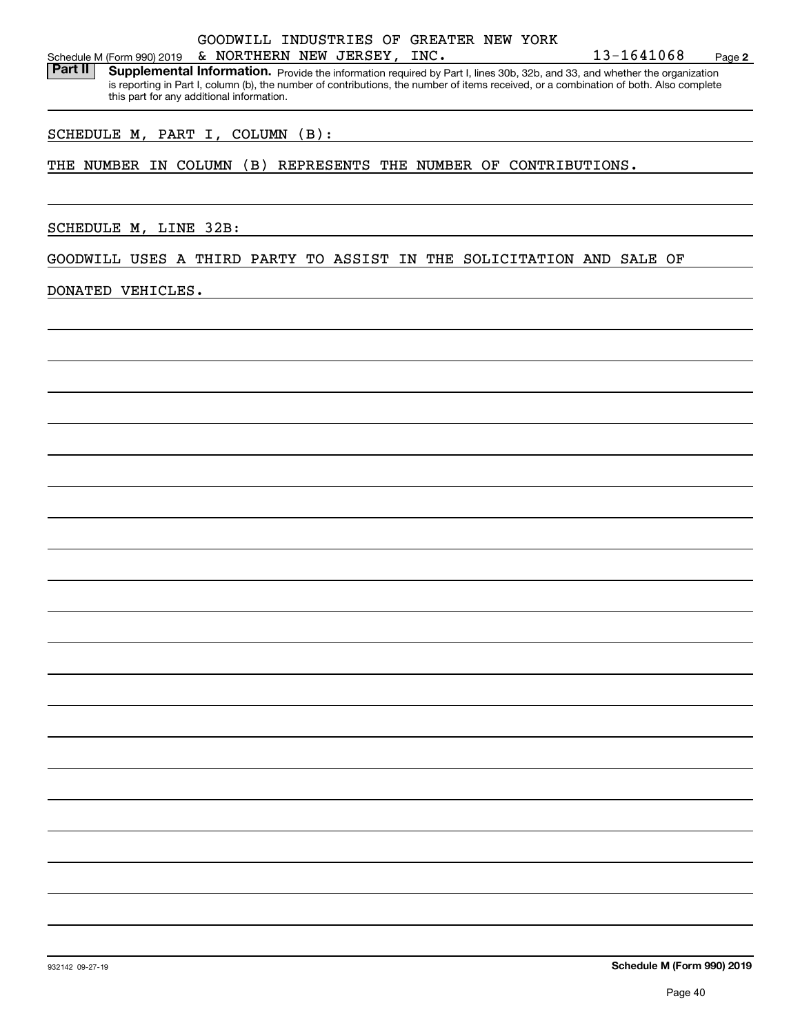#### Schedule M (Form 990) 2019 Page & NORTHERN NEW JERSEY, INC. 13-1641068 GOODWILL INDUSTRIES OF GREATER NEW YORK

Part II | Supplemental Information. Provide the information required by Part I, lines 30b, 32b, and 33, and whether the organization is reporting in Part I, column (b), the number of contributions, the number of items received, or a combination of both. Also complete this part for any additional information.

#### SCHEDULE M, PART I, COLUMN (B):

THE NUMBER IN COLUMN (B) REPRESENTS THE NUMBER OF CONTRIBUTIONS.

SCHEDULE M, LINE 32B:

GOODWILL USES A THIRD PARTY TO ASSIST IN THE SOLICITATION AND SALE OF

DONATED VEHICLES.

**2**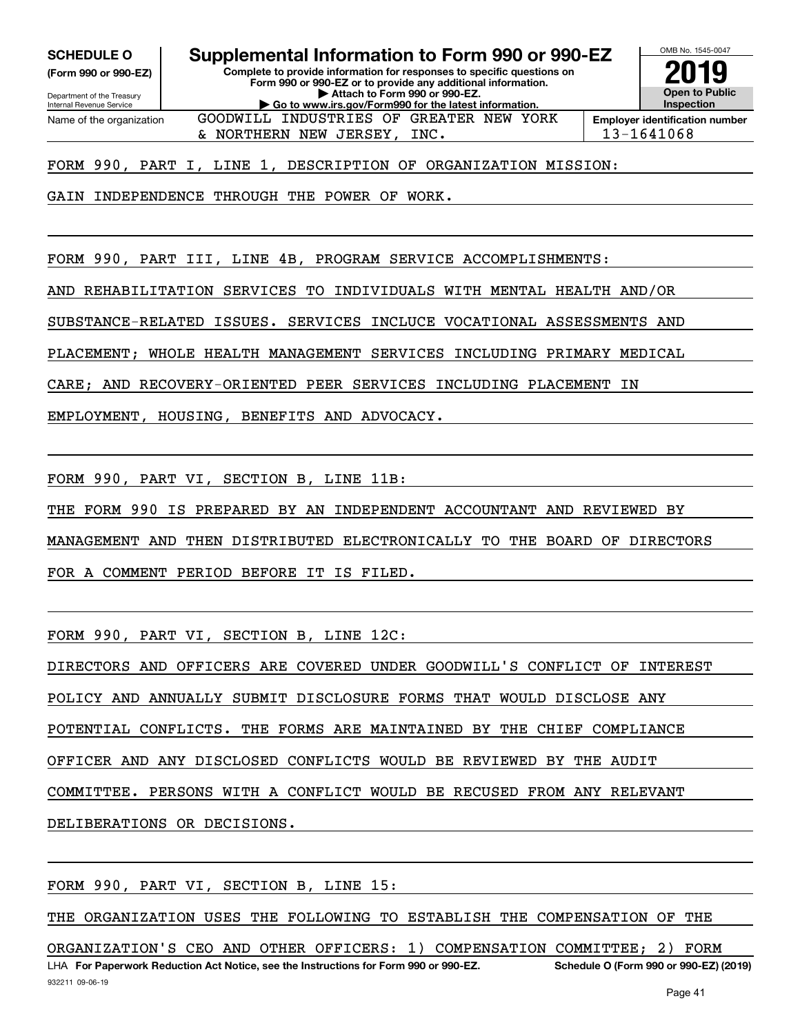**(Form 990 or 990-EZ)**

Department of the Treasury Internal Revenue Service Name of the organization

**Complete to provide information for responses to specific questions on SCHEDULE O Supplemental Information to Form 990 or 990-EZ**

**Form 990 or 990-EZ or to provide any additional information. | Attach to Form 990 or 990-EZ. | Go to www.irs.gov/Form990 for the latest information.**

GOODWILL INDUSTRIES OF GREATER NEW YORK



 $\alpha$  NORTHERN NEW JERSEY, INC.  $\vert$  13-1641068

FORM 990, PART I, LINE 1, DESCRIPTION OF ORGANIZATION MISSION:

GAIN INDEPENDENCE THROUGH THE POWER OF WORK.

FORM 990, PART III, LINE 4B, PROGRAM SERVICE ACCOMPLISHMENTS:

AND REHABILITATION SERVICES TO INDIVIDUALS WITH MENTAL HEALTH AND/OR

SUBSTANCE-RELATED ISSUES. SERVICES INCLUCE VOCATIONAL ASSESSMENTS AND

PLACEMENT; WHOLE HEALTH MANAGEMENT SERVICES INCLUDING PRIMARY MEDICAL

CARE; AND RECOVERY-ORIENTED PEER SERVICES INCLUDING PLACEMENT IN

EMPLOYMENT, HOUSING, BENEFITS AND ADVOCACY.

FORM 990, PART VI, SECTION B, LINE 11B:

THE FORM 990 IS PREPARED BY AN INDEPENDENT ACCOUNTANT AND REVIEWED BY

MANAGEMENT AND THEN DISTRIBUTED ELECTRONICALLY TO THE BOARD OF DIRECTORS

FOR A COMMENT PERIOD BEFORE IT IS FILED.

FORM 990, PART VI, SECTION B, LINE 12C:

DIRECTORS AND OFFICERS ARE COVERED UNDER GOODWILL'S CONFLICT OF INTEREST

POLICY AND ANNUALLY SUBMIT DISCLOSURE FORMS THAT WOULD DISCLOSE ANY

POTENTIAL CONFLICTS. THE FORMS ARE MAINTAINED BY THE CHIEF COMPLIANCE

OFFICER AND ANY DISCLOSED CONFLICTS WOULD BE REVIEWED BY THE AUDIT

COMMITTEE. PERSONS WITH A CONFLICT WOULD BE RECUSED FROM ANY RELEVANT

DELIBERATIONS OR DECISIONS.

FORM 990, PART VI, SECTION B, LINE 15:

THE ORGANIZATION USES THE FOLLOWING TO ESTABLISH THE COMPENSATION OF THE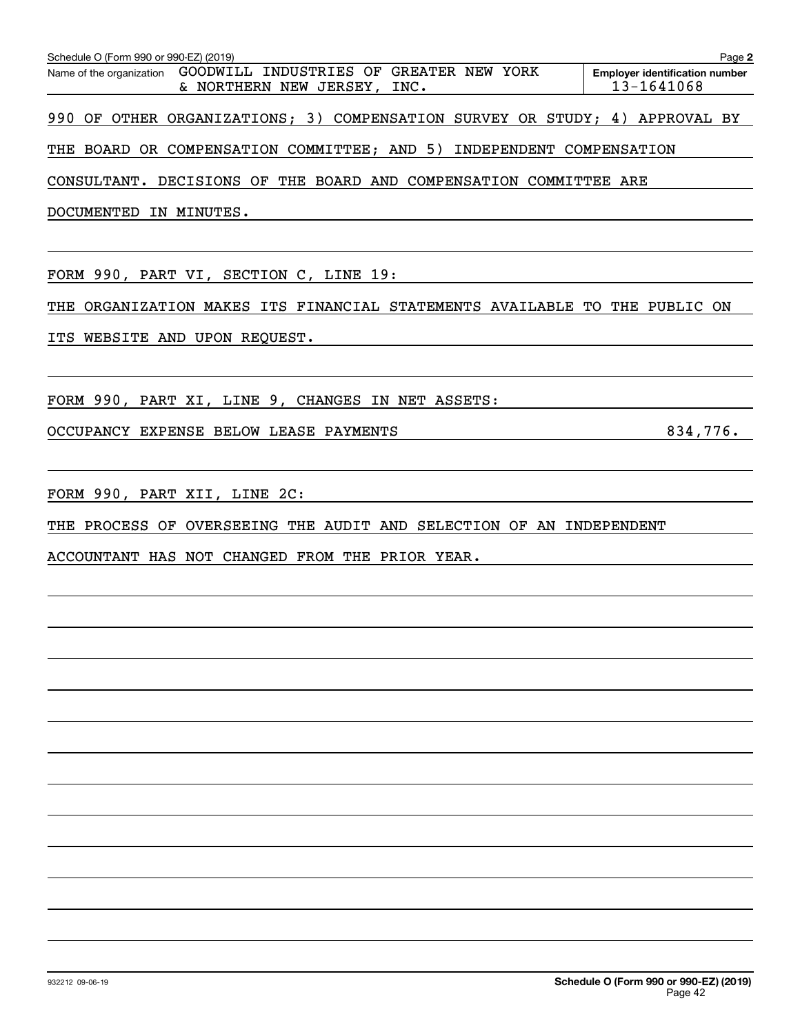| Schedule O (Form 990 or 990-EZ) (2019)                                                          | Page 2                                              |
|-------------------------------------------------------------------------------------------------|-----------------------------------------------------|
| Name of the organization GOODWILL INDUSTRIES OF GREATER NEW YORK<br>& NORTHERN NEW JERSEY, INC. | <b>Employer identification number</b><br>13-1641068 |
| 990 OF OTHER ORGANIZATIONS; 3) COMPENSATION SURVEY OR STUDY; 4) APPROVAL BY                     |                                                     |
| THE BOARD OR COMPENSATION COMMITTEE; AND 5) INDEPENDENT COMPENSATION                            |                                                     |
| CONSULTANT. DECISIONS OF THE BOARD AND COMPENSATION COMMITTEE ARE                               |                                                     |
| DOCUMENTED IN MINUTES.                                                                          |                                                     |
| FORM 990, PART VI, SECTION C, LINE 19:                                                          |                                                     |
| THE ORGANIZATION MAKES ITS FINANCIAL STATEMENTS AVAILABLE TO THE PUBLIC ON                      |                                                     |
| ITS WEBSITE AND UPON REQUEST.                                                                   |                                                     |
| FORM 990, PART XI, LINE 9, CHANGES IN NET ASSETS:                                               |                                                     |
| OCCUPANCY EXPENSE BELOW LEASE PAYMENTS                                                          | 834,776.                                            |
| FORM 990, PART XII, LINE 2C:                                                                    |                                                     |
| THE PROCESS OF OVERSEEING THE AUDIT AND SELECTION OF AN INDEPENDENT                             |                                                     |
| ACCOUNTANT HAS NOT CHANGED FROM THE PRIOR YEAR.                                                 |                                                     |
|                                                                                                 |                                                     |
|                                                                                                 |                                                     |
|                                                                                                 |                                                     |
|                                                                                                 |                                                     |
|                                                                                                 |                                                     |
|                                                                                                 |                                                     |
|                                                                                                 |                                                     |
|                                                                                                 |                                                     |
|                                                                                                 |                                                     |
|                                                                                                 |                                                     |
|                                                                                                 |                                                     |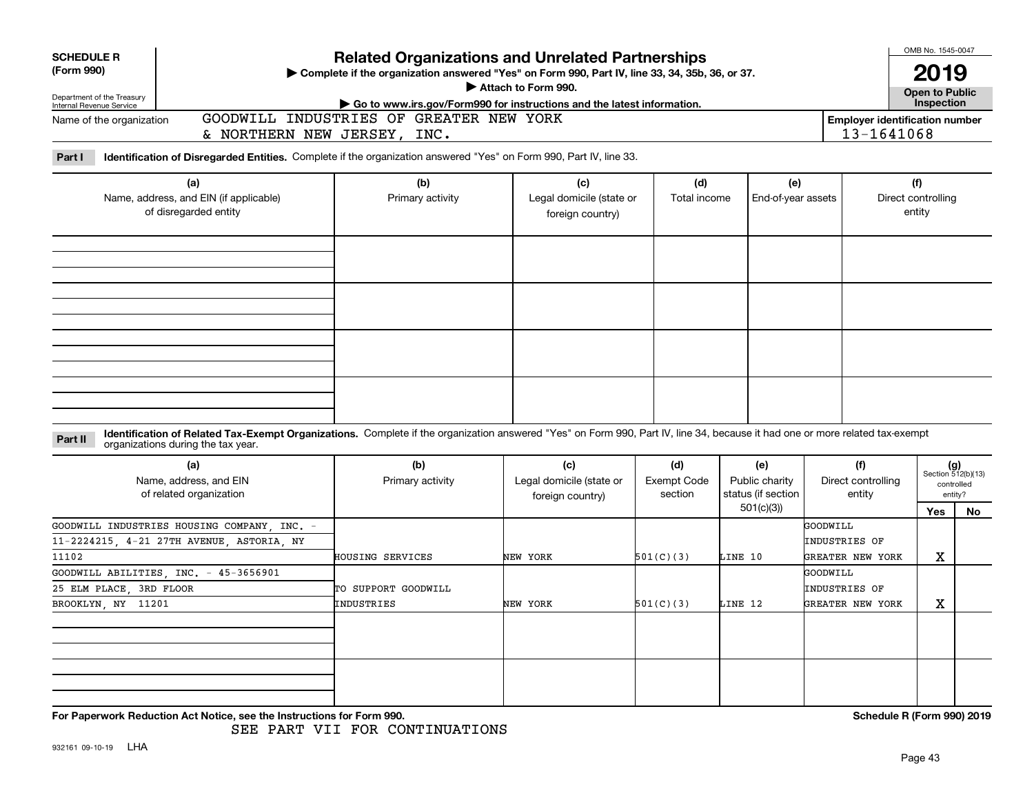| <b>SCHEDULE R</b><br>(Form 990)                        |                                                                                                                                                                                                                    | <b>Related Organizations and Unrelated Partnerships</b><br>> Complete if the organization answered "Yes" on Form 990, Part IV, line 33, 34, 35b, 36, or 37.<br>Attach to Form 990. |                                                                            | OMB No. 1545-0047<br>2019            |                                                          |                                               |                                                     |                                                            |  |  |
|--------------------------------------------------------|--------------------------------------------------------------------------------------------------------------------------------------------------------------------------------------------------------------------|------------------------------------------------------------------------------------------------------------------------------------------------------------------------------------|----------------------------------------------------------------------------|--------------------------------------|----------------------------------------------------------|-----------------------------------------------|-----------------------------------------------------|------------------------------------------------------------|--|--|
| Department of the Treasury<br>Internal Revenue Service |                                                                                                                                                                                                                    | Go to www.irs.gov/Form990 for instructions and the latest information.                                                                                                             |                                                                            |                                      |                                                          |                                               | Open to Public<br>Inspection                        |                                                            |  |  |
| Name of the organization                               | & NORTHERN NEW JERSEY, INC.                                                                                                                                                                                        | GOODWILL INDUSTRIES OF GREATER NEW YORK                                                                                                                                            |                                                                            |                                      |                                                          |                                               | <b>Employer identification number</b><br>13-1641068 |                                                            |  |  |
| Part I                                                 | Identification of Disregarded Entities. Complete if the organization answered "Yes" on Form 990, Part IV, line 33.                                                                                                 |                                                                                                                                                                                    |                                                                            |                                      |                                                          |                                               |                                                     |                                                            |  |  |
|                                                        | (a)<br>Name, address, and EIN (if applicable)<br>of disregarded entity                                                                                                                                             | (b)<br>Primary activity                                                                                                                                                            | (c)<br>(d)<br>Legal domicile (state or<br>Total income<br>foreign country) |                                      | (e)<br>End-of-year assets                                |                                               | (f)<br>Direct controlling<br>entity                 |                                                            |  |  |
|                                                        |                                                                                                                                                                                                                    |                                                                                                                                                                                    |                                                                            |                                      |                                                          |                                               |                                                     |                                                            |  |  |
|                                                        |                                                                                                                                                                                                                    |                                                                                                                                                                                    |                                                                            |                                      |                                                          |                                               |                                                     |                                                            |  |  |
| Part II                                                | Identification of Related Tax-Exempt Organizations. Complete if the organization answered "Yes" on Form 990, Part IV, line 34, because it had one or more related tax-exempt<br>organizations during the tax year. |                                                                                                                                                                                    |                                                                            |                                      |                                                          |                                               |                                                     |                                                            |  |  |
|                                                        | (a)<br>Name, address, and EIN<br>of related organization                                                                                                                                                           | (b)<br>Primary activity                                                                                                                                                            | (c)<br>Legal domicile (state or<br>foreign country)                        | (d)<br><b>Exempt Code</b><br>section | (e)<br>Public charity<br>status (if section<br>501(c)(3) | (f)<br>Direct controlling<br>entity           | Yes                                                 | $(g)$<br>Section 512(b)(13)<br>controlled<br>entity?<br>No |  |  |
| 11102                                                  | GOODWILL INDUSTRIES HOUSING COMPANY INC. -<br>11-2224215, 4-21 27TH AVENUE, ASTORIA, NY                                                                                                                            | HOUSING SERVICES                                                                                                                                                                   | NEW YORK                                                                   | 501(C)(3)                            | LINE 10                                                  | GOODWILL<br>INDUSTRIES OF<br>GREATER NEW YORK | X                                                   |                                                            |  |  |
|                                                        | GOODWILL ABILITIES, INC. - 45-3656901                                                                                                                                                                              |                                                                                                                                                                                    |                                                                            |                                      |                                                          | <b>GOODWILL</b>                               |                                                     |                                                            |  |  |
| 25 ELM PLACE, 3RD FLOOR                                |                                                                                                                                                                                                                    | TO SUPPORT GOODWILL                                                                                                                                                                |                                                                            |                                      |                                                          | INDUSTRIES OF                                 |                                                     |                                                            |  |  |
| BROOKLYN NY 11201                                      |                                                                                                                                                                                                                    | INDUSTRIES                                                                                                                                                                         | NEW YORK                                                                   | 501(C)(3)                            | LINE 12                                                  | GREATER NEW YORK                              | X                                                   |                                                            |  |  |
|                                                        |                                                                                                                                                                                                                    |                                                                                                                                                                                    |                                                                            |                                      |                                                          |                                               |                                                     |                                                            |  |  |
|                                                        | For Paperwork Reduction Act Notice, see the Instructions for Form 990.                                                                                                                                             |                                                                                                                                                                                    |                                                                            |                                      |                                                          |                                               | Schedule R (Form 990) 2019                          |                                                            |  |  |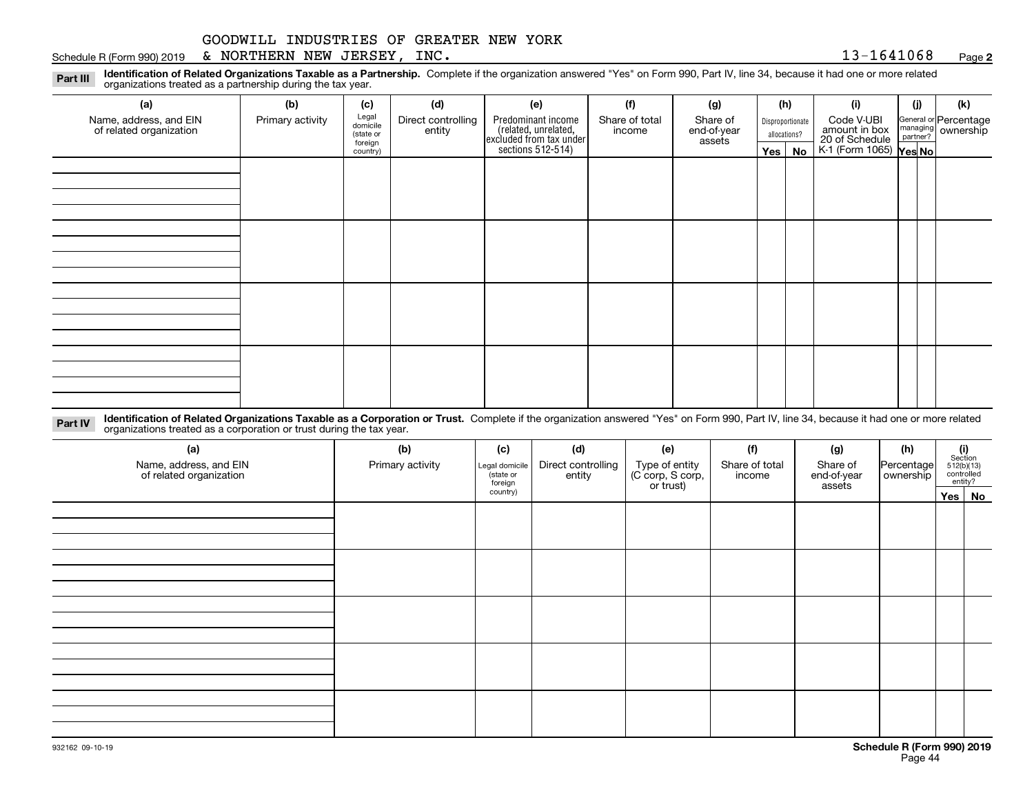#### Schedule R (Form 990) 2019 Page & NORTHERN NEW JERSEY, INC. 13-1641068

**2**

**Identification of Related Organizations Taxable as a Partnership.** Complete if the organization answered "Yes" on Form 990, Part IV, line 34, because it had one or more related **Part III** organizations treated as a partnership during the tax year.

| (a)                                               | (b)              | (c)                  | (d)                          | (e)                                                                 | (f)                      | (g)                     | (h) |                  | (i)                                      | (j) | (k)                                                       |
|---------------------------------------------------|------------------|----------------------|------------------------------|---------------------------------------------------------------------|--------------------------|-------------------------|-----|------------------|------------------------------------------|-----|-----------------------------------------------------------|
| Name, address, and EIN<br>of related organization | Primary activity | Legal<br>domicile    | Direct controlling<br>entity | Predominant income                                                  | Share of total<br>income | Share of<br>end-of-year |     | Disproportionate | Code V-UBI<br>amount in box              |     | General or Percentage<br>managing<br>partner?<br>partner? |
|                                                   |                  | (state or<br>foreign |                              |                                                                     |                          | assets                  |     | allocations?     |                                          |     |                                                           |
|                                                   |                  | country)             |                              | related, unrelated,<br>excluded from tax under<br>sections 512-514) |                          |                         |     | Yes   No         | 20 of Schedule<br>K-1 (Form 1065) Yes No |     |                                                           |
|                                                   |                  |                      |                              |                                                                     |                          |                         |     |                  |                                          |     |                                                           |
|                                                   |                  |                      |                              |                                                                     |                          |                         |     |                  |                                          |     |                                                           |
|                                                   |                  |                      |                              |                                                                     |                          |                         |     |                  |                                          |     |                                                           |
|                                                   |                  |                      |                              |                                                                     |                          |                         |     |                  |                                          |     |                                                           |
|                                                   |                  |                      |                              |                                                                     |                          |                         |     |                  |                                          |     |                                                           |
|                                                   |                  |                      |                              |                                                                     |                          |                         |     |                  |                                          |     |                                                           |
|                                                   |                  |                      |                              |                                                                     |                          |                         |     |                  |                                          |     |                                                           |
|                                                   |                  |                      |                              |                                                                     |                          |                         |     |                  |                                          |     |                                                           |
|                                                   |                  |                      |                              |                                                                     |                          |                         |     |                  |                                          |     |                                                           |
|                                                   |                  |                      |                              |                                                                     |                          |                         |     |                  |                                          |     |                                                           |
|                                                   |                  |                      |                              |                                                                     |                          |                         |     |                  |                                          |     |                                                           |
|                                                   |                  |                      |                              |                                                                     |                          |                         |     |                  |                                          |     |                                                           |
|                                                   |                  |                      |                              |                                                                     |                          |                         |     |                  |                                          |     |                                                           |
|                                                   |                  |                      |                              |                                                                     |                          |                         |     |                  |                                          |     |                                                           |
|                                                   |                  |                      |                              |                                                                     |                          |                         |     |                  |                                          |     |                                                           |
|                                                   |                  |                      |                              |                                                                     |                          |                         |     |                  |                                          |     |                                                           |
|                                                   |                  |                      |                              |                                                                     |                          |                         |     |                  |                                          |     |                                                           |

**Identification of Related Organizations Taxable as a Corporation or Trust.** Complete if the organization answered "Yes" on Form 990, Part IV, line 34, because it had one or more related **Part IV** organizations treated as a corporation or trust during the tax year.

| (a)<br>Name, address, and EIN<br>of related organization | (b)<br>Primary activity | (c)<br>Legal domicile<br>(state or<br>foreign | (d)<br>Direct controlling<br>entity | (e)<br>Type of entity<br>(C corp, S corp,<br>or trust) | (f)<br>Share of total<br>income | (g)<br>Share of<br>end-of-year<br>assets | (h)<br>Percentage<br>ownership | (i)<br>Section | $512(b)(13)$<br>controlled<br>entity? |
|----------------------------------------------------------|-------------------------|-----------------------------------------------|-------------------------------------|--------------------------------------------------------|---------------------------------|------------------------------------------|--------------------------------|----------------|---------------------------------------|
|                                                          |                         | country)                                      |                                     |                                                        |                                 |                                          |                                |                | Yes No                                |
|                                                          |                         |                                               |                                     |                                                        |                                 |                                          |                                |                |                                       |
|                                                          |                         |                                               |                                     |                                                        |                                 |                                          |                                |                |                                       |
|                                                          |                         |                                               |                                     |                                                        |                                 |                                          |                                |                |                                       |
|                                                          |                         |                                               |                                     |                                                        |                                 |                                          |                                |                |                                       |
|                                                          |                         |                                               |                                     |                                                        |                                 |                                          |                                |                |                                       |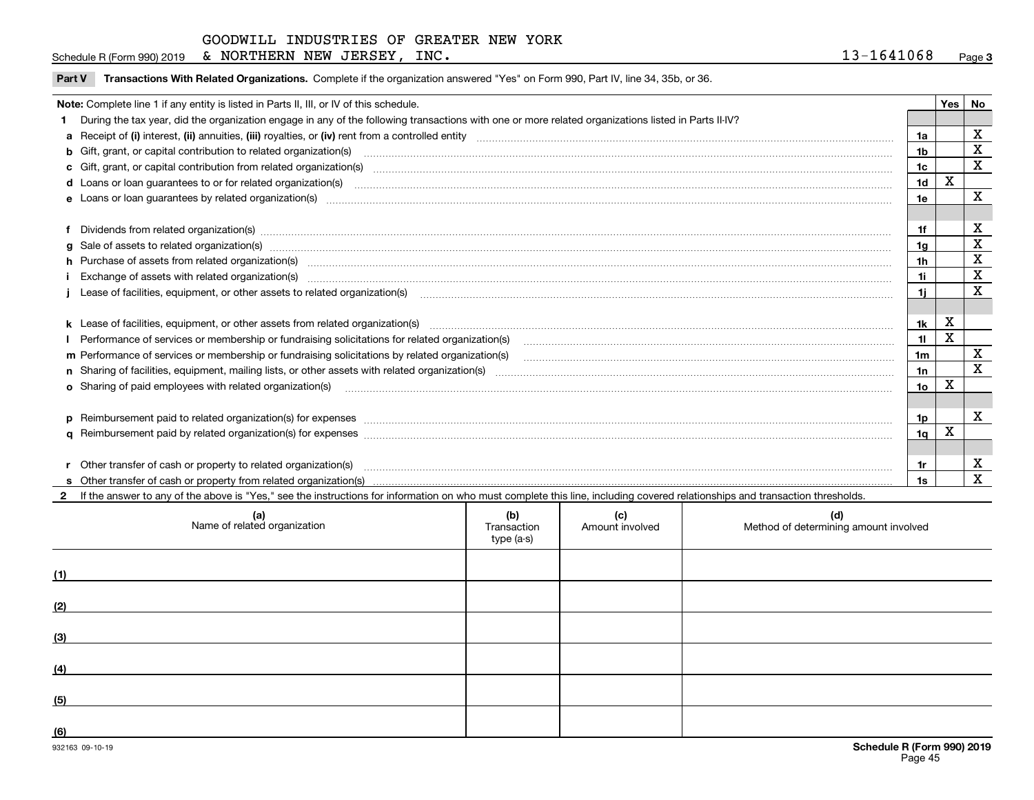|--|

| Part V Transactions With Related Organizations. Complete if the organization answered "Yes" on Form 990, Part IV, line 34, 35b, or 36 |  |  |
|---------------------------------------------------------------------------------------------------------------------------------------|--|--|
|                                                                                                                                       |  |  |

| Note: Complete line 1 if any entity is listed in Parts II, III, or IV of this schedule. |                                                                                                                                                                                                                                |                |   |             |  |  |
|-----------------------------------------------------------------------------------------|--------------------------------------------------------------------------------------------------------------------------------------------------------------------------------------------------------------------------------|----------------|---|-------------|--|--|
|                                                                                         | During the tax year, did the organization engage in any of the following transactions with one or more related organizations listed in Parts II-IV?                                                                            |                |   |             |  |  |
|                                                                                         |                                                                                                                                                                                                                                | 1a             |   | х           |  |  |
|                                                                                         | <b>b</b> Gift, grant, or capital contribution to related organization(s)                                                                                                                                                       | 1b             |   | $\mathbf X$ |  |  |
|                                                                                         | c Gift, grant, or capital contribution from related organization(s) manufaction(s) and contribution from related organization(s) manufaction contribution from related organization(s) manufaction contribution from related o | 1c             |   | $\mathbf X$ |  |  |
|                                                                                         | <b>d</b> Loans or loan quarantees to or for related organization(s)                                                                                                                                                            | 1 <sub>d</sub> | Х |             |  |  |
|                                                                                         | e Loans or loan guarantees by related organization(s) manufactured and content to content the content of the content of the content of the content of the content of the content of the content of the content of the content  | 1e             |   | $\mathbf X$ |  |  |
|                                                                                         |                                                                                                                                                                                                                                |                |   |             |  |  |
|                                                                                         |                                                                                                                                                                                                                                | 1f             |   | х           |  |  |
|                                                                                         | g Sale of assets to related organization(s) www.assettion.com/www.assettion.com/www.assettion.com/www.assettion.com/www.assettion.com/www.assettion.com/www.assettion.com/www.assettion.com/www.assettion.com/www.assettion.co | 1g             |   | X           |  |  |
|                                                                                         | h Purchase of assets from related organization(s) manufactured and content to the content of the content of the content of the content of the content of the content of the content of the content of the content of the conte | 1h             |   | X           |  |  |
|                                                                                         | i Exchange of assets with related organization(s) machinamic material contracts and a set of a set set of assets with related organization(s)                                                                                  | 1i.            |   | X           |  |  |
|                                                                                         | Lease of facilities, equipment, or other assets to related organization(s) contained and contained and contained and contained and contained and capacitation of the set of facilities, equipment, or other assets to related  | 1i -           |   | X           |  |  |
|                                                                                         |                                                                                                                                                                                                                                |                |   |             |  |  |
|                                                                                         | k Lease of facilities, equipment, or other assets from related organization(s) manufaction content and content to the assets from related organization(s) manufaction content and content and content and content and content  | 1k             | X |             |  |  |
|                                                                                         |                                                                                                                                                                                                                                | 11             | X |             |  |  |
|                                                                                         | m Performance of services or membership or fundraising solicitations by related organization(s)                                                                                                                                | 1m             |   | х           |  |  |
|                                                                                         |                                                                                                                                                                                                                                | 1n             |   | X           |  |  |
|                                                                                         | <b>o</b> Sharing of paid employees with related organization(s)                                                                                                                                                                | 1о             | х |             |  |  |
|                                                                                         |                                                                                                                                                                                                                                |                |   |             |  |  |
|                                                                                         |                                                                                                                                                                                                                                | 1p             |   | x           |  |  |
|                                                                                         |                                                                                                                                                                                                                                | 1q             | X |             |  |  |
|                                                                                         |                                                                                                                                                                                                                                |                |   |             |  |  |
|                                                                                         | r Other transfer of cash or property to related organization(s)                                                                                                                                                                | 1r             |   | X           |  |  |
|                                                                                         |                                                                                                                                                                                                                                | 1s             |   | х           |  |  |
|                                                                                         | 2 If the answer to any of the above is "Yes," see the instructions for information on who must complete this line, including covered relationships and transaction thresholds.                                                 |                |   |             |  |  |

**(a) (b) (c) (d) (1)(2)(3)(4) (5)(6)**Name of related organization  $\vert$  Transaction type (a-s) Amount involved letter are method of determining amount involved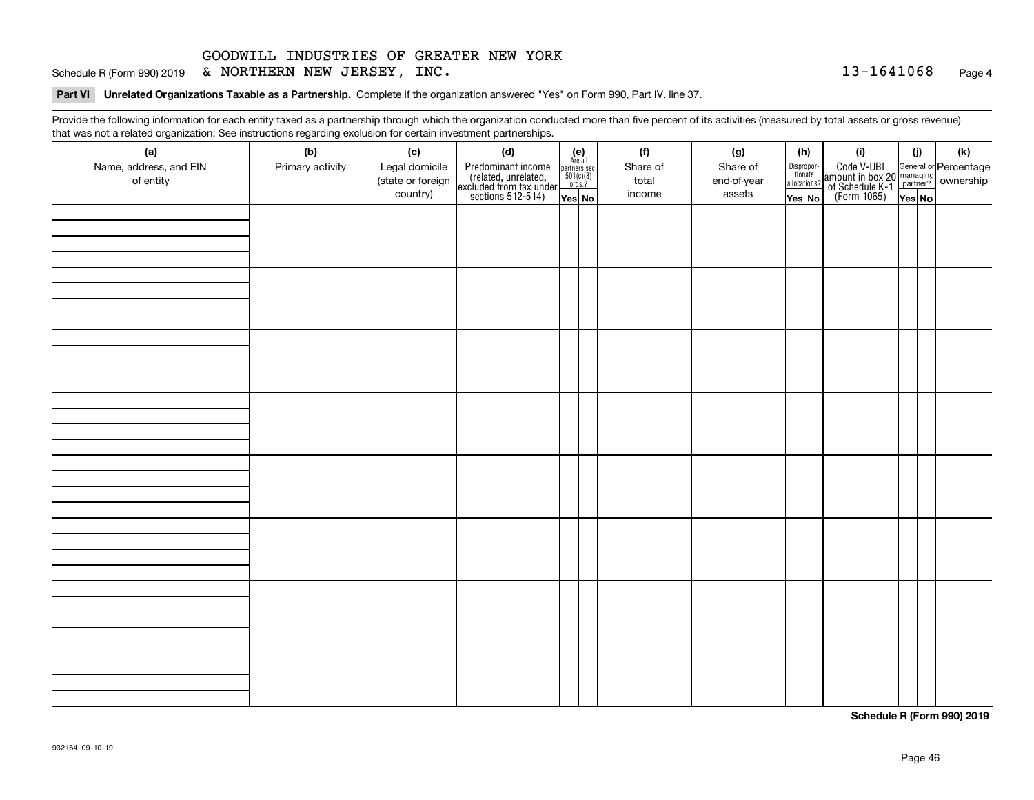Schedule R (Form 990) 2019 Page & NORTHERN NEW JERSEY, INC. 13-1641068

**Part VI Unrelated Organizations Taxable as a Partnership.**  Complete if the organization answered "Yes" on Form 990, Part IV, line 37.

Provide the following information for each entity taxed as a partnership through which the organization conducted more than five percent of its activities (measured by total assets or gross revenue) that was not a related organization. See instructions regarding exclusion for certain investment partnerships.

| - - - - -<br>(a)                    | − ອ−<br>(b)      | (c)                                 | (d)                                                                                        |                                                                                                                  |  | (f)               | (g)                     | (h)                                   |  | (i)                                                                                          | (i) | (k) |
|-------------------------------------|------------------|-------------------------------------|--------------------------------------------------------------------------------------------|------------------------------------------------------------------------------------------------------------------|--|-------------------|-------------------------|---------------------------------------|--|----------------------------------------------------------------------------------------------|-----|-----|
| Name, address, and EIN<br>of entity | Primary activity | Legal domicile<br>(state or foreign | Predominant income<br>(related, unrelated,<br>excluded from tax under<br>sections 512-514) | $\begin{array}{c} \textbf{(e)}\\ \text{Are all} \\ \text{partners sec.}\\ 501(c)(3)\\ \text{orgs.?} \end{array}$ |  | Share of<br>total | Share of<br>end-of-year | Dispropor-<br>tionate<br>allocations? |  | Code V-UBI<br>amount in box 20 managing<br>of Schedule K-1 partner?<br>(Form 1065)<br>ves No |     |     |
|                                     |                  | country)                            |                                                                                            | Yes No                                                                                                           |  | income            | assets                  | Yes No                                |  |                                                                                              |     |     |
|                                     |                  |                                     |                                                                                            |                                                                                                                  |  |                   |                         |                                       |  |                                                                                              |     |     |
|                                     |                  |                                     |                                                                                            |                                                                                                                  |  |                   |                         |                                       |  |                                                                                              |     |     |
|                                     |                  |                                     |                                                                                            |                                                                                                                  |  |                   |                         |                                       |  |                                                                                              |     |     |
|                                     |                  |                                     |                                                                                            |                                                                                                                  |  |                   |                         |                                       |  |                                                                                              |     |     |
|                                     |                  |                                     |                                                                                            |                                                                                                                  |  |                   |                         |                                       |  |                                                                                              |     |     |
|                                     |                  |                                     |                                                                                            |                                                                                                                  |  |                   |                         |                                       |  |                                                                                              |     |     |
|                                     |                  |                                     |                                                                                            |                                                                                                                  |  |                   |                         |                                       |  |                                                                                              |     |     |
|                                     |                  |                                     |                                                                                            |                                                                                                                  |  |                   |                         |                                       |  |                                                                                              |     |     |
|                                     |                  |                                     |                                                                                            |                                                                                                                  |  |                   |                         |                                       |  |                                                                                              |     |     |
|                                     |                  |                                     |                                                                                            |                                                                                                                  |  |                   |                         |                                       |  |                                                                                              |     |     |
|                                     |                  |                                     |                                                                                            |                                                                                                                  |  |                   |                         |                                       |  |                                                                                              |     |     |
|                                     |                  |                                     |                                                                                            |                                                                                                                  |  |                   |                         |                                       |  |                                                                                              |     |     |
|                                     |                  |                                     |                                                                                            |                                                                                                                  |  |                   |                         |                                       |  |                                                                                              |     |     |
|                                     |                  |                                     |                                                                                            |                                                                                                                  |  |                   |                         |                                       |  |                                                                                              |     |     |
|                                     |                  |                                     |                                                                                            |                                                                                                                  |  |                   |                         |                                       |  |                                                                                              |     |     |
|                                     |                  |                                     |                                                                                            |                                                                                                                  |  |                   |                         |                                       |  |                                                                                              |     |     |
|                                     |                  |                                     |                                                                                            |                                                                                                                  |  |                   |                         |                                       |  |                                                                                              |     |     |
|                                     |                  |                                     |                                                                                            |                                                                                                                  |  |                   |                         |                                       |  |                                                                                              |     |     |
|                                     |                  |                                     |                                                                                            |                                                                                                                  |  |                   |                         |                                       |  |                                                                                              |     |     |
|                                     |                  |                                     |                                                                                            |                                                                                                                  |  |                   |                         |                                       |  |                                                                                              |     |     |
|                                     |                  |                                     |                                                                                            |                                                                                                                  |  |                   |                         |                                       |  |                                                                                              |     |     |
|                                     |                  |                                     |                                                                                            |                                                                                                                  |  |                   |                         |                                       |  |                                                                                              |     |     |
|                                     |                  |                                     |                                                                                            |                                                                                                                  |  |                   |                         |                                       |  |                                                                                              |     |     |
|                                     |                  |                                     |                                                                                            |                                                                                                                  |  |                   |                         |                                       |  |                                                                                              |     |     |
|                                     |                  |                                     |                                                                                            |                                                                                                                  |  |                   |                         |                                       |  |                                                                                              |     |     |
|                                     |                  |                                     |                                                                                            |                                                                                                                  |  |                   |                         |                                       |  |                                                                                              |     |     |
|                                     |                  |                                     |                                                                                            |                                                                                                                  |  |                   |                         |                                       |  |                                                                                              |     |     |
|                                     |                  |                                     |                                                                                            |                                                                                                                  |  |                   |                         |                                       |  |                                                                                              |     |     |
|                                     |                  |                                     |                                                                                            |                                                                                                                  |  |                   |                         |                                       |  |                                                                                              |     |     |
|                                     |                  |                                     |                                                                                            |                                                                                                                  |  |                   |                         |                                       |  |                                                                                              |     |     |
|                                     |                  |                                     |                                                                                            |                                                                                                                  |  |                   |                         |                                       |  |                                                                                              |     |     |
|                                     |                  |                                     |                                                                                            |                                                                                                                  |  |                   |                         |                                       |  |                                                                                              |     |     |

**Schedule R (Form 990) 2019**